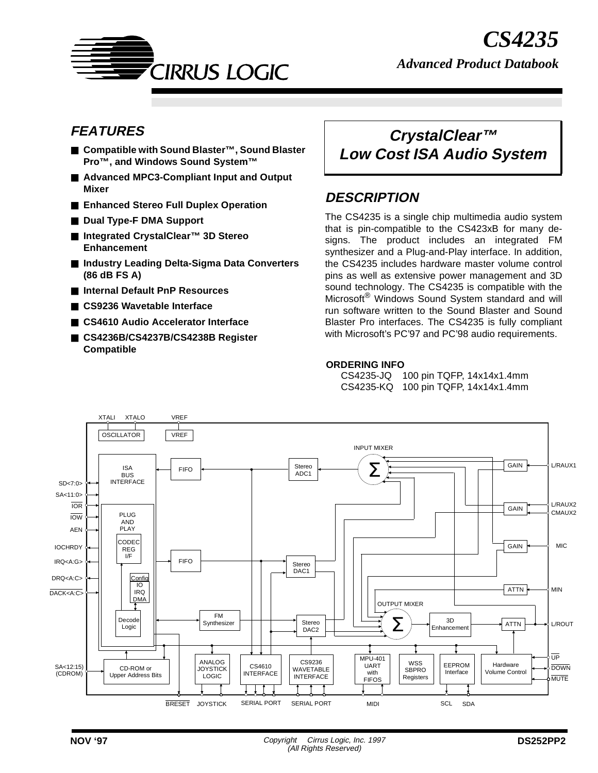

# **FEATURES**

- **Compatible with Sound Blaster™, Sound Blaster Pro™, and Windows Sound System™**
- **Advanced MPC3-Compliant Input and Output Mixer**
- **Enhanced Stereo Full Duplex Operation**
- **Dual Type-F DMA Support**
- **Integrated CrystalClear™ 3D Stereo Enhancement**
- **Industry Leading Delta-Sigma Data Converters (86 dB FS A)**
- **Internal Default PnP Resources**
- **CS9236 Wavetable Interface**
- **CS4610 Audio Accelerator Interface**
- **CS4236B/CS4237B/CS4238B Register Compatible**

# **CrystalClear™ Low Cost ISA Audio System**

# **DESCRIPTION**

The CS4235 is a single chip multimedia audio system that is pin-compatible to the CS423xB for many designs. The product includes an integrated FM synthesizer and a Plug-and-Play interface. In addition, the CS4235 includes hardware master volume control pins as well as extensive power management and 3D sound technology. The CS4235 is compatible with the Microsoft<sup>®</sup> Windows Sound System standard and will run software written to the Sound Blaster and Sound Blaster Pro interfaces. The CS4235 is fully compliant with Microsoft's PC'97 and PC'98 audio requirements.

#### **ORDERING INFO**

CS4235-JQ 100 pin TQFP, 14x14x1.4mm CS4235-KQ 100 pin TQFP, 14x14x1.4mm

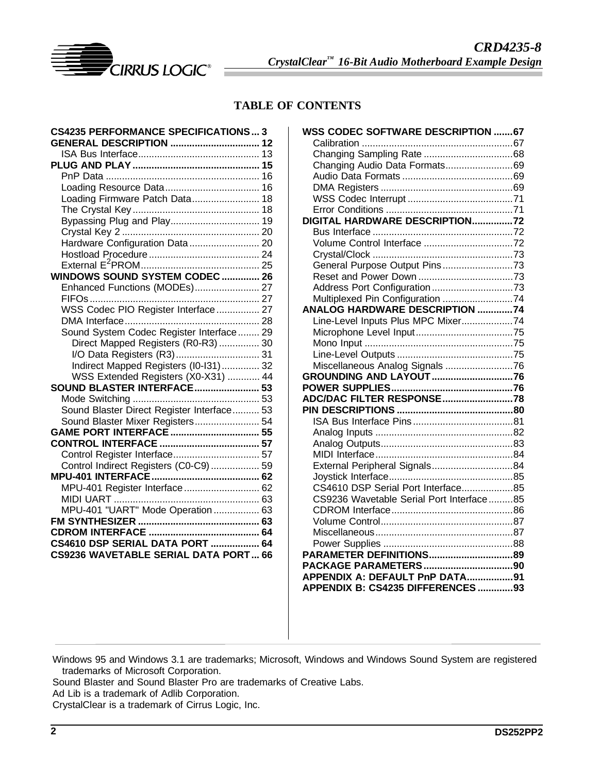

## **TABLE OF CONTENTS**

| <b>CS4235 PERFORMANCE SPECIFICATIONS 3</b><br>GENERAL DESCRIPTION  12 |  |
|-----------------------------------------------------------------------|--|
|                                                                       |  |
|                                                                       |  |
|                                                                       |  |
|                                                                       |  |
| Loading Firmware Patch Data 18                                        |  |
|                                                                       |  |
| Bypassing Plug and Play 19                                            |  |
|                                                                       |  |
| Hardware Configuration Data  20                                       |  |
|                                                                       |  |
|                                                                       |  |
| <b>WINDOWS SOUND SYSTEM CODEC  26</b>                                 |  |
| Enhanced Functions (MODEs) 27                                         |  |
|                                                                       |  |
|                                                                       |  |
| WSS Codec PIO Register Interface  27                                  |  |
|                                                                       |  |
| Sound System Codec Register Interface 29                              |  |
| Direct Mapped Registers (R0-R3)  30                                   |  |
| I/O Data Registers (R3) 31                                            |  |
| Indirect Mapped Registers (I0-I31) 32                                 |  |
| WSS Extended Registers (X0-X31)  44                                   |  |
| SOUND BLASTER INTERFACE 53                                            |  |
|                                                                       |  |
| Sound Blaster Direct Register Interface 53                            |  |
| Sound Blaster Mixer Registers 54                                      |  |
|                                                                       |  |
|                                                                       |  |
|                                                                       |  |
| Control Indirect Registers (C0-C9)  59                                |  |
|                                                                       |  |
| MPU-401 Register Interface 62                                         |  |
|                                                                       |  |
| MPU-401 "UART" Mode Operation  63                                     |  |
|                                                                       |  |
|                                                                       |  |
| <b>CS4610 DSP SERIAL DATA PORT  64</b>                                |  |
| CS9236 WAVETABLE SERIAL DATA PORT 66                                  |  |
|                                                                       |  |

| <b>WSS CODEC SOFTWARE DESCRIPTION 67</b> |  |
|------------------------------------------|--|
|                                          |  |
|                                          |  |
| Changing Audio Data Formats69            |  |
|                                          |  |
|                                          |  |
|                                          |  |
|                                          |  |
| DIGITAL HARDWARE DESCRIPTION72           |  |
|                                          |  |
|                                          |  |
|                                          |  |
| General Purpose Output Pins73            |  |
|                                          |  |
|                                          |  |
| Multiplexed Pin Configuration 74         |  |
| ANALOG HARDWARE DESCRIPTION 74           |  |
| Line-Level Inputs Plus MPC Mixer74       |  |
|                                          |  |
|                                          |  |
|                                          |  |
| Miscellaneous Analog Signals 76          |  |
| GROUNDING AND LAYOUT 76                  |  |
|                                          |  |
| ADC/DAC FILTER RESPONSE78                |  |
|                                          |  |
|                                          |  |
|                                          |  |
|                                          |  |
|                                          |  |
|                                          |  |
| External Peripheral Signals84            |  |
| CS4610 DSP Serial Port Interface85       |  |
|                                          |  |
| CS9236 Wavetable Serial Port Interface85 |  |
|                                          |  |
|                                          |  |
|                                          |  |
|                                          |  |
| PARAMETER DEFINITIONS89                  |  |
|                                          |  |
| APPENDIX A: DEFAULT PnP DATA91           |  |
| APPENDIX B: CS4235 DIFFERENCES 93        |  |

Windows 95 and Windows 3.1 are trademarks; Microsoft, Windows and Windows Sound System are registered trademarks of Microsoft Corporation.

Sound Blaster and Sound Blaster Pro are trademarks of Creative Labs.

Ad Lib is a trademark of Adlib Corporation.

CrystalClear is a trademark of Cirrus Logic, Inc.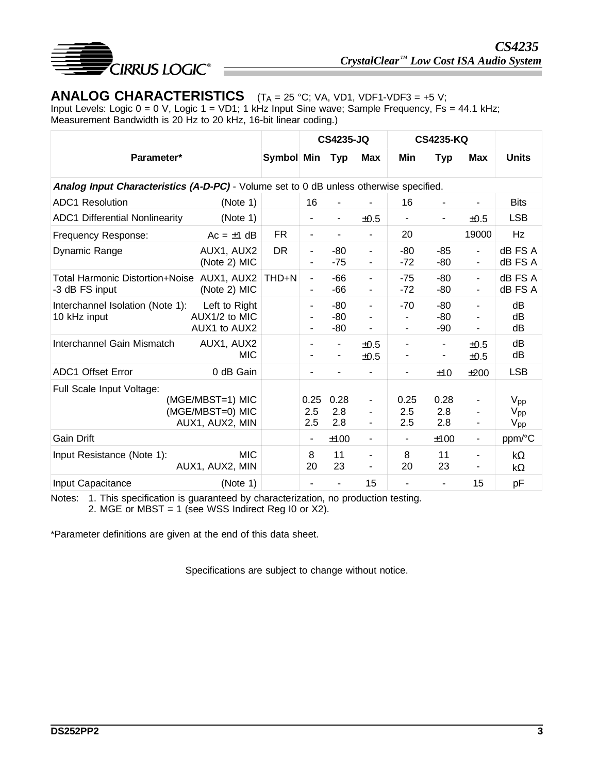

# **ANALOG CHARACTERISTICS**  $(T_A = 25 \text{ °C}; V_A, V_D1, VDF1-VDF3 = +5 V;$

Input Levels: Logic 0 = 0 V, Logic 1 = VD1; 1 kHz Input Sine wave; Sample Frequency, Fs = 44.1 kHz; Measurement Bandwidth is 20 Hz to 20 kHz, 16-bit linear coding.)

|                                                                                        |                                                         |            |                    | <b>CS4235-JQ</b>      |                                                      |                    | <b>CS4235-KQ</b>    |                                                      |                                                                  |
|----------------------------------------------------------------------------------------|---------------------------------------------------------|------------|--------------------|-----------------------|------------------------------------------------------|--------------------|---------------------|------------------------------------------------------|------------------------------------------------------------------|
| Parameter*                                                                             |                                                         | Symbol Min |                    | <b>Typ</b>            | <b>Max</b>                                           | Min                | Typ                 | <b>Max</b>                                           | <b>Units</b>                                                     |
| Analog Input Characteristics (A-D-PC) - Volume set to 0 dB unless otherwise specified. |                                                         |            |                    |                       |                                                      |                    |                     |                                                      |                                                                  |
| <b>ADC1</b> Resolution                                                                 | (Note 1)                                                |            | 16                 |                       |                                                      | 16                 |                     |                                                      | <b>Bits</b>                                                      |
| <b>ADC1 Differential Nonlinearity</b>                                                  | (Note 1)                                                |            |                    |                       | ±0.5                                                 | -                  |                     | ±0.5                                                 | <b>LSB</b>                                                       |
| Frequency Response:                                                                    | $Ac = \pm 1$ dB                                         | <b>FR</b>  |                    |                       | $\blacksquare$                                       | 20                 |                     | 19000                                                | Hz                                                               |
| Dynamic Range                                                                          | AUX1, AUX2<br>(Note 2) MIC                              | <b>DR</b>  |                    | $-80$<br>$-75$        | $\overline{\phantom{a}}$<br>$\blacksquare$           | $-80$<br>$-72$     | $-85$<br>$-80$      | $\overline{\phantom{a}}$<br>$\overline{\phantom{a}}$ | dB FS A<br>dB FS A                                               |
| Total Harmonic Distortion+Noise AUX1, AUX2<br>-3 dB FS input                           | (Note 2) MIC                                            | THD+N      | $\blacksquare$     | $-66$<br>-66          | $\overline{\phantom{a}}$                             | $-75$<br>$-72$     | $-80$<br>-80        | $\blacksquare$<br>$\overline{\phantom{a}}$           | dB FS A<br>dB FS A                                               |
| Interchannel Isolation (Note 1):<br>10 kHz input                                       | Left to Right<br>AUX1/2 to MIC<br>AUX1 to AUX2          |            | ٠                  | $-80$<br>$-80$<br>-80 | $\blacksquare$                                       | $-70$              | $-80$<br>-80<br>-90 | ٠                                                    | dB<br>dB<br>dB                                                   |
| Interchannel Gain Mismatch                                                             | AUX1, AUX2<br><b>MIC</b>                                |            |                    |                       | ±0.5<br>±0.5                                         |                    | ٠                   | ±0.5<br>±0.5                                         | dB<br>dB                                                         |
| <b>ADC1 Offset Error</b>                                                               | 0 dB Gain                                               |            | $\blacksquare$     |                       |                                                      | -                  | ±10                 | ±200                                                 | <b>LSB</b>                                                       |
| Full Scale Input Voltage:                                                              | (MGE/MBST=1) MIC<br>(MGE/MBST=0) MIC<br>AUX1, AUX2, MIN |            | 0.25<br>2.5<br>2.5 | 0.28<br>2.8<br>2.8    | $\overline{\phantom{a}}$<br>$\overline{\phantom{a}}$ | 0.25<br>2.5<br>2.5 | 0.28<br>2.8<br>2.8  | ۰<br>-<br>$\frac{1}{2}$                              | V <sub>pp</sub><br>$\mathsf{V}_{\mathsf{pp}}$<br>$V_{\text{pp}}$ |
| <b>Gain Drift</b>                                                                      |                                                         |            | $\blacksquare$     | ±100                  | $\overline{\phantom{a}}$                             | ٠                  | ±100                | ۰                                                    | ppm/°C                                                           |
| Input Resistance (Note 1):                                                             | <b>MIC</b><br>AUX1, AUX2, MIN                           |            | 8<br>20            | 11<br>23              | $\blacksquare$<br>$\blacksquare$                     | 8<br>20            | 11<br>23            | ۰<br>-                                               | $k\Omega$<br>kΩ                                                  |
| Input Capacitance                                                                      | (Note 1)                                                |            |                    |                       | 15                                                   |                    |                     | 15                                                   | pF                                                               |

Notes: 1. This specification is guaranteed by characterization, no production testing.

2. MGE or MBST = 1 (see WSS Indirect Reg I0 or  $X2$ ).

\*Parameter definitions are given at the end of this data sheet.

Specifications are subject to change without notice.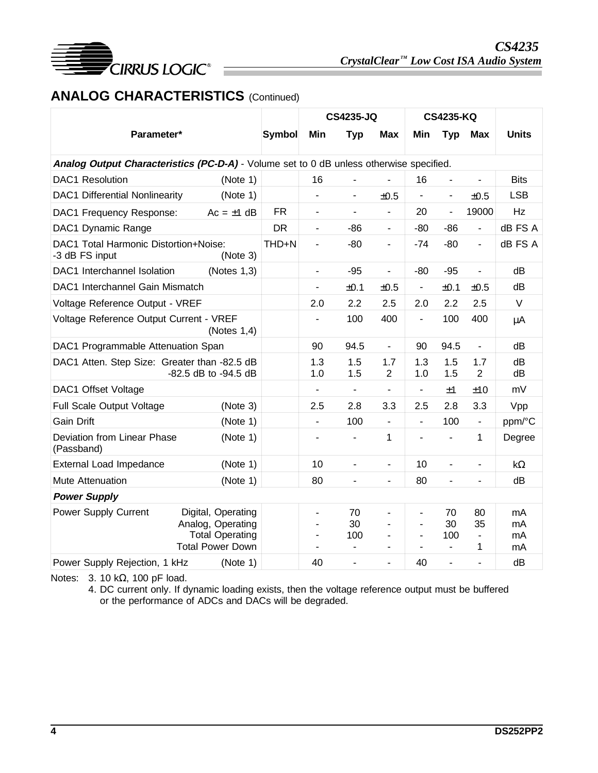

# **ANALOG CHARACTERISTICS** (Continued)

|                                                                                         |                                                                                              |               |                          | <b>CS4235-JQ</b>         |                               |                              | <b>CS4235-KQ</b>         |                                 |                       |
|-----------------------------------------------------------------------------------------|----------------------------------------------------------------------------------------------|---------------|--------------------------|--------------------------|-------------------------------|------------------------------|--------------------------|---------------------------------|-----------------------|
| Parameter*                                                                              |                                                                                              | <b>Symbol</b> | Min                      | <b>Typ</b>               | <b>Max</b>                    | Min                          | <b>Typ</b>               | <b>Max</b>                      | <b>Units</b>          |
| Analog Output Characteristics (PC-D-A) - Volume set to 0 dB unless otherwise specified. |                                                                                              |               |                          |                          |                               |                              |                          |                                 |                       |
| <b>DAC1</b> Resolution                                                                  | (Note 1)                                                                                     |               | 16                       | $\overline{\phantom{a}}$ |                               | 16                           |                          | $\overline{\phantom{m}}$        | <b>Bits</b>           |
| <b>DAC1 Differential Nonlinearity</b>                                                   | (Note 1)                                                                                     |               | ۰                        | -                        | ±0.5                          |                              | ۰                        | ±0.5                            | <b>LSB</b>            |
| DAC1 Frequency Response:                                                                | $Ac = \pm 1$ dB                                                                              | <b>FR</b>     |                          |                          |                               | 20                           | $\overline{\phantom{a}}$ | 19000                           | Hz                    |
| DAC1 Dynamic Range                                                                      |                                                                                              | <b>DR</b>     | $\overline{\phantom{a}}$ | $-86$                    | $\blacksquare$                | $-80$                        | $-86$                    | $\blacksquare$                  | dB FS A               |
| DAC1 Total Harmonic Distortion+Noise:<br>-3 dB FS input                                 | (Note 3)                                                                                     | THD+N         |                          | $-80$                    | $\blacksquare$                | $-74$                        | $-80$                    | $\overline{\phantom{a}}$        | dB FS A               |
| DAC1 Interchannel Isolation                                                             | (Notes $1,3$ )                                                                               |               | ä,                       | $-95$                    | $\blacksquare$                | $-80$                        | $-95$                    | $\blacksquare$                  | dB                    |
| DAC1 Interchannel Gain Mismatch                                                         |                                                                                              |               | -                        | ±0.1                     | ±0.5                          |                              | ±0.1                     | ±0.5                            | dB                    |
| Voltage Reference Output - VREF                                                         |                                                                                              |               | 2.0                      | 2.2                      | 2.5                           | 2.0                          | 2.2                      | 2.5                             | V                     |
| Voltage Reference Output Current - VREF                                                 | (Notes $1,4$ )                                                                               |               |                          | 100                      | 400                           | ä,                           | 100                      | 400                             | μA                    |
| DAC1 Programmable Attenuation Span                                                      |                                                                                              |               | 90                       | 94.5                     | $\blacksquare$                | 90                           | 94.5                     | $\blacksquare$                  | dB                    |
| DAC1 Atten. Step Size: Greater than -82.5 dB                                            | -82.5 dB to -94.5 dB                                                                         |               | 1.3<br>1.0               | 1.5<br>1.5               | 1.7<br>2                      | 1.3<br>1.0                   | 1.5<br>1.5               | 1.7<br>$\overline{2}$           | dB<br>dB              |
| DAC1 Offset Voltage                                                                     |                                                                                              |               | $\blacksquare$           | $\blacksquare$           | ä,                            | $\qquad \qquad \blacksquare$ | ±1                       | ±10                             | mV                    |
| Full Scale Output Voltage                                                               | (Note 3)                                                                                     |               | 2.5                      | 2.8                      | 3.3                           | 2.5                          | 2.8                      | 3.3                             | Vpp                   |
| <b>Gain Drift</b>                                                                       | (Note 1)                                                                                     |               | $\blacksquare$           | 100                      | $\blacksquare$                | $\overline{\phantom{a}}$     | 100                      | $\blacksquare$                  | ppm/°C                |
| Deviation from Linear Phase<br>(Passband)                                               | (Note 1)                                                                                     |               | ۰                        | $\overline{\phantom{a}}$ | 1                             |                              |                          | 1                               | Degree                |
| <b>External Load Impedance</b>                                                          | (Note 1)                                                                                     |               | 10                       | ä,                       | $\blacksquare$                | 10                           |                          | $\blacksquare$                  | $k\Omega$             |
| Mute Attenuation                                                                        | (Note 1)                                                                                     |               | 80                       | $\blacksquare$           | $\blacksquare$                | 80                           | -                        | ٠                               | dB                    |
| <b>Power Supply</b>                                                                     |                                                                                              |               |                          |                          |                               |                              |                          |                                 |                       |
| Power Supply Current                                                                    | Digital, Operating<br>Analog, Operating<br><b>Total Operating</b><br><b>Total Power Down</b> |               | ٠                        | 70<br>30<br>100          | $\overline{\phantom{a}}$<br>٠ | ÷                            | 70<br>30<br>100          | 80<br>35<br>$\blacksquare$<br>1 | mA.<br>mA<br>mA<br>mA |
| Power Supply Rejection, 1 kHz                                                           | (Note 1)                                                                                     |               | 40                       |                          |                               | 40                           |                          |                                 | dB                    |

Notes: 3. 10 kΩ, 100 pF load.

4. DC current only. If dynamic loading exists, then the voltage reference output must be buffered or the performance of ADCs and DACs will be degraded.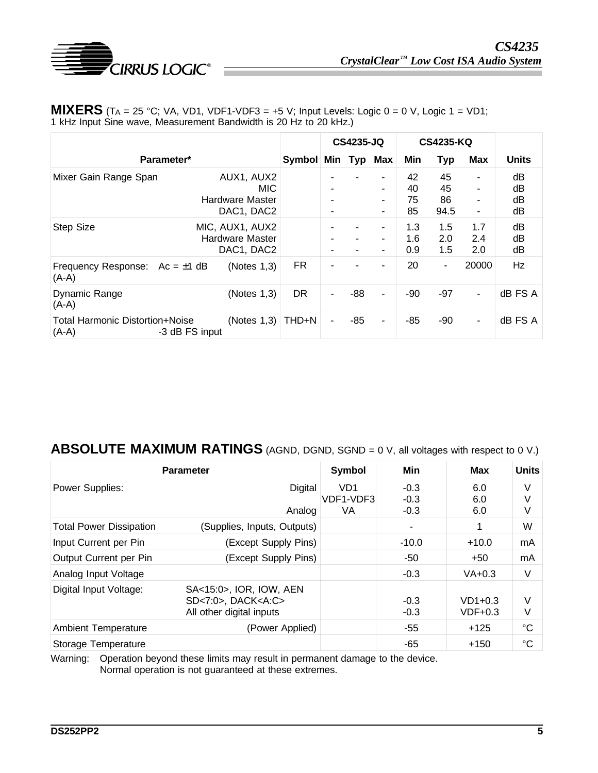

| <b>MIXERS</b> (TA = 25 °C; VA, VD1, VDF1-VDF3 = +5 V; Input Levels: Logic 0 = 0 V, Logic 1 = VD1; |
|---------------------------------------------------------------------------------------------------|
| 1 kHz Input Sine wave, Measurement Bandwidth is 20 Hz to 20 kHz.)                                 |

|                                                   |                |                                                     |           |   | <b>CS4235-JQ</b> |                          |                      | <b>CS4235-KQ</b>       |                   |                      |
|---------------------------------------------------|----------------|-----------------------------------------------------|-----------|---|------------------|--------------------------|----------------------|------------------------|-------------------|----------------------|
| Parameter*                                        |                |                                                     | Symbol    |   |                  | Min Typ Max              | <b>Min</b>           | <b>Typ</b>             | <b>Max</b>        | <b>Units</b>         |
| Mixer Gain Range Span                             |                | AUX1, AUX2<br>MIC.<br>Hardware Master<br>DAC1, DAC2 |           |   |                  | ۰<br>۰<br>۰              | 42<br>40<br>75<br>85 | 45<br>45<br>86<br>94.5 | ۰<br>٠            | dB<br>dB<br>dB<br>dВ |
| <b>Step Size</b>                                  |                | MIC, AUX1, AUX2<br>Hardware Master<br>DAC1, DAC2    |           |   |                  | ۰<br>$\blacksquare$<br>٠ | 1.3<br>1.6<br>0.9    | 1.5<br>2.0<br>1.5      | 1.7<br>2.4<br>2.0 | dB<br>dB<br>dB       |
| Frequency Response: $Ac = \pm 1$ dB<br>$(A-A)$    |                | (Notes $1,3$ )                                      | <b>FR</b> |   |                  | ٠                        | 20                   | ۰                      | 20000             | Hz                   |
| Dynamic Range<br>$(A-A)$                          |                | (Notes $1,3$ )                                      | <b>DR</b> | ۰ | -88              | ۰                        | $-90$                | $-97$                  | ۰                 | dB FS A              |
| <b>Total Harmonic Distortion+Noise</b><br>$(A-A)$ | -3 dB FS input | (Notes $1,3$ )                                      | THD+N     |   | -85              | ٠                        | $-85$                | -90                    | ۰                 | dB FS A              |

# **ABSOLUTE MAXIMUM RATINGS** (AGND, DGND, SGND = 0 V, all voltages with respect to 0 V.)

| <b>Parameter</b>                                                                                           | Symbol                      | Min                           | <b>Max</b>       | <b>Units</b>           |             |
|------------------------------------------------------------------------------------------------------------|-----------------------------|-------------------------------|------------------|------------------------|-------------|
| Power Supplies:                                                                                            | Digital                     | V <sub>D</sub> 1<br>VDF1-VDF3 | $-0.3$<br>$-0.3$ | 6.0<br>6.0             | V<br>V      |
|                                                                                                            | Analog                      | VA                            | $-0.3$           | 6.0                    | V           |
| <b>Total Power Dissipation</b>                                                                             | (Supplies, Inputs, Outputs) |                               |                  |                        | W           |
| Input Current per Pin<br>(Except Supply Pins)                                                              |                             |                               | $-10.0$          | $+10.0$                | mA          |
| Output Current per Pin                                                                                     | (Except Supply Pins)        |                               | -50              | $+50$                  | mA          |
| Analog Input Voltage                                                                                       |                             |                               | $-0.3$           | $VA+0.3$               | V           |
| Digital Input Voltage:<br>SA<15:0>, IOR, IOW, AEN<br>$SD < 7:0$ , $DACK < A:C$<br>All other digital inputs |                             |                               | $-0.3$<br>$-0.3$ | $VD1+0.3$<br>$VDF+0.3$ | V<br>V      |
| <b>Ambient Temperature</b>                                                                                 | (Power Applied)             |                               | $-55$            | $+125$                 | °C          |
| Storage Temperature                                                                                        |                             |                               | -65              | $+150$                 | $^{\circ}C$ |

Warning: Operation beyond these limits may result in permanent damage to the device. Normal operation is not guaranteed at these extremes.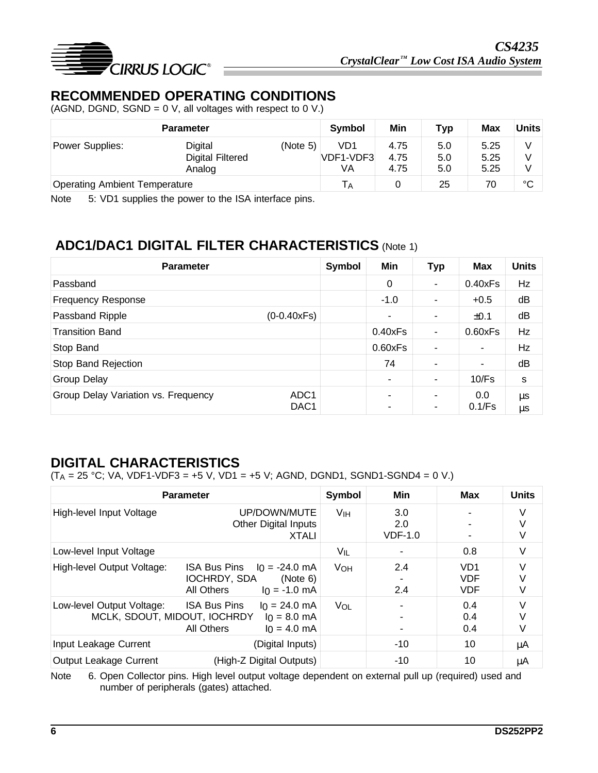

# **RECOMMENDED OPERATING CONDITIONS**

(AGND, DGND, SGND =  $0$  V, all voltages with respect to  $0$  V.)

| <b>Parameter</b>                     |                                    |          | <b>Symbol</b>    | Min                  | <b>Typ</b> | <b>Max</b>   | <b>Units</b> |
|--------------------------------------|------------------------------------|----------|------------------|----------------------|------------|--------------|--------------|
| Power Supplies:                      | Digital<br><b>Digital Filtered</b> | (Note 5) | VD1<br>VDF1-VDF3 | 4.75<br>4.75<br>4.75 | 5.0<br>5.0 | 5.25<br>5.25 | v<br>V       |
| <b>Operating Ambient Temperature</b> | Analog                             |          | VA               |                      | 5.0<br>25  | 5.25<br>70   | $^{\circ}C$  |

Note 5: VD1 supplies the power to the ISA interface pins.

# **ADC1/DAC1 DIGITAL FILTER CHARACTERISTICS** (Note 1)

| <b>Parameter</b>                                                            | Symbol | Min            | <b>Typ</b>               | <b>Max</b>    | <b>Units</b> |
|-----------------------------------------------------------------------------|--------|----------------|--------------------------|---------------|--------------|
| Passband                                                                    |        | 0              | $\blacksquare$           | 0.40xFs       | Hz           |
| <b>Frequency Response</b>                                                   |        | $-1.0$         | $\blacksquare$           | $+0.5$        | dB           |
| Passband Ripple<br>$(0-0.40xFs)$                                            |        | ٠              | $\blacksquare$           | ±0.1          | dB           |
| Transition Band                                                             |        | 0.40xFs        | $\blacksquare$           | 0.60xFs       | Hz           |
| Stop Band                                                                   |        | 0.60xFs        | $\blacksquare$           | ٠             | Hz           |
| Stop Band Rejection                                                         |        | 74             | ٠                        | ۰             | dB           |
| <b>Group Delay</b>                                                          |        | ۰              | $\overline{\phantom{a}}$ | 10/Fs         | s            |
| Group Delay Variation vs. Frequency<br>ADC <sub>1</sub><br>DAC <sub>1</sub> |        | $\blacksquare$ | $\blacksquare$<br>٠      | 0.0<br>0.1/Fs | μs<br>μs     |

# **DIGITAL CHARACTERISTICS**

 $(T_A = 25 °C$ ; VA, VDF1-VDF3 = +5 V, VD1 = +5 V; AGND, DGND1, SGND1-SGND4 = 0 V.)

| <b>Parameter</b>                                          |                                                                                                      |                       | <b>Min</b>              | <b>Max</b>                                  | <b>Units</b> |
|-----------------------------------------------------------|------------------------------------------------------------------------------------------------------|-----------------------|-------------------------|---------------------------------------------|--------------|
| High-level Input Voltage                                  | UP/DOWN/MUTE<br><b>Other Digital Inputs</b><br><b>XTALI</b>                                          | V <sub>IH</sub>       | 3.0<br>2.0<br>$VDF-1.0$ |                                             | V<br>V       |
| Low-level Input Voltage                                   |                                                                                                      | V <sub>IL</sub>       |                         | 0.8                                         | V            |
| High-level Output Voltage:                                | <b>ISA Bus Pins</b><br>$I_0 = -24.0$ mA<br>IOCHRDY, SDA<br>(Note 6)<br>All Others<br>$I_0 = -1.0$ mA | <b>V<sub>OH</sub></b> | 2.4<br>2.4              | VD <sub>1</sub><br><b>VDF</b><br><b>VDF</b> | V            |
| Low-level Output Voltage:<br>MCLK, SDOUT, MIDOUT, IOCHRDY | VOL<br>$I_0 = 24.0$ mA<br>$I_0 = 8.0$ mA<br>$I_0 = 4.0$ mA                                           |                       | 0.4<br>0.4<br>0.4       | V<br>V                                      |              |
| Input Leakage Current                                     | (Digital Inputs)                                                                                     |                       | $-10$                   | 10                                          | μA           |
| Output Leakage Current                                    | (High-Z Digital Outputs)                                                                             |                       | $-10$                   | 10                                          | μA           |

Note 6. Open Collector pins. High level output voltage dependent on external pull up (required) used and number of peripherals (gates) attached.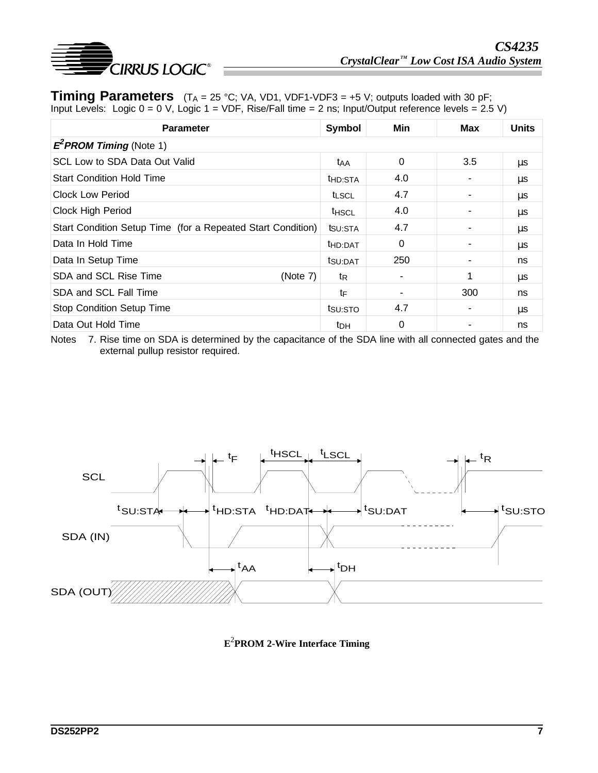

**Timing Parameters**  $(T_A = 25 \text{ °C}; VA, VDI, VDF1-VDF3 = +5 V; outputs loaded with 30 pF;$ Input Levels: Logic 0 = 0 V, Logic 1 = VDF, Rise/Fall time = 2 ns; Input/Output reference levels = 2.5 V)

| <b>Parameter</b>                                            | Symbol              | Min | Max | <b>Units</b> |
|-------------------------------------------------------------|---------------------|-----|-----|--------------|
| $E^2$ PROM Timing (Note 1)                                  |                     |     |     |              |
| SCL Low to SDA Data Out Valid                               | <b>t</b> AA         | 0   | 3.5 | μs           |
| <b>Start Condition Hold Time</b>                            | t <sub>HD:STA</sub> | 4.0 |     | μs           |
| <b>Clock Low Period</b>                                     | <b>t</b> LSCL       | 4.7 |     | $\mu s$      |
| Clock High Period                                           | <b>THSCL</b>        | 4.0 |     | μs           |
| Start Condition Setup Time (for a Repeated Start Condition) | tsu:STA             | 4.7 |     | μs           |
| Data In Hold Time                                           | t <sub>HD:DAT</sub> | 0   |     | μs           |
| Data In Setup Time                                          | tsu:DAT             | 250 |     | ns           |
| <b>SDA and SCL Rise Time</b><br>(Note 7)                    | tR                  |     | 1   | μs           |
| <b>SDA and SCL Fall Time</b>                                | tF                  |     | 300 | ns           |
| <b>Stop Condition Setup Time</b>                            | tsu:STO             | 4.7 |     | μs           |
| Data Out Hold Time                                          | t <sub>DH</sub>     | 0   |     | ns           |

Notes 7. Rise time on SDA is determined by the capacitance of the SDA line with all connected gates and the external pullup resistor required.



**E**2 **PROM 2-Wire Interface Timing**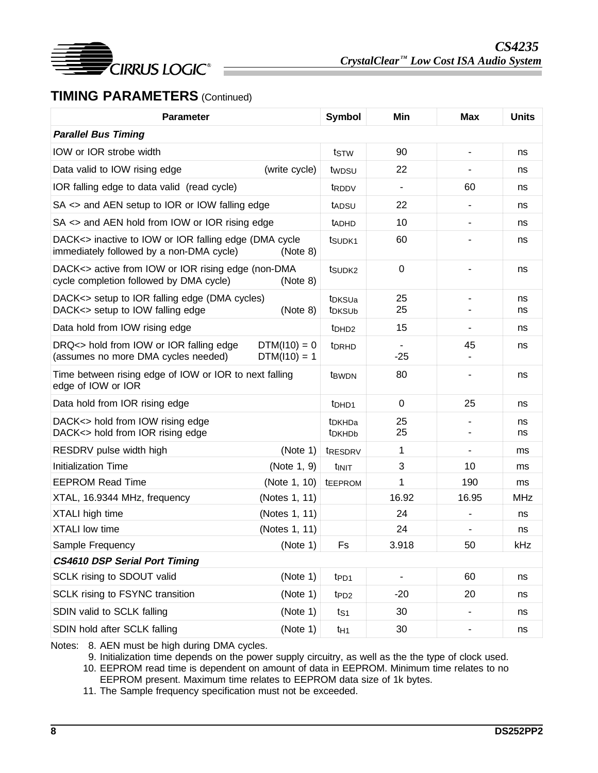

# **TIMING PARAMETERS** (Continued)

| <b>Parameter</b>                                                                                  |                                  | Symbol                                   | Min                      | <b>Max</b> | <b>Units</b> |
|---------------------------------------------------------------------------------------------------|----------------------------------|------------------------------------------|--------------------------|------------|--------------|
| <b>Parallel Bus Timing</b>                                                                        |                                  |                                          |                          |            |              |
| IOW or IOR strobe width                                                                           |                                  | tstw                                     | 90                       |            | ns           |
| Data valid to IOW rising edge                                                                     | (write cycle)                    | twpsu                                    | 22                       |            | ns           |
| IOR falling edge to data valid (read cycle)                                                       |                                  | t <sub>RDDV</sub>                        | $\overline{\phantom{a}}$ | 60         | ns           |
| SA <> and AEN setup to IOR or IOW falling edge                                                    |                                  | tadsu                                    | 22                       |            | ns           |
| $SA \leq$ and AEN hold from IOW or IOR rising edge                                                |                                  | <b>TADHD</b>                             | 10                       |            | ns           |
| DACK<> inactive to IOW or IOR falling edge (DMA cycle<br>immediately followed by a non-DMA cycle) | (Note 8)                         | t <sub>SUDK1</sub>                       | 60                       |            | ns           |
| DACK<> active from IOW or IOR rising edge (non-DMA<br>cycle completion followed by DMA cycle)     | (Note 8)                         | tsu <sub>DK2</sub>                       | $\mathbf 0$              |            | ns           |
| DACK<> setup to IOR falling edge (DMA cycles)<br>DACK<> setup to IOW falling edge                 | (Note 8)                         | t <sub>DKSUa</sub><br>t <sub>DKSUb</sub> | 25<br>25                 |            | ns<br>ns     |
| Data hold from IOW rising edge                                                                    |                                  | t <sub>DHD2</sub>                        | 15                       |            | ns           |
| DRQ<> hold from IOW or IOR falling edge<br>(assumes no more DMA cycles needed)                    | $DTM(110) = 0$<br>$DTM(110) = 1$ | t <sub>DRHD</sub>                        | $-25$                    | 45         | ns           |
| Time between rising edge of IOW or IOR to next falling<br>edge of IOW or IOR                      |                                  | t <sub>BWDN</sub>                        | 80                       |            | ns           |
| Data hold from IOR rising edge                                                                    |                                  | t <sub>DHD1</sub>                        | 0                        | 25         | ns           |
| DACK<> hold from IOW rising edge<br>DACK<> hold from IOR rising edge                              |                                  | t <sub>DKHDa</sub><br>t <sub>DKHDb</sub> | 25<br>25                 |            | ns<br>ns     |
| RESDRV pulse width high                                                                           | (Note 1)                         | tRESDRV                                  | 1                        |            | ms           |
| <b>Initialization Time</b>                                                                        | (Note 1, 9)                      | tinit                                    | 3                        | 10         | ms           |
| <b>EEPROM Read Time</b>                                                                           | (Note 1, 10)                     | tEEPROM                                  | 1                        | 190        | ms           |
| XTAL, 16.9344 MHz, frequency                                                                      | (Notes 1, 11)                    |                                          | 16.92                    | 16.95      | <b>MHz</b>   |
| XTALI high time                                                                                   | (Notes 1, 11)                    |                                          | 24                       |            | ns           |
| <b>XTALI</b> low time                                                                             | (Notes 1, 11)                    |                                          | 24                       |            | ns           |
| Sample Frequency                                                                                  | (Note 1) $ $                     | Fs                                       | 3.918                    | 50         | kHz          |
| <b>CS4610 DSP Serial Port Timing</b>                                                              |                                  |                                          |                          |            |              |
| SCLK rising to SDOUT valid                                                                        | (Note 1)                         | t <sub>PD1</sub>                         |                          | 60         | ns           |
| SCLK rising to FSYNC transition                                                                   | (Note 1)                         | t <sub>PD2</sub>                         | $-20$                    | 20         | ns           |
| SDIN valid to SCLK falling                                                                        | (Note 1)                         | ts1                                      | 30                       |            | ns           |
| SDIN hold after SCLK falling                                                                      | (Note 1)                         | t <sub>H1</sub>                          | 30                       | ۰          | ns           |

Notes: 8. AEN must be high during DMA cycles.

9. Initialization time depends on the power supply circuitry, as well as the the type of clock used. 10. EEPROM read time is dependent on amount of data in EEPROM. Minimum time relates to no

EEPROM present. Maximum time relates to EEPROM data size of 1k bytes.

11. The Sample frequency specification must not be exceeded.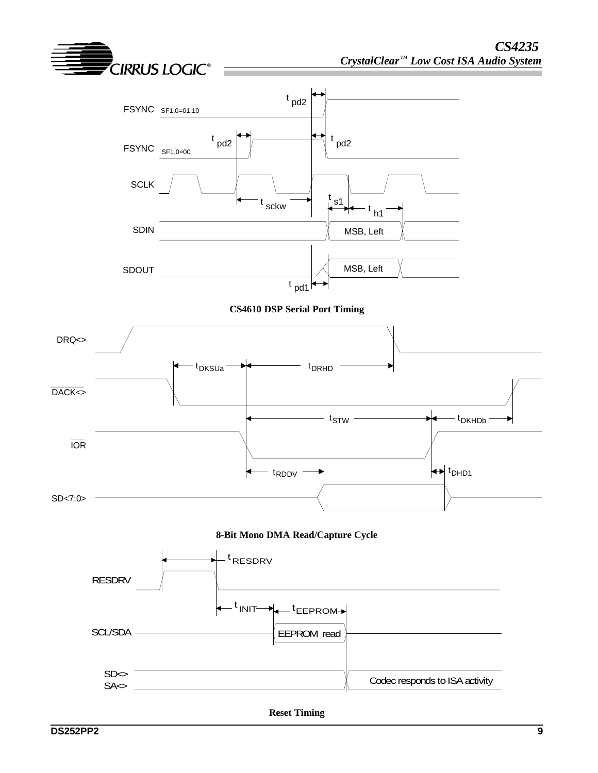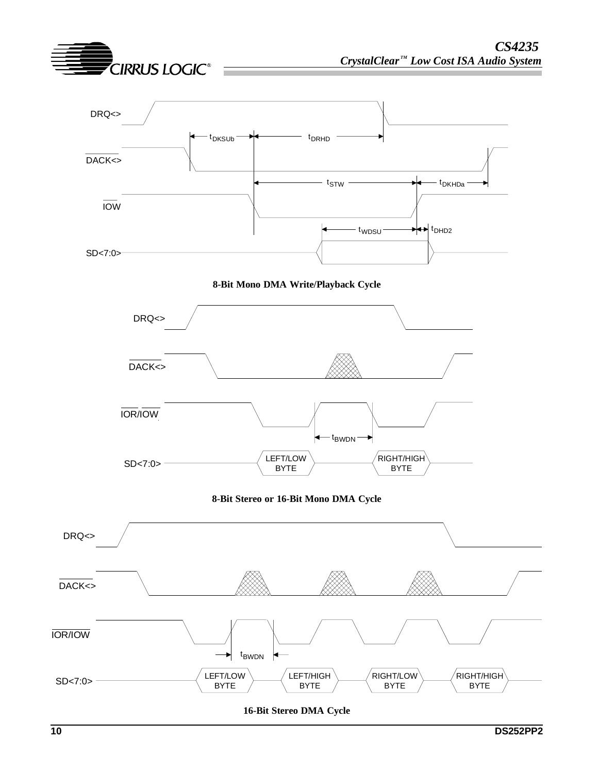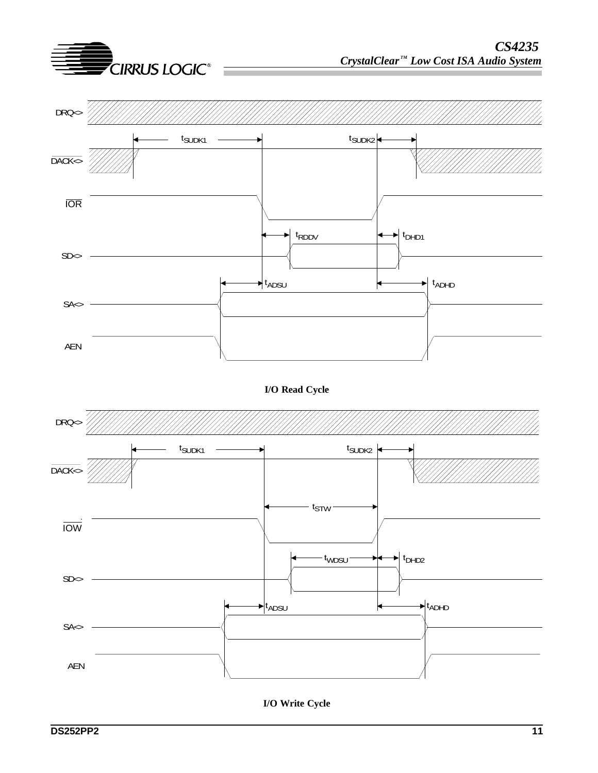

**I/O Write Cycle**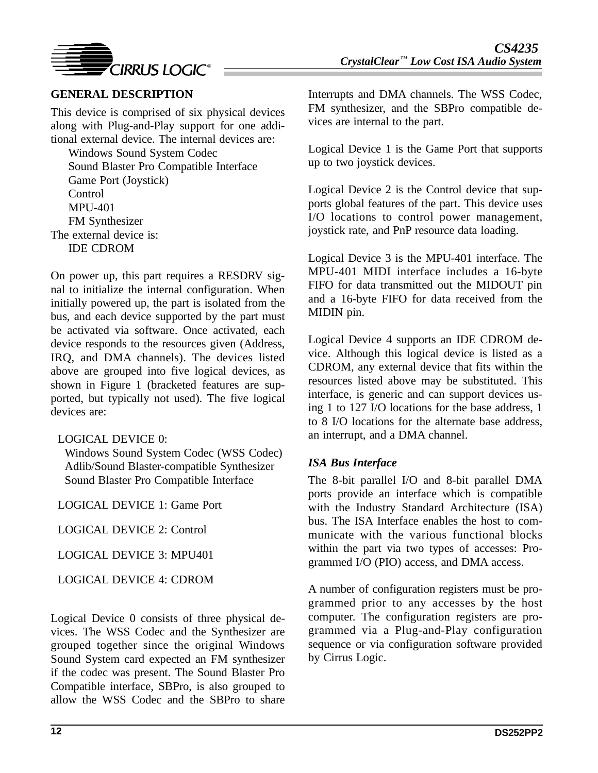

## **GENERAL DESCRIPTION**

This device is comprised of six physical devices along with Plug-and-Play support for one additional external device. The internal devices are:

Windows Sound System Codec Sound Blaster Pro Compatible Interface Game Port (Joystick) Control MPU-401 FM Synthesizer The external device is: IDE CDROM

On power up, this part requires a RESDRV signal to initialize the internal configuration. When initially powered up, the part is isolated from the bus, and each device supported by the part must be activated via software. Once activated, each device responds to the resources given (Address, IRQ, and DMA channels). The devices listed above are grouped into five logical devices, as shown in Figure 1 (bracketed features are supported, but typically not used). The five logical devices are:

### LOGICAL DEVICE 0:

Windows Sound System Codec (WSS Codec) Adlib/Sound Blaster-compatible Synthesizer Sound Blaster Pro Compatible Interface

LOGICAL DEVICE 1: Game Port

LOGICAL DEVICE 2: Control

LOGICAL DEVICE 3: MPU401

LOGICAL DEVICE 4: CDROM

Logical Device 0 consists of three physical devices. The WSS Codec and the Synthesizer are grouped together since the original Windows Sound System card expected an FM synthesizer if the codec was present. The Sound Blaster Pro Compatible interface, SBPro, is also grouped to allow the WSS Codec and the SBPro to share

Interrupts and DMA channels. The WSS Codec, FM synthesizer, and the SBPro compatible devices are internal to the part.

Logical Device 1 is the Game Port that supports up to two joystick devices.

Logical Device 2 is the Control device that supports global features of the part. This device uses I/O locations to control power management, joystick rate, and PnP resource data loading.

Logical Device 3 is the MPU-401 interface. The MPU-401 MIDI interface includes a 16-byte FIFO for data transmitted out the MIDOUT pin and a 16-byte FIFO for data received from the MIDIN pin.

Logical Device 4 supports an IDE CDROM device. Although this logical device is listed as a CDROM, any external device that fits within the resources listed above may be substituted. This interface, is generic and can support devices using 1 to 127 I/O locations for the base address, 1 to 8 I/O locations for the alternate base address, an interrupt, and a DMA channel.

### *ISA Bus Interface*

The 8-bit parallel I/O and 8-bit parallel DMA ports provide an interface which is compatible with the Industry Standard Architecture (ISA) bus. The ISA Interface enables the host to communicate with the various functional blocks within the part via two types of accesses: Programmed I/O (PIO) access, and DMA access.

A number of configuration registers must be programmed prior to any accesses by the host computer. The configuration registers are programmed via a Plug-and-Play configuration sequence or via configuration software provided by Cirrus Logic.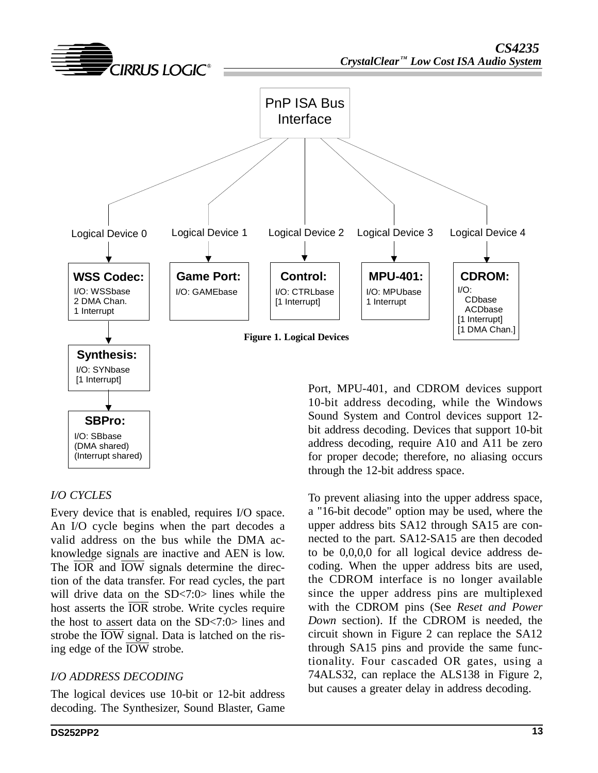

### *I/O CYCLES*

Every device that is enabled, requires I/O space. An I/O cycle begins when the part decodes a valid address on the bus while the DMA acknowledge signals are inactive and AEN is low. The  $\overline{IOR}$  and  $\overline{IOW}$  signals determine the direction of the data transfer. For read cycles, the part will drive data on the SD<7:0> lines while the host asserts the  $\overline{IOR}$  strobe. Write cycles require the host to assert data on the SD<7:0> lines and strobe the  $\overline{IOW}$  signal. Data is latched on the rising edge of the IOW strobe.

### *I/O ADDRESS DECODING*

The logical devices use 10-bit or 12-bit address decoding. The Synthesizer, Sound Blaster, Game

Port, MPU-401, and CDROM devices support 10-bit address decoding, while the Windows Sound System and Control devices support 12 bit address decoding. Devices that support 10-bit address decoding, require A10 and A11 be zero for proper decode; therefore, no aliasing occurs through the 12-bit address space.

To prevent aliasing into the upper address space, a "16-bit decode" option may be used, where the upper address bits SA12 through SA15 are connected to the part. SA12-SA15 are then decoded to be 0,0,0,0 for all logical device address decoding. When the upper address bits are used, the CDROM interface is no longer available since the upper address pins are multiplexed with the CDROM pins (See *Reset and Power Down* section). If the CDROM is needed, the circuit shown in Figure 2 can replace the SA12 through SA15 pins and provide the same functionality. Four cascaded OR gates, using a 74ALS32, can replace the ALS138 in Figure 2, but causes a greater delay in address decoding.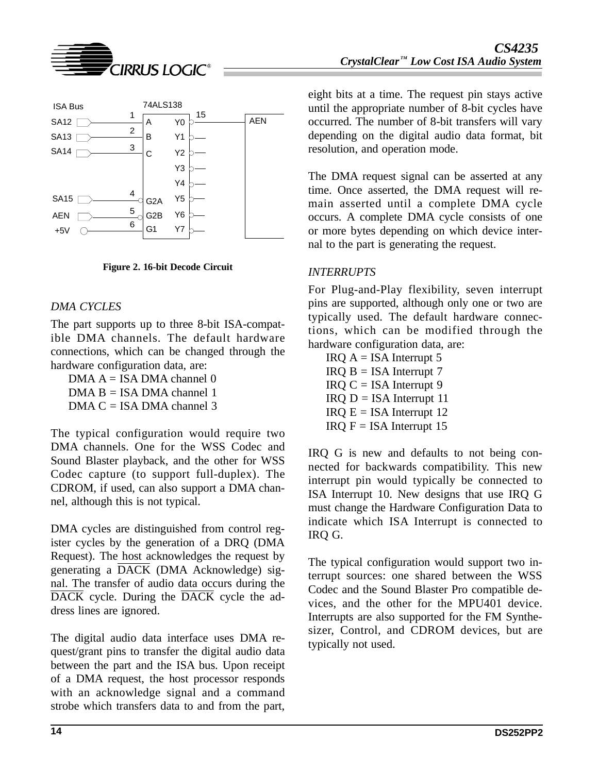



**Figure 2. 16-bit Decode Circuit**

### *DMA CYCLES*

The part supports up to three 8-bit ISA-compatible DMA channels. The default hardware connections, which can be changed through the hardware configuration data, are:

DMA  $A = ISA$  DMA channel 0  $DMA B = ISA DMA channel 1$  $DMA C = ISA$  DMA channel 3

The typical configuration would require two DMA channels. One for the WSS Codec and Sound Blaster playback, and the other for WSS Codec capture (to support full-duplex). The CDROM, if used, can also support a DMA channel, although this is not typical.

DMA cycles are distinguished from control register cycles by the generation of a DRQ (DMA Request). The host acknowledges the request by generating a DACK (DMA Acknowledge) signal. The transfer of audio data occurs during the DACK cycle. During the DACK cycle the address lines are ignored.

The digital audio data interface uses DMA request/grant pins to transfer the digital audio data between the part and the ISA bus. Upon receipt of a DMA request, the host processor responds with an acknowledge signal and a command strobe which transfers data to and from the part,

eight bits at a time. The request pin stays active until the appropriate number of 8-bit cycles have occurred. The number of 8-bit transfers will vary depending on the digital audio data format, bit resolution, and operation mode.

The DMA request signal can be asserted at any time. Once asserted, the DMA request will remain asserted until a complete DMA cycle occurs. A complete DMA cycle consists of one or more bytes depending on which device internal to the part is generating the request.

### *INTERRUPTS*

For Plug-and-Play flexibility, seven interrupt pins are supported, although only one or two are typically used. The default hardware connections, which can be modified through the hardware configuration data, are:

 $IRQ A = ISA$  Interrupt 5  $IRQ B = ISA$  Interrupt 7  $IRQ C = ISA$  Interrupt 9  $IRQ$  D = ISA Interrupt 11  $IRQ E = ISA$  Interrupt 12  $IRQ F = ISA$  Interrupt 15

IRQ G is new and defaults to not being connected for backwards compatibility. This new interrupt pin would typically be connected to ISA Interrupt 10. New designs that use IRQ G must change the Hardware Configuration Data to indicate which ISA Interrupt is connected to IRQ G.

The typical configuration would support two interrupt sources: one shared between the WSS Codec and the Sound Blaster Pro compatible devices, and the other for the MPU401 device. Interrupts are also supported for the FM Synthesizer, Control, and CDROM devices, but are typically not used.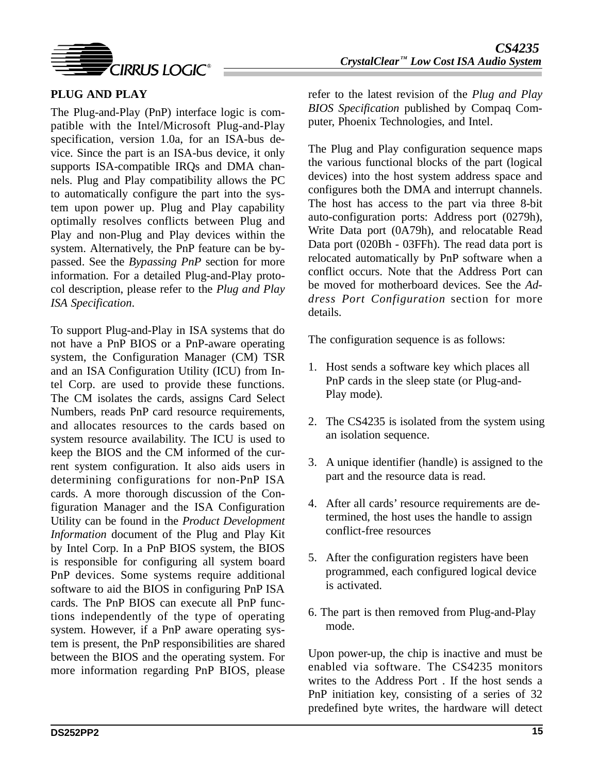

## **PLUG AND PLAY**

The Plug-and-Play (PnP) interface logic is compatible with the Intel/Microsoft Plug-and-Play specification, version 1.0a, for an ISA-bus device. Since the part is an ISA-bus device, it only supports ISA-compatible IRQs and DMA channels. Plug and Play compatibility allows the PC to automatically configure the part into the system upon power up. Plug and Play capability optimally resolves conflicts between Plug and Play and non-Plug and Play devices within the system. Alternatively, the PnP feature can be bypassed. See the *Bypassing PnP* section for more information. For a detailed Plug-and-Play protocol description, please refer to the *Plug and Play ISA Specification*.

To support Plug-and-Play in ISA systems that do not have a PnP BIOS or a PnP-aware operating system, the Configuration Manager (CM) TSR and an ISA Configuration Utility (ICU) from Intel Corp. are used to provide these functions. The CM isolates the cards, assigns Card Select Numbers, reads PnP card resource requirements, and allocates resources to the cards based on system resource availability. The ICU is used to keep the BIOS and the CM informed of the current system configuration. It also aids users in determining configurations for non-PnP ISA cards. A more thorough discussion of the Configuration Manager and the ISA Configuration Utility can be found in the *Product Development Information* document of the Plug and Play Kit by Intel Corp. In a PnP BIOS system, the BIOS is responsible for configuring all system board PnP devices. Some systems require additional software to aid the BIOS in configuring PnP ISA cards. The PnP BIOS can execute all PnP functions independently of the type of operating system. However, if a PnP aware operating system is present, the PnP responsibilities are shared between the BIOS and the operating system. For more information regarding PnP BIOS, please

refer to the latest revision of the *Plug and Play BIOS Specification* published by Compaq Computer, Phoenix Technologies, and Intel.

The Plug and Play configuration sequence maps the various functional blocks of the part (logical devices) into the host system address space and configures both the DMA and interrupt channels. The host has access to the part via three 8-bit auto-configuration ports: Address port (0279h), Write Data port (0A79h), and relocatable Read Data port (020Bh - 03FFh). The read data port is relocated automatically by PnP software when a conflict occurs. Note that the Address Port can be moved for motherboard devices. See the *Address Port Configuration* section for more details.

The configuration sequence is as follows:

- 1. Host sends a software key which places all PnP cards in the sleep state (or Plug-and-Play mode).
- 2. The CS4235 is isolated from the system using an isolation sequence.
- 3. A unique identifier (handle) is assigned to the part and the resource data is read.
- 4. After all cards' resource requirements are determined, the host uses the handle to assign conflict-free resources
- 5. After the configuration registers have been programmed, each configured logical device is activated.
- 6. The part is then removed from Plug-and-Play mode.

Upon power-up, the chip is inactive and must be enabled via software. The CS4235 monitors writes to the Address Port . If the host sends a PnP initiation key, consisting of a series of 32 predefined byte writes, the hardware will detect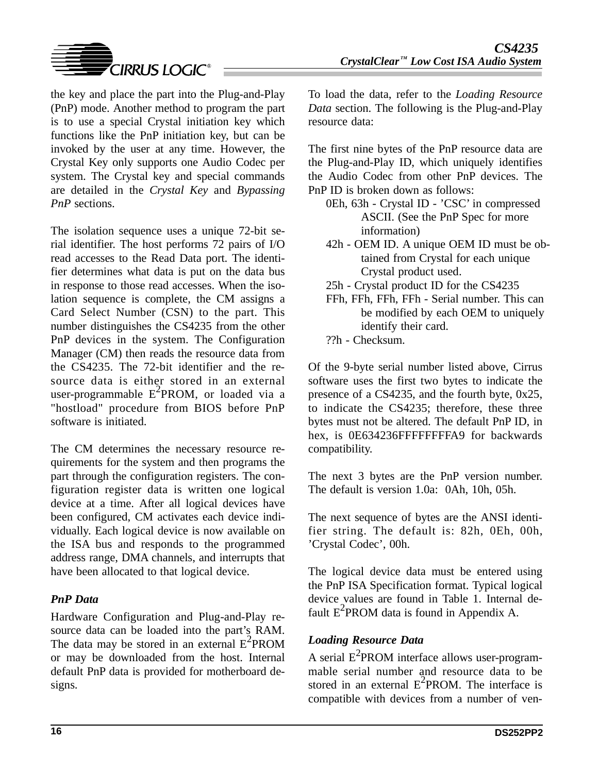

the key and place the part into the Plug-and-Play (PnP) mode. Another method to program the part is to use a special Crystal initiation key which functions like the PnP initiation key, but can be invoked by the user at any time. However, the Crystal Key only supports one Audio Codec per system. The Crystal key and special commands are detailed in the *Crystal Key* and *Bypassing PnP* sections.

The isolation sequence uses a unique 72-bit serial identifier. The host performs 72 pairs of I/O read accesses to the Read Data port. The identifier determines what data is put on the data bus in response to those read accesses. When the isolation sequence is complete, the CM assigns a Card Select Number (CSN) to the part. This number distinguishes the CS4235 from the other PnP devices in the system. The Configuration Manager (CM) then reads the resource data from the CS4235. The 72-bit identifier and the resource data is either stored in an external user-programmable  $E^2$ PROM, or loaded via a "hostload" procedure from BIOS before PnP software is initiated.

The CM determines the necessary resource requirements for the system and then programs the part through the configuration registers. The configuration register data is written one logical device at a time. After all logical devices have been configured, CM activates each device individually. Each logical device is now available on the ISA bus and responds to the programmed address range, DMA channels, and interrupts that have been allocated to that logical device.

### *PnP Data*

Hardware Configuration and Plug-and-Play resource data can be loaded into the part's RAM. The data may be stored in an external  $E^2$ PROM or may be downloaded from the host. Internal default PnP data is provided for motherboard designs.

To load the data, refer to the *Loading Resource Data* section. The following is the Plug-and-Play resource data:

The first nine bytes of the PnP resource data are the Plug-and-Play ID, which uniquely identifies the Audio Codec from other PnP devices. The PnP ID is broken down as follows:

- 0Eh, 63h Crystal ID 'CSC' in compressed ASCII. (See the PnP Spec for more information)
- 42h OEM ID. A unique OEM ID must be obtained from Crystal for each unique Crystal product used.
- 25h Crystal product ID for the CS4235
- FFh, FFh, FFh, FFh Serial number. This can be modified by each OEM to uniquely identify their card.
- ??h Checksum.

Of the 9-byte serial number listed above, Cirrus software uses the first two bytes to indicate the presence of a CS4235, and the fourth byte, 0x25, to indicate the CS4235; therefore, these three bytes must not be altered. The default PnP ID, in hex, is 0E634236FFFFFFFFA9 for backwards compatibility.

The next 3 bytes are the PnP version number. The default is version 1.0a: 0Ah, 10h, 05h.

The next sequence of bytes are the ANSI identifier string. The default is: 82h, 0Eh, 00h, 'Crystal Codec', 00h.

The logical device data must be entered using the PnP ISA Specification format. Typical logical device values are found in Table 1. Internal default  $E^2$ PROM data is found in Appendix A.

# *Loading Resource Data*

A serial  $E^2$ PROM interface allows user-programmable serial number and resource data to be stored in an external  $E^2$ PROM. The interface is compatible with devices from a number of ven-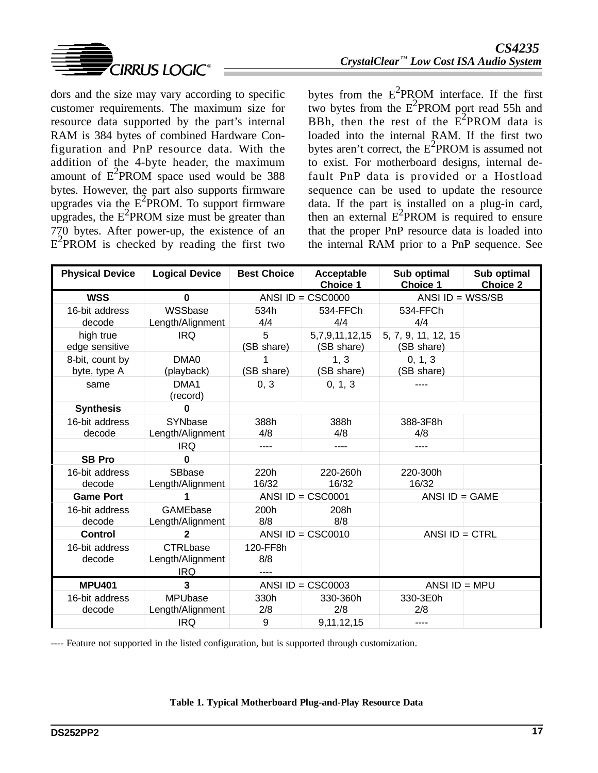

dors and the size may vary according to specific customer requirements. The maximum size for resource data supported by the part's internal RAM is 384 bytes of combined Hardware Configuration and PnP resource data. With the addition of the 4-byte header, the maximum amount of  $E^2$ PROM space used would be 388 bytes. However, the part also supports firmware upgrades via the  $E^2$ PROM. To support firmware upgrades, the  $E^2$ PROM size must be greater than 770 bytes. After power-up, the existence of an  $E^2$ PROM is checked by reading the first two

bytes from the  $E^2$ PROM interface. If the first two bytes from the  $E^2$ PROM port read 55h and BBh, then the rest of the  $E^2$ PROM data is loaded into the internal RAM. If the first two bytes aren't correct, the  $E^2$ PROM is assumed not to exist. For motherboard designs, internal default PnP data is provided or a Hostload sequence can be used to update the resource data. If the part is installed on a plug-in card, then an external  $E^2$ PROM is required to ensure that the proper PnP resource data is loaded into the internal RAM prior to a PnP sequence. See

| <b>Physical Device</b>          | <b>Logical Device</b>               | <b>Best Choice</b> | Acceptable<br><b>Choice 1</b> | Sub optimal<br><b>Choice 1</b>    | Sub optimal<br><b>Choice 2</b> |
|---------------------------------|-------------------------------------|--------------------|-------------------------------|-----------------------------------|--------------------------------|
| <b>WSS</b>                      | $\bf{0}$                            |                    | ANSI $ID = CSC0000$           | ANSI ID = $WSS/SB$                |                                |
| 16-bit address<br>decode        | WSSbase<br>Length/Alignment         | 534h<br>4/4        | 534-FFCh<br>4/4               | 534-FFCh<br>4/4                   |                                |
| high true<br>edge sensitive     | <b>IRQ</b>                          | 5<br>(SB share)    | 5,7,9,11,12,15<br>(SB share)  | 5, 7, 9, 11, 12, 15<br>(SB share) |                                |
| 8-bit, count by<br>byte, type A | DMA0<br>(playback)                  | (SB share)         | 1, 3<br>(SB share)            | 0, 1, 3<br>(SB share)             |                                |
| same                            | DMA1<br>(record)                    | 0, 3               | 0, 1, 3                       |                                   |                                |
| <b>Synthesis</b>                | $\mathbf{0}$                        |                    |                               |                                   |                                |
| 16-bit address<br>decode        | SYNbase<br>Length/Alignment         | 388h<br>4/8        | 388h<br>4/8                   | 388-3F8h<br>4/8                   |                                |
|                                 | <b>IRQ</b>                          |                    | ----                          | ----                              |                                |
| <b>SB Pro</b>                   | $\bf{0}$                            |                    |                               |                                   |                                |
| 16-bit address<br>decode        | SBbase<br>Length/Alignment          | 220h<br>16/32      | 220-260h<br>16/32             | 220-300h<br>16/32                 |                                |
| <b>Game Port</b>                |                                     |                    | ANSI $ID = CSC0001$           | ANSI $ID = GAME$                  |                                |
| 16-bit address<br>decode        | GAMEbase<br>Length/Alignment        | 200h<br>8/8        | 208h<br>8/8                   |                                   |                                |
| <b>Control</b>                  | $\mathbf{2}$                        |                    | ANSI ID = $CSC0010$           | ANSI $ID = CTRL$                  |                                |
| 16-bit address<br>decode        | <b>CTRLbase</b><br>Length/Alignment | 120-FF8h<br>8/8    |                               |                                   |                                |
|                                 | <b>IRQ</b>                          | ----               |                               |                                   |                                |
| <b>MPU401</b>                   | 3                                   |                    | ANSI ID = $CSC0003$           | ANSI $ID = MPU$                   |                                |
| 16-bit address<br>decode        | <b>MPUbase</b><br>Length/Alignment  | 330h<br>2/8        | 330-360h<br>2/8               | 330-3E0h<br>2/8                   |                                |
|                                 | <b>IRQ</b>                          | 9                  | 9,11,12,15                    | ----                              |                                |

---- Feature not supported in the listed configuration, but is supported through customization.

#### **Table 1. Typical Motherboard Plug-and-Play Resource Data**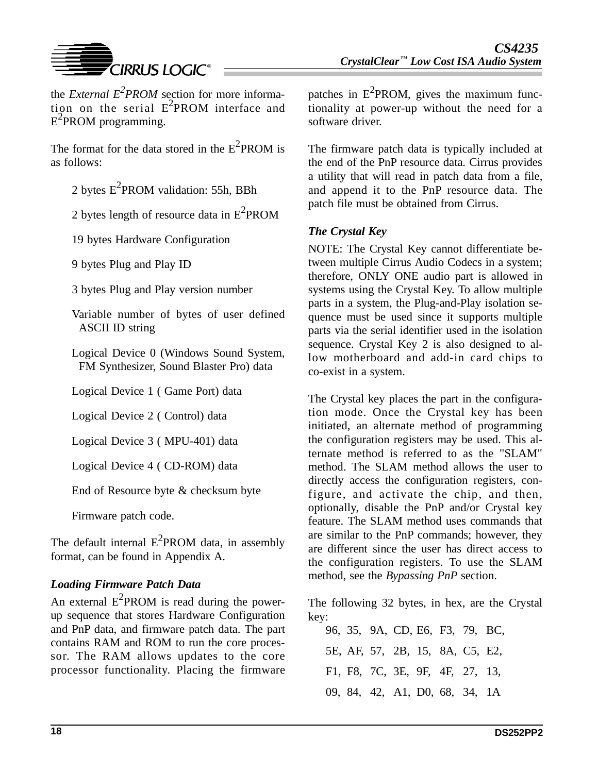

the *External*  $E^2$ *PROM* section for more information on the serial  $E^2$ PROM interface and  $E^2$ PROM programming.

The format for the data stored in the  $E^2$ PROM is as follows:

2 bytes  $E^2$ PROM validation: 55h, BBh

2 bytes length of resource data in  $E^2$ PROM

19 bytes Hardware Configuration

9 bytes Plug and Play ID

3 bytes Plug and Play version number

Variable number of bytes of user defined ASCII ID string

Logical Device 0 (Windows Sound System, FM Synthesizer, Sound Blaster Pro) data

Logical Device 1 ( Game Port) data

Logical Device 2 ( Control) data

Logical Device 3 ( MPU-401) data

Logical Device 4 ( CD-ROM) data

End of Resource byte & checksum byte

Firmware patch code.

The default internal  $E^2$ PROM data, in assembly format, can be found in Appendix A.

# *Loading Firmware Patch Data*

An external  $E^2$ PROM is read during the powerup sequence that stores Hardware Configuration and PnP data, and firmware patch data. The part contains RAM and ROM to run the core processor. The RAM allows updates to the core processor functionality. Placing the firmware

patches in  $E^2$ PROM, gives the maximum functionality at power-up without the need for a software driver.

The firmware patch data is typically included at the end of the PnP resource data. Cirrus provides a utility that will read in patch data from a file, and append it to the PnP resource data. The patch file must be obtained from Cirrus.

# *The Crystal Key*

NOTE: The Crystal Key cannot differentiate between multiple Cirrus Audio Codecs in a system; therefore, ONLY ONE audio part is allowed in systems using the Crystal Key. To allow multiple parts in a system, the Plug-and-Play isolation sequence must be used since it supports multiple parts via the serial identifier used in the isolation sequence. Crystal Key 2 is also designed to allow motherboard and add-in card chips to co-exist in a system.

The Crystal key places the part in the configuration mode. Once the Crystal key has been initiated, an alternate method of programming the configuration registers may be used. This alternate method is referred to as the "SLAM" method. The SLAM method allows the user to directly access the configuration registers, configure, and activate the chip, and then, optionally, disable the PnP and/or Crystal key feature. The SLAM method uses commands that are similar to the PnP commands; however, they are different since the user has direct access to the configuration registers. To use the SLAM method, see the *Bypassing PnP* section.

The following 32 bytes, in hex, are the Crystal key:

96, 35, 9A, CD, E6, F3, 79, BC, 5E, AF, 57, 2B, 15, 8A, C5, E2, F1, F8, 7C, 3E, 9F, 4F, 27, 13, 09, 84, 42, A1, D0, 68, 34, 1A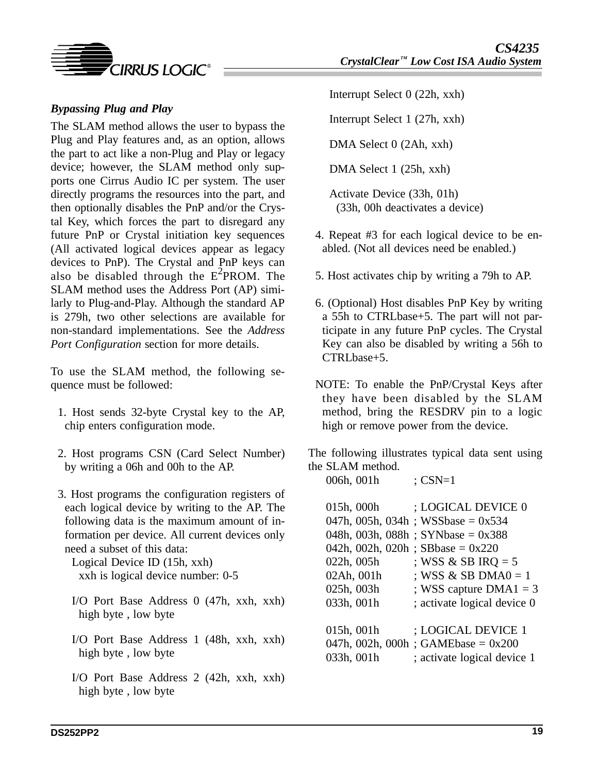

## *Bypassing Plug and Play*

The SLAM method allows the user to bypass the Plug and Play features and, as an option, allows the part to act like a non-Plug and Play or legacy device; however, the SLAM method only supports one Cirrus Audio IC per system. The user directly programs the resources into the part, and then optionally disables the PnP and/or the Crystal Key, which forces the part to disregard any future PnP or Crystal initiation key sequences (All activated logical devices appear as legacy devices to PnP). The Crystal and PnP keys can also be disabled through the  $E^2$ PROM. The SLAM method uses the Address Port (AP) similarly to Plug-and-Play. Although the standard AP is 279h, two other selections are available for non-standard implementations. See the *Address Port Configuration* section for more details.

To use the SLAM method, the following sequence must be followed:

- 1. Host sends 32-byte Crystal key to the AP, chip enters configuration mode.
- 2. Host programs CSN (Card Select Number) by writing a 06h and 00h to the AP.
- 3. Host programs the configuration registers of each logical device by writing to the AP. The following data is the maximum amount of information per device. All current devices only need a subset of this data:

Logical Device ID (15h, xxh) xxh is logical device number: 0-5

- I/O Port Base Address 0 (47h, xxh, xxh) high byte , low byte
- I/O Port Base Address 1 (48h, xxh, xxh) high byte , low byte
- I/O Port Base Address 2 (42h, xxh, xxh) high byte , low byte

Interrupt Select 0 (22h, xxh)

Interrupt Select 1 (27h, xxh)

DMA Select 0 (2Ah, xxh)

DMA Select 1 (25h, xxh)

Activate Device (33h, 01h) (33h, 00h deactivates a device)

- 4. Repeat #3 for each logical device to be enabled. (Not all devices need be enabled.)
- 5. Host activates chip by writing a 79h to AP.
- 6. (Optional) Host disables PnP Key by writing a 55h to CTRLbase+5. The part will not participate in any future PnP cycles. The Crystal Key can also be disabled by writing a 56h to CTRLbase+5.
- NOTE: To enable the PnP/Crystal Keys after they have been disabled by the SLAM method, bring the RESDRV pin to a logic high or remove power from the device.

The following illustrates typical data sent using the SLAM method.

| 006h, 001h | $;$ CSN=1 |
|------------|-----------|
|------------|-----------|

| 015h, 000h                         | ; LOGICAL DEVICE 0                   |
|------------------------------------|--------------------------------------|
|                                    | 047h, 005h, 034h; WSSbase = $0x534$  |
|                                    | 048h, 003h, 088h; SYNbase = $0x388$  |
| 042h, 002h, 020h; SBbase = $0x220$ |                                      |
| 022h, 005h                         | ; WSS & SB IRQ = $5$                 |
| 02Ah, 001h                         | ; WSS & SB DMA $0 = 1$               |
| 025h, 003h                         | ; WSS capture $DMA1 = 3$             |
| 033h, 001h                         | ; activate logical device 0          |
|                                    |                                      |
| 015h, 001h                         | ; LOGICAL DEVICE 1                   |
|                                    | 047h, 002h, 000h; GAMEbase = $0x200$ |
| 033h, 001h                         | ; activate logical device 1          |
|                                    |                                      |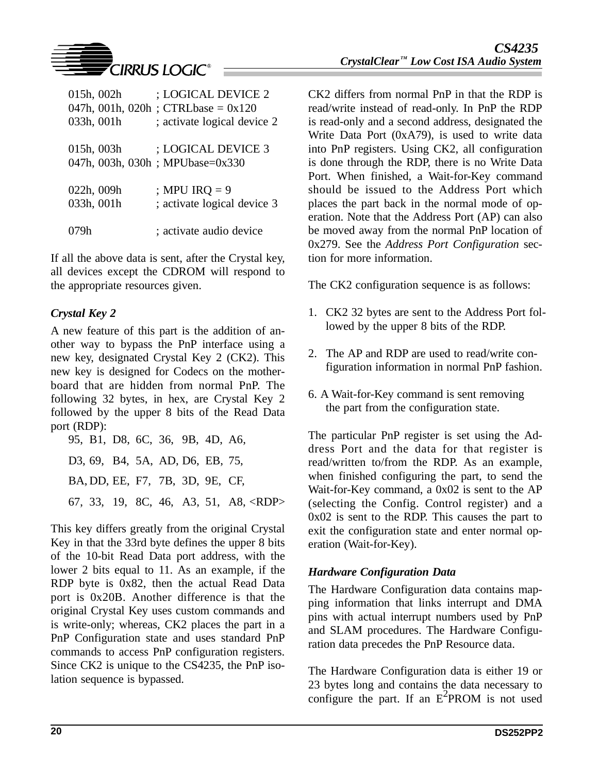

| 015h, 002h<br>033h, 001h | ; LOGICAL DEVICE 2<br>047h, 001h, 020h; CTRLbase = $0x120$<br>; activate logical device 2 |
|--------------------------|-------------------------------------------------------------------------------------------|
| 015h, 003h               | ; LOGICAL DEVICE 3<br>047h, 003h, 030h; MPUbase=0x330                                     |
| 022h, 009h<br>033h, 001h | ; MPU IRQ $= 9$<br>; activate logical device 3                                            |
|                          | ; activate audio device                                                                   |

If all the above data is sent, after the Crystal key, all devices except the CDROM will respond to the appropriate resources given.

### *Crystal Key 2*

A new feature of this part is the addition of another way to bypass the PnP interface using a new key, designated Crystal Key 2 (CK2). This new key is designed for Codecs on the motherboard that are hidden from normal PnP. The following 32 bytes, in hex, are Crystal Key 2 followed by the upper 8 bits of the Read Data port (RDP):

95, B1, D8, 6C, 36, 9B, 4D, A6, D3, 69, B4, 5A, AD, D6, EB, 75, BA, DD, EE, F7, 7B, 3D, 9E, CF, 67, 33, 19, 8C, 46, A3, 51, A8, <RDP>

This key differs greatly from the original Crystal Key in that the 33rd byte defines the upper 8 bits of the 10-bit Read Data port address, with the lower 2 bits equal to 11. As an example, if the RDP byte is 0x82, then the actual Read Data port is 0x20B. Another difference is that the original Crystal Key uses custom commands and is write-only; whereas, CK2 places the part in a PnP Configuration state and uses standard PnP commands to access PnP configuration registers. Since CK2 is unique to the CS4235, the PnP isolation sequence is bypassed.

CK2 differs from normal PnP in that the RDP is read/write instead of read-only. In PnP the RDP is read-only and a second address, designated the Write Data Port (0xA79), is used to write data into PnP registers. Using CK2, all configuration is done through the RDP, there is no Write Data Port. When finished, a Wait-for-Key command should be issued to the Address Port which places the part back in the normal mode of operation. Note that the Address Port (AP) can also be moved away from the normal PnP location of 0x279. See the *Address Port Configuration* section for more information.

The CK2 configuration sequence is as follows:

- 1. CK2 32 bytes are sent to the Address Port followed by the upper 8 bits of the RDP.
- 2. The AP and RDP are used to read/write configuration information in normal PnP fashion.
- 6. A Wait-for-Key command is sent removing the part from the configuration state.

The particular PnP register is set using the Address Port and the data for that register is read/written to/from the RDP. As an example, when finished configuring the part, to send the Wait-for-Key command, a 0x02 is sent to the AP (selecting the Config. Control register) and a 0x02 is sent to the RDP. This causes the part to exit the configuration state and enter normal operation (Wait-for-Key).

### *Hardware Configuration Data*

The Hardware Configuration data contains mapping information that links interrupt and DMA pins with actual interrupt numbers used by PnP and SLAM procedures. The Hardware Configuration data precedes the PnP Resource data.

The Hardware Configuration data is either 19 or 23 bytes long and contains the data necessary to configure the part. If an  $E^2$ PROM is not used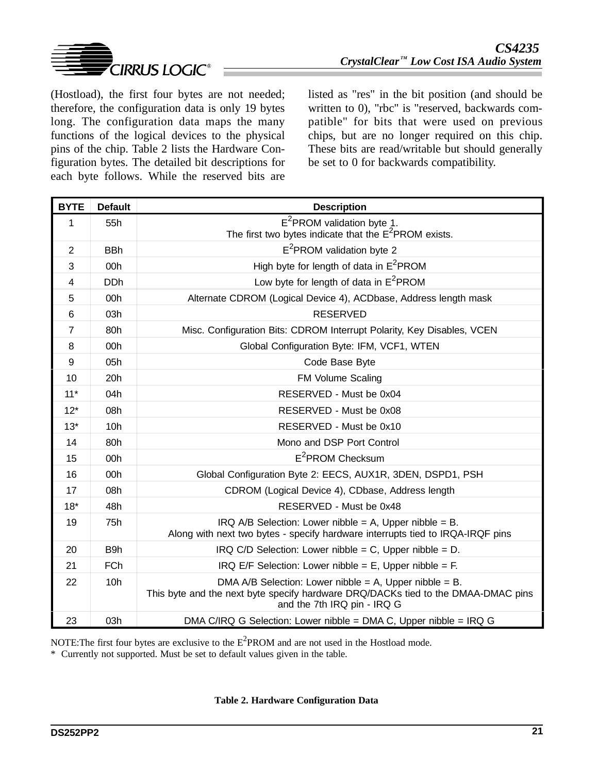

(Hostload), the first four bytes are not needed; therefore, the configuration data is only 19 bytes long. The configuration data maps the many functions of the logical devices to the physical pins of the chip. Table 2 lists the Hardware Configuration bytes. The detailed bit descriptions for each byte follows. While the reserved bits are listed as "res" in the bit position (and should be written to 0), "rbc" is "reserved, backwards compatible" for bits that were used on previous chips, but are no longer required on this chip. These bits are read/writable but should generally be set to 0 for backwards compatibility.

| <b>BYTE</b>    | <b>Default</b>  | <b>Description</b>                                                                                                                                                         |
|----------------|-----------------|----------------------------------------------------------------------------------------------------------------------------------------------------------------------------|
| 1              | 55h             | $E^2$ PROM validation byte 1.                                                                                                                                              |
|                |                 | The first two bytes indicate that the $E^2$ PROM exists.                                                                                                                   |
| $\overline{2}$ | <b>BBh</b>      | E <sup>2</sup> PROM validation byte 2                                                                                                                                      |
| 3              | 00 <sub>h</sub> | High byte for length of data in $E^2$ PROM                                                                                                                                 |
| $\overline{4}$ | <b>DDh</b>      | Low byte for length of data in $E^2$ PROM                                                                                                                                  |
| 5              | 00 <sub>h</sub> | Alternate CDROM (Logical Device 4), ACDbase, Address length mask                                                                                                           |
| 6              | 03h             | <b>RESERVED</b>                                                                                                                                                            |
| $\overline{7}$ | 80h             | Misc. Configuration Bits: CDROM Interrupt Polarity, Key Disables, VCEN                                                                                                     |
| 8              | 00h             | Global Configuration Byte: IFM, VCF1, WTEN                                                                                                                                 |
| 9              | 05h             | Code Base Byte                                                                                                                                                             |
| 10             | 20h             | <b>FM Volume Scaling</b>                                                                                                                                                   |
| $11*$          | 04h             | RESERVED - Must be 0x04                                                                                                                                                    |
| $12*$          | 08h             | RESERVED - Must be 0x08                                                                                                                                                    |
| $13*$          | 10 <sub>h</sub> | RESERVED - Must be 0x10                                                                                                                                                    |
| 14             | 80h             | Mono and DSP Port Control                                                                                                                                                  |
| 15             | 00h             | $E^2$ PROM Checksum                                                                                                                                                        |
| 16             | 00h             | Global Configuration Byte 2: EECS, AUX1R, 3DEN, DSPD1, PSH                                                                                                                 |
| 17             | 08h             | CDROM (Logical Device 4), CDbase, Address length                                                                                                                           |
| $18*$          | 48h             | RESERVED - Must be 0x48                                                                                                                                                    |
| 19             | 75h             | IRQ A/B Selection: Lower nibble = A, Upper nibble = B.<br>Along with next two bytes - specify hardware interrupts tied to IRQA-IRQF pins                                   |
| 20             | B9h             | IRQ C/D Selection: Lower nibble = C, Upper nibble = D.                                                                                                                     |
| 21             | <b>FCh</b>      | IRQ E/F Selection: Lower nibble = $E$ , Upper nibble = $F$ .                                                                                                               |
| 22             | 10h             | DMA A/B Selection: Lower nibble = A, Upper nibble = B.<br>This byte and the next byte specify hardware DRQ/DACKs tied to the DMAA-DMAC pins<br>and the 7th IRQ pin - IRQ G |
| 23             | 03h             | DMA C/IRQ G Selection: Lower nibble = DMA C, Upper nibble = IRQ G                                                                                                          |

NOTE: The first four bytes are exclusive to the  $E^2$ PROM and are not used in the Hostload mode.

\* Currently not supported. Must be set to default values given in the table.

**Table 2. Hardware Configuration Data**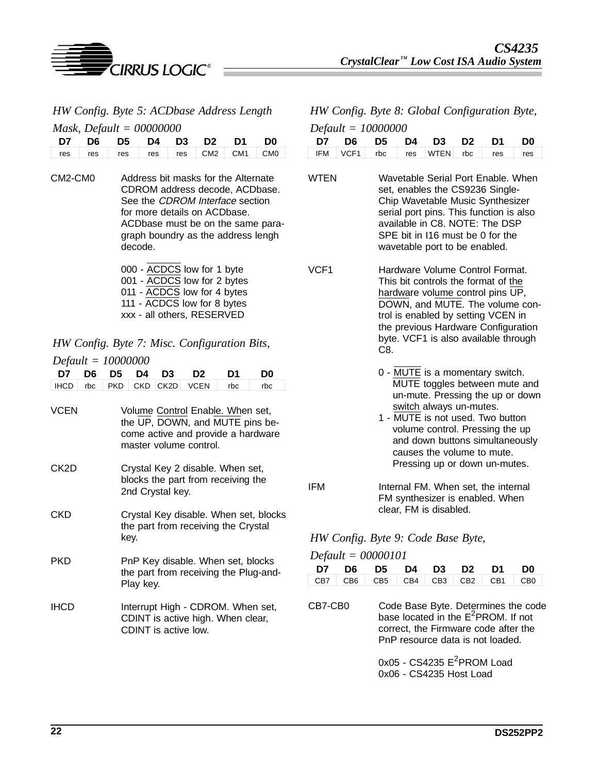

| HW Config. Byte 5: ACDbase Address Length |
|-------------------------------------------|
| $M_{\alpha\alpha k}$ Default - 00000000   |

|  | $M$ usk, Defu $u = 00000000$        |  |  |  |
|--|-------------------------------------|--|--|--|
|  | D7 D6 D5 D4 D3 D2 D1 D0             |  |  |  |
|  | res res res res res res CM2 CM1 CM0 |  |  |  |

CM2-CM0 Address bit masks for the Alternate CDROM address decode, ACDbase. See the *CDROM Interface* section for more details on ACDbase. ACDbase must be on the same paragraph boundry as the address lengh decode.

> 000 - ACDCS low for 1 byte 001 - ACDCS low for 2 bytes 011 - ACDCS low for 4 bytes 111 - ACDCS low for 8 bytes xxx - all others, RESERVED

*HW Config. Byte 7: Misc. Configuration Bits,*

|             | $Default = 10000000$ |            |            |                   |                                                                                                                                     |     |                                       |  |  |  |  |
|-------------|----------------------|------------|------------|-------------------|-------------------------------------------------------------------------------------------------------------------------------------|-----|---------------------------------------|--|--|--|--|
| D7          | D6                   | D5.        | D4         | D3                | D <sub>2</sub>                                                                                                                      | D1  | D0                                    |  |  |  |  |
| <b>IHCD</b> | rbc                  | <b>PKD</b> | <b>CKD</b> | CK <sub>2</sub> D | <b>VCEN</b>                                                                                                                         | rbc | rbc                                   |  |  |  |  |
| <b>VCEN</b> |                      |            |            |                   | Volume Control Enable. When set,<br>the UP, DOWN, and MUTE pins be-<br>come active and provide a hardware<br>master volume control. |     |                                       |  |  |  |  |
| CK2D        |                      |            |            | 2nd Crystal key.  | Crystal Key 2 disable. When set,<br>blocks the part from receiving the                                                              |     |                                       |  |  |  |  |
| CKD         |                      |            | key.       |                   | the part from receiving the Crystal                                                                                                 |     | Crystal Key disable. When set, blocks |  |  |  |  |
| PKD         |                      |            | Play key.  |                   | PnP Key disable. When set, blocks<br>the part from receiving the Plug-and-                                                          |     |                                       |  |  |  |  |
| <b>IHCD</b> |                      |            |            |                   | Interrupt High - CDROM. When set,<br>CDINT is active high. When clear,<br>CDINT is active low.                                      |     |                                       |  |  |  |  |

### *HW Config. Byte 8: Global Configuration Byte, Default = 10000000*

|  | $\geq$ equator 1000000 |  |                                   |  |
|--|------------------------|--|-----------------------------------|--|
|  |                        |  | D7 D6 D5 D4 D3 D2 D1 D0           |  |
|  |                        |  | IFM VCF1 rbc res WTEN rbc res res |  |

- WTEN Wavetable Serial Port Enable. When set, enables the CS9236 Single-Chip Wavetable Music Synthesizer serial port pins. This function is also available in C8. NOTE: The DSP SPE bit in I16 must be 0 for the wavetable port to be enabled.
- VCF1 Hardware Volume Control Format. This bit controls the format of the hardware volume control pins UP, DOWN, and MUTE. The volume control is enabled by setting VCEN in the previous Hardware Configuration byte. VCF1 is also available through C8.
	- 0 MUTE is a momentary switch. MUTE toggles between mute and un-mute. Pressing the up or down switch always un-mutes.
	- 1 MUTE is not used. Two button volume control. Pressing the up and down buttons simultaneously causes the volume to mute. Pressing up or down un-mutes.
- IFM Internal FM. When set, the internal FM synthesizer is enabled. When clear, FM is disabled.

### *HW Config. Byte 9: Code Base Byte,*

|  | D7 D6 D5 D4 D3 D2 D1 D0                         |  |  |  |
|--|-------------------------------------------------|--|--|--|
|  | $CB7$ $CB6$ $CB5$ $CB4$ $CB3$ $CB2$ $CB1$ $CB0$ |  |  |  |

CB7-CB0 Code Base Byte. Determines the code base located in the E<sup>2</sup>PROM. If not correct, the Firmware code after the PnP resource data is not loaded.

> $0x05$  - CS4235  $E^2$ PROM Load 0x06 - CS4235 Host Load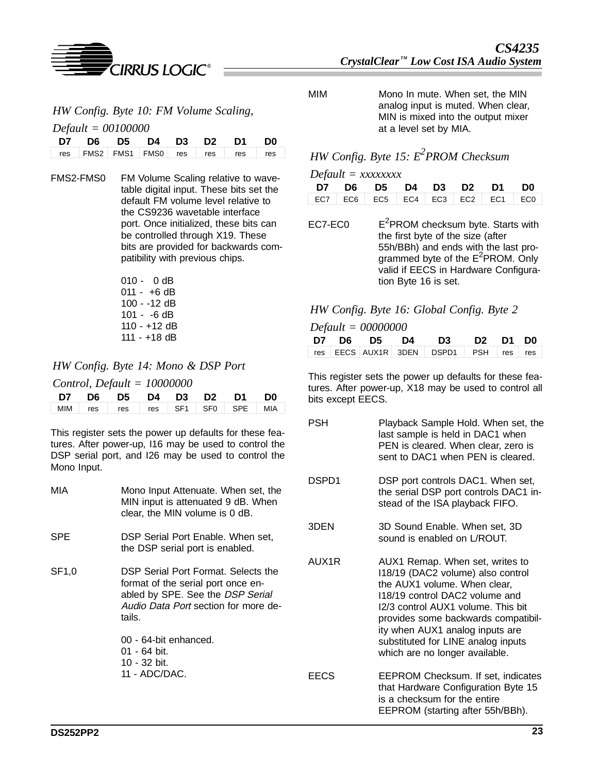

*HW Config. Byte 10: FM Volume Scaling,*

*Default = 00100000*

|  |  |  | D7 D6 D5 D4 D3 D2 D1 D0                          |  |
|--|--|--|--------------------------------------------------|--|
|  |  |  | res   FMS2   FMS1   FMS0   res   res   res   res |  |

- FMS2-FMS0 FM Volume Scaling relative to wavetable digital input. These bits set the default FM volume level relative to the CS9236 wavetable interface port. Once initialized, these bits can be controlled through X19. These bits are provided for backwards compatibility with previous chips.
	- 010 0 dB  $011 - +6$  dB 100 - -12 dB 101 - -6 dB 110 - +12 dB 111 - +18 dB

*HW Config. Byte 14: Mono & DSP Port*

*Control, Default = 10000000*

|  | D7 D6 D5 D4 D3 D2 D1 D0                       |  |  |  |
|--|-----------------------------------------------|--|--|--|
|  | MIM   res   res   res   SF1   SF0   SPE   MIA |  |  |  |

This register sets the power up defaults for these features. After power-up, I16 may be used to control the DSP serial port, and I26 may be used to control the Mono Input.

MIA Mono Input Attenuate. When set, the MIN input is attenuated 9 dB. When clear, the MIN volume is 0 dB. SPE **DSP** Serial Port Enable. When set, the DSP serial port is enabled. SF1,0 DSP Serial Port Format. Selects the format of the serial port once enabled by SPE. See the DSP Serial Audio Data Port section for more details. 00 - 64-bit enhanced. 01 - 64 bit. 10 - 32 bit. 11 - ADC/DAC.

MIM Mono In mute. When set, the MIN analog input is muted. When clear, MIN is mixed into the output mixer at a level set by MIA.

# *HW Config. Byte 15: E2 PROM Checksum*

# *Default = xxxxxxxx*

|  |  |  | D7 D6 D5 D4 D3 D2 D1 D0                                                                                 |  |
|--|--|--|---------------------------------------------------------------------------------------------------------|--|
|  |  |  | $\vert$ EC7 $\vert$ EC6 $\vert$ EC5 $\vert$ EC4 $\vert$ EC3 $\vert$ EC2 $\vert$ EC1 $\vert$ EC0 $\vert$ |  |

 $EC7-ECO$  $E^2$ PROM checksum byte. Starts with the first byte of the size (after 55h/BBh) and ends with the last programmed byte of the E<sup>2</sup>PROM. Only valid if EECS in Hardware Configuration Byte 16 is set.

### *HW Config. Byte 16: Global Config. Byte 2*

*Default = 00000000*

|  |  | D7 D6 D5 D4 D3 D2 D1 D0               |  |  |
|--|--|---------------------------------------|--|--|
|  |  | res EECS AUX1R 3DEN DSPD1 PSH res res |  |  |

This register sets the power up defaults for these features. After power-up, X18 may be used to control all bits except EECS.

- PSH Playback Sample Hold. When set, the last sample is held in DAC1 when PEN is cleared. When clear, zero is sent to DAC1 when PEN is cleared.
- DSPD1 DSP port controls DAC1. When set, the serial DSP port controls DAC1 instead of the ISA playback FIFO.
- 3DEN 3D Sound Enable. When set, 3D sound is enabled on L/ROUT.
- AUX1R AUX1 Remap. When set, writes to I18/19 (DAC2 volume) also control the AUX1 volume. When clear, I18/19 control DAC2 volume and I2/3 control AUX1 volume. This bit provides some backwards compatibility when AUX1 analog inputs are substituted for LINE analog inputs which are no longer available.
- EECS EEPROM Checksum. If set, indicates that Hardware Configuration Byte 15 is a checksum for the entire EEPROM (starting after 55h/BBh).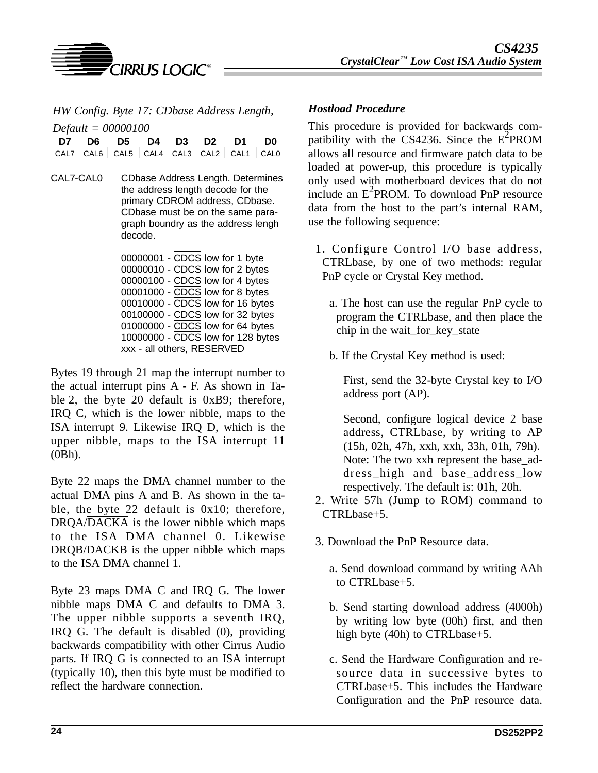

*CIRRUS LOGIC®* 

*HW Config. Byte 17: CDbase Address Length, Default = 00000100*

| $Default = 00000100$ |  |                                         |  |  |  |  |  |  |
|----------------------|--|-----------------------------------------|--|--|--|--|--|--|
|                      |  | D7 D6 D5 D4 D3 D2 D1 D0                 |  |  |  |  |  |  |
|                      |  | CAL7 CAL6 CAL5 CAL4 CAL3 CAL2 CAL1 CAL0 |  |  |  |  |  |  |

CAL7-CAL0 CDbase Address Length. Determines the address length decode for the primary CDROM address, CDbase. CDbase must be on the same paragraph boundry as the address lengh decode.

> 00000001 - CDCS low for 1 byte 00000010 - CDCS low for 2 bytes 00000100 - CDCS low for 4 bytes 00001000 - CDCS low for 8 bytes 00010000 - CDCS low for 16 bytes 00100000 - CDCS low for 32 bytes 01000000 - CDCS low for 64 bytes 10000000 - CDCS low for 128 bytes xxx - all others, RESERVED

Bytes 19 through 21 map the interrupt number to the actual interrupt pins A - F. As shown in Table 2, the byte 20 default is 0xB9; therefore, IRQ C, which is the lower nibble, maps to the ISA interrupt 9. Likewise IRQ D, which is the upper nibble, maps to the ISA interrupt 11 (0Bh).

Byte 22 maps the DMA channel number to the actual DMA pins A and B. As shown in the table, the byte 22 default is 0x10; therefore, DRQA/DACKA is the lower nibble which maps to the ISA DMA channel 0. Likewise DRQB/DACKB is the upper nibble which maps to the ISA DMA channel 1.

Byte 23 maps DMA C and IRQ G. The lower nibble maps DMA C and defaults to DMA 3. The upper nibble supports a seventh IRQ, IRQ G. The default is disabled (0), providing backwards compatibility with other Cirrus Audio parts. If IRQ G is connected to an ISA interrupt (typically 10), then this byte must be modified to reflect the hardware connection.

### *Hostload Procedure*

This procedure is provided for backwards compatibility with the CS4236. Since the  $E^2$ PROM allows all resource and firmware patch data to be loaded at power-up, this procedure is typically only used with motherboard devices that do not include an E<sup>2</sup>PROM. To download PnP resource data from the host to the part's internal RAM, use the following sequence:

- 1. Configure Control I/O base address, CTRLbase, by one of two methods: regular PnP cycle or Crystal Key method.
	- a. The host can use the regular PnP cycle to program the CTRLbase, and then place the chip in the wait\_for\_key\_state
	- b. If the Crystal Key method is used:

First, send the 32-byte Crystal key to I/O address port (AP).

Second, configure logical device 2 base address, CTRLbase, by writing to AP (15h, 02h, 47h, xxh, xxh, 33h, 01h, 79h). Note: The two xxh represent the base\_address high and base address low respectively. The default is: 01h, 20h.

- 2. Write 57h (Jump to ROM) command to CTRLbase+5.
- 3. Download the PnP Resource data.
	- a. Send download command by writing AAh to CTRLbase+5.
	- b. Send starting download address (4000h) by writing low byte (00h) first, and then high byte (40h) to CTRLbase+5.
	- c. Send the Hardware Configuration and resource data in successive bytes to CTRLbase+5. This includes the Hardware Configuration and the PnP resource data.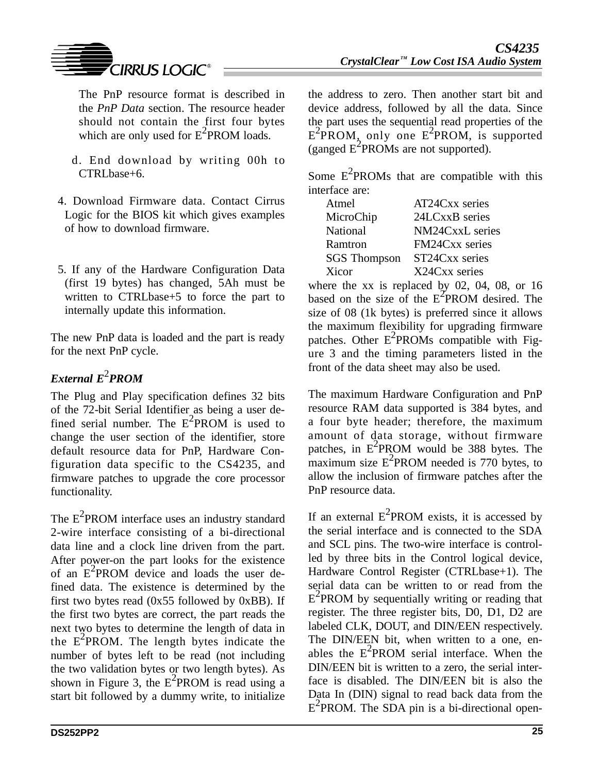

The PnP resource format is described in the *PnP Data* section. The resource header should not contain the first four bytes which are only used for  $E^2$ PROM loads.

- d. End download by writing 00h to CTRLbase+6.
- 4. Download Firmware data. Contact Cirrus Logic for the BIOS kit which gives examples of how to download firmware.
- 5. If any of the Hardware Configuration Data (first 19 bytes) has changed, 5Ah must be written to CTRLbase+5 to force the part to internally update this information.

The new PnP data is loaded and the part is ready for the next PnP cycle.

# $$

The Plug and Play specification defines 32 bits of the 72-bit Serial Identifier as being a user defined serial number. The  $E^2$ PROM is used to change the user section of the identifier, store default resource data for PnP, Hardware Configuration data specific to the CS4235, and firmware patches to upgrade the core processor functionality.

The  $E^2$ PROM interface uses an industry standard 2-wire interface consisting of a bi-directional data line and a clock line driven from the part. After power-on the part looks for the existence of an  $E^2$ PROM device and loads the user defined data. The existence is determined by the first two bytes read  $(0x55$  followed by  $0xBB$ ). If the first two bytes are correct, the part reads the next two bytes to determine the length of data in the  $E^2$ PROM. The length bytes indicate the number of bytes left to be read (not including the two validation bytes or two length bytes). As shown in Figure 3, the  $E^2$ PROM is read using a start bit followed by a dummy write, to initialize the address to zero. Then another start bit and device address, followed by all the data. Since the part uses the sequential read properties of the  $E^2$ PROM, only one  $E^2$ PROM, is supported (ganged  $E^2$ PROMs are not supported).

Some  $E^2$ PROMs that are compatible with this interface are:

| Atmel               | AT24Cxx series  |
|---------------------|-----------------|
| MicroChip           | 24LCxxB series  |
| National            | NM24CxxL series |
| Ramtron             | FM24Cxx series  |
| <b>SGS</b> Thompson | ST24Cxx series  |
| Xicor               | X24Cxx series   |
|                     |                 |

where the xx is replaced by 02, 04, 08, or 16 based on the size of the  $E^2$ PROM desired. The size of 08 (1k bytes) is preferred since it allows the maximum flexibility for upgrading firmware patches. Other  $E^2$ PROMs compatible with Figure 3 and the timing parameters listed in the front of the data sheet may also be used.

The maximum Hardware Configuration and PnP resource RAM data supported is 384 bytes, and a four byte header; therefore, the maximum amount of data storage, without firmware patches, in  $E^2$ PROM would be 388 bytes. The  $\frac{1}{2}$  maximum size E<sup>2</sup>PROM needed is 770 bytes, to allow the inclusion of firmware patches after the PnP resource data.

If an external  $E^2$ PROM exists, it is accessed by the serial interface and is connected to the SDA and SCL pins. The two-wire interface is controlled by three bits in the Control logical device, Hardware Control Register (CTRLbase+1). The serial data can be written to or read from the  $E^2$ PROM by sequentially writing or reading that register. The three register bits, D0, D1, D2 are labeled CLK, DOUT, and DIN/EEN respectively. The DIN/EEN bit, when written to a one, enables the  $E^2$ PROM serial interface. When the DIN/EEN bit is written to a zero, the serial interface is disabled. The DIN/EEN bit is also the Data In (DIN) signal to read back data from the  $E^2$ PROM. The SDA pin is a bi-directional open-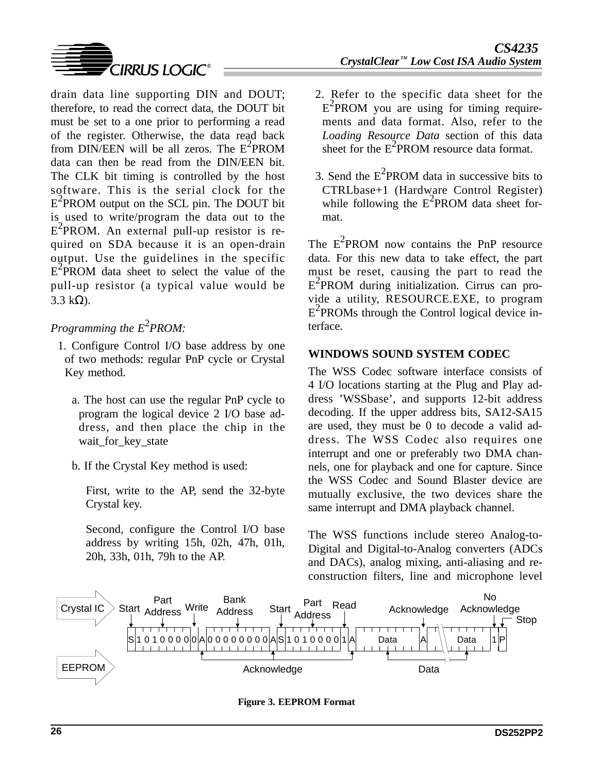

drain data line supporting DIN and DOUT; therefore, to read the correct data, the DOUT bit must be set to a one prior to performing a read of the register. Otherwise, the data read back from DIN/EEN will be all zeros. The  $E^2$ PROM data can then be read from the DIN/EEN bit. The CLK bit timing is controlled by the host software. This is the serial clock for the  $E^2$ PROM output on the SCL pin. The DOUT bit is used to write/program the data out to the  $E^2$ PROM. An external pull-up resistor is required on SDA because it is an open-drain output. Use the guidelines in the specific  $E^2$ PROM data sheet to select the value of the pull-up resistor (a typical value would be  $3.3 \text{ k}\Omega$ ).

# *Programming the E*<sup>2</sup>*PROM:*

- 1. Configure Control I/O base address by one of two methods: regular PnP cycle or Crystal Key method.
	- a. The host can use the regular PnP cycle to program the logical device 2 I/O base address, and then place the chip in the wait for key state
	- b. If the Crystal Key method is used:

First, write to the AP, send the 32-byte Crystal key.

Second, configure the Control I/O base address by writing 15h, 02h, 47h, 01h, 20h, 33h, 01h, 79h to the AP.

- 2. Refer to the specific data sheet for the E<sup>2</sup>PROM you are using for timing requirements and data format. Also, refer to the *Loading Resource Data* section of this data sheet for the  $E^2$ PROM resource data format.
- 3. Send the  $E^2$ PROM data in successive bits to CTRLbase+1 (Hardware Control Register) while following the  $E^2$ PROM data sheet format.

The  $E^2$ PROM now contains the PnP resource data. For this new data to take effect, the part must be reset, causing the part to read the E2 PROM during initialization. Cirrus can provide a utility, RESOURCE.EXE, to program  $E^2$ PROMs through the Control logical device interface.

## **WINDOWS SOUND SYSTEM CODEC**

The WSS Codec software interface consists of 4 I/O locations starting at the Plug and Play address 'WSSbase', and supports 12-bit address decoding. If the upper address bits, SA12-SA15 are used, they must be 0 to decode a valid address. The WSS Codec also requires one interrupt and one or preferably two DMA channels, one for playback and one for capture. Since the WSS Codec and Sound Blaster device are mutually exclusive, the two devices share the same interrupt and DMA playback channel.

The WSS functions include stereo Analog-to-Digital and Digital-to-Analog converters (ADCs and DACs), analog mixing, anti-aliasing and reconstruction filters, line and microphone level



**Figure 3. EEPROM Format**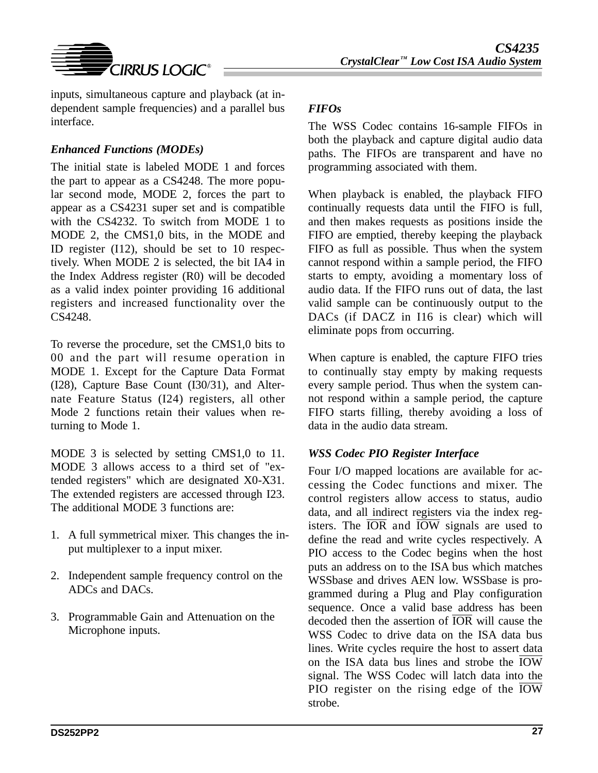

inputs, simultaneous capture and playback (at independent sample frequencies) and a parallel bus interface.

# *Enhanced Functions (MODEs)*

The initial state is labeled MODE 1 and forces the part to appear as a CS4248. The more popular second mode, MODE 2, forces the part to appear as a CS4231 super set and is compatible with the CS4232. To switch from MODE 1 to MODE 2, the CMS1,0 bits, in the MODE and ID register (I12), should be set to 10 respectively. When MODE 2 is selected, the bit IA4 in the Index Address register (R0) will be decoded as a valid index pointer providing 16 additional registers and increased functionality over the CS4248.

To reverse the procedure, set the CMS1,0 bits to 00 and the part will resume operation in MODE 1. Except for the Capture Data Format (I28), Capture Base Count (I30/31), and Alternate Feature Status (I24) registers, all other Mode 2 functions retain their values when returning to Mode 1.

MODE 3 is selected by setting CMS1,0 to 11. MODE 3 allows access to a third set of "extended registers" which are designated X0-X31. The extended registers are accessed through I23. The additional MODE 3 functions are:

- 1. A full symmetrical mixer. This changes the input multiplexer to a input mixer.
- 2. Independent sample frequency control on the ADCs and DACs.
- 3. Programmable Gain and Attenuation on the Microphone inputs.

# *FIFOs*

The WSS Codec contains 16-sample FIFOs in both the playback and capture digital audio data paths. The FIFOs are transparent and have no programming associated with them.

When playback is enabled, the playback FIFO continually requests data until the FIFO is full, and then makes requests as positions inside the FIFO are emptied, thereby keeping the playback FIFO as full as possible. Thus when the system cannot respond within a sample period, the FIFO starts to empty, avoiding a momentary loss of audio data. If the FIFO runs out of data, the last valid sample can be continuously output to the DACs (if DACZ in I16 is clear) which will eliminate pops from occurring.

When capture is enabled, the capture FIFO tries to continually stay empty by making requests every sample period. Thus when the system cannot respond within a sample period, the capture FIFO starts filling, thereby avoiding a loss of data in the audio data stream.

# *WSS Codec PIO Register Interface*

Four I/O mapped locations are available for accessing the Codec functions and mixer. The control registers allow access to status, audio data, and all indirect registers via the index registers. The  $\overline{IOR}$  and  $\overline{IOW}$  signals are used to define the read and write cycles respectively. A PIO access to the Codec begins when the host puts an address on to the ISA bus which matches WSSbase and drives AEN low. WSSbase is programmed during a Plug and Play configuration sequence. Once a valid base address has been decoded then the assertion of IOR will cause the WSS Codec to drive data on the ISA data bus lines. Write cycles require the host to assert data on the ISA data bus lines and strobe the  $\overline{IOW}$ signal. The WSS Codec will latch data into the PIO register on the rising edge of the  $\overline{IOW}$ strobe.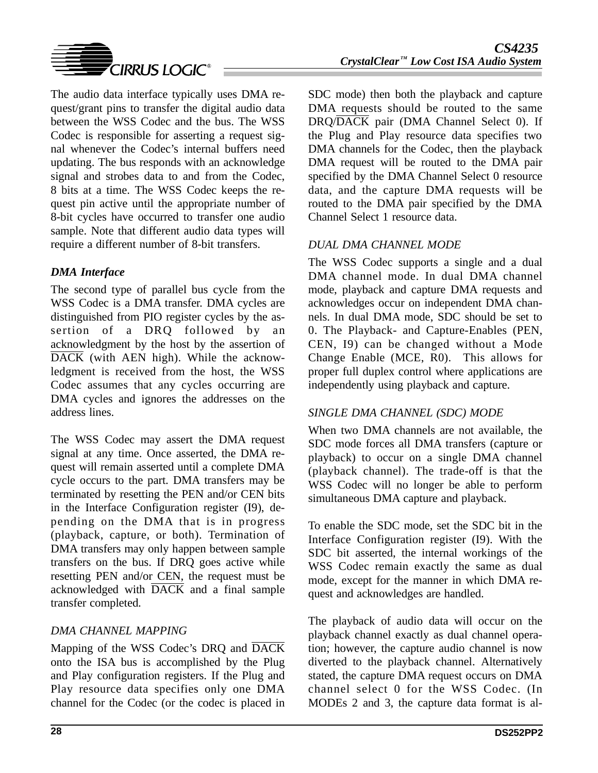

The audio data interface typically uses DMA request/grant pins to transfer the digital audio data between the WSS Codec and the bus. The WSS Codec is responsible for asserting a request signal whenever the Codec's internal buffers need updating. The bus responds with an acknowledge signal and strobes data to and from the Codec, 8 bits at a time. The WSS Codec keeps the request pin active until the appropriate number of 8-bit cycles have occurred to transfer one audio sample. Note that different audio data types will require a different number of 8-bit transfers.

### *DMA Interface*

The second type of parallel bus cycle from the WSS Codec is a DMA transfer. DMA cycles are distinguished from PIO register cycles by the assertion of a DRQ followed by an acknowledgment by the host by the assertion of DACK (with AEN high). While the acknowledgment is received from the host, the WSS Codec assumes that any cycles occurring are DMA cycles and ignores the addresses on the address lines.

The WSS Codec may assert the DMA request signal at any time. Once asserted, the DMA request will remain asserted until a complete DMA cycle occurs to the part. DMA transfers may be terminated by resetting the PEN and/or CEN bits in the Interface Configuration register (I9), depending on the DMA that is in progress (playback, capture, or both). Termination of DMA transfers may only happen between sample transfers on the bus. If DRQ goes active while resetting PEN and/or CEN, the request must be acknowledged with  $\overline{\text{DACK}}$  and a final sample transfer completed.

# *DMA CHANNEL MAPPING*

Mapping of the WSS Codec's DRQ and DACK onto the ISA bus is accomplished by the Plug and Play configuration registers. If the Plug and Play resource data specifies only one DMA channel for the Codec (or the codec is placed in SDC mode) then both the playback and capture DMA requests should be routed to the same DRQ/DACK pair (DMA Channel Select 0). If the Plug and Play resource data specifies two DMA channels for the Codec, then the playback DMA request will be routed to the DMA pair specified by the DMA Channel Select 0 resource data, and the capture DMA requests will be routed to the DMA pair specified by the DMA Channel Select 1 resource data.

## *DUAL DMA CHANNEL MODE*

The WSS Codec supports a single and a dual DMA channel mode. In dual DMA channel mode, playback and capture DMA requests and acknowledges occur on independent DMA channels. In dual DMA mode, SDC should be set to 0. The Playback- and Capture-Enables (PEN, CEN, I9) can be changed without a Mode Change Enable (MCE, R0). This allows for proper full duplex control where applications are independently using playback and capture.

### *SINGLE DMA CHANNEL (SDC) MODE*

When two DMA channels are not available, the SDC mode forces all DMA transfers (capture or playback) to occur on a single DMA channel (playback channel). The trade-off is that the WSS Codec will no longer be able to perform simultaneous DMA capture and playback.

To enable the SDC mode, set the SDC bit in the Interface Configuration register (I9). With the SDC bit asserted, the internal workings of the WSS Codec remain exactly the same as dual mode, except for the manner in which DMA request and acknowledges are handled.

The playback of audio data will occur on the playback channel exactly as dual channel operation; however, the capture audio channel is now diverted to the playback channel. Alternatively stated, the capture DMA request occurs on DMA channel select 0 for the WSS Codec. (In MODEs 2 and 3, the capture data format is al-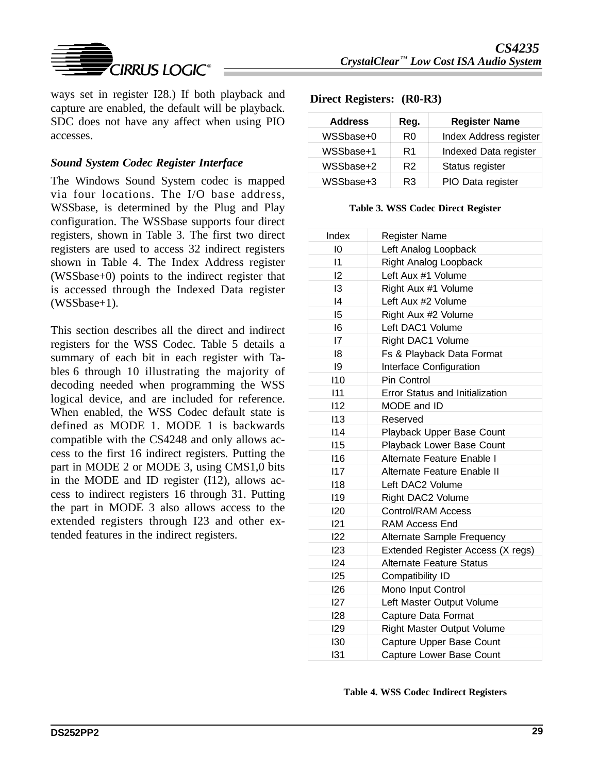

ways set in register I28.) If both playback and capture are enabled, the default will be playback. SDC does not have any affect when using PIO accesses.

### *Sound System Codec Register Interface*

The Windows Sound System codec is mapped via four locations. The I/O base address, WSSbase, is determined by the Plug and Play configuration. The WSSbase supports four direct registers, shown in Table 3. The first two direct registers are used to access 32 indirect registers shown in Table 4. The Index Address register (WSSbase+0) points to the indirect register that is accessed through the Indexed Data register (WSSbase+1).

This section describes all the direct and indirect registers for the WSS Codec. Table 5 details a summary of each bit in each register with Tables 6 through 10 illustrating the majority of decoding needed when programming the WSS logical device, and are included for reference. When enabled, the WSS Codec default state is defined as MODE 1. MODE 1 is backwards compatible with the CS4248 and only allows access to the first 16 indirect registers. Putting the part in MODE 2 or MODE 3, using CMS1,0 bits in the MODE and ID register (I12), allows access to indirect registers 16 through 31. Putting the part in MODE 3 also allows access to the extended registers through I23 and other extended features in the indirect registers.

#### **Direct Registers: (R0-R3)**

| <b>Address</b> | Reg.           | <b>Register Name</b>   |
|----------------|----------------|------------------------|
| WSSbase+0      | R0             | Index Address register |
| WSSbase+1      | R <sub>1</sub> | Indexed Data register  |
| WSSbase+2      | R <sub>2</sub> | Status register        |
| WSSbase+3      | R3             | PIO Data register      |

#### **Table 3. WSS Codec Direct Register**

| Index           | <b>Register Name</b>              |
|-----------------|-----------------------------------|
| 10              | Left Analog Loopback              |
| $\overline{11}$ | <b>Right Analog Loopback</b>      |
| 12              | Left Aux #1 Volume                |
| 13              | Right Aux #1 Volume               |
| 4               | Left Aux #2 Volume                |
| 15              | Right Aux #2 Volume               |
| 16              | Left DAC1 Volume                  |
| 17              | Right DAC1 Volume                 |
| 18              | Fs & Playback Data Format         |
| 19              | Interface Configuration           |
| 110             | Pin Control                       |
| 111             | Error Status and Initialization   |
| 112             | MODE and ID                       |
| 113             | Reserved                          |
| 114             | Playback Upper Base Count         |
| 115             | Playback Lower Base Count         |
| 116             | Alternate Feature Enable I        |
| 117             | Alternate Feature Enable II       |
| 118             | Left DAC2 Volume                  |
| 119             | Right DAC2 Volume                 |
| 120             | <b>Control/RAM Access</b>         |
| 121             | <b>RAM Access End</b>             |
| 122             | Alternate Sample Frequency        |
| 123             | Extended Register Access (X regs) |
| 124             | <b>Alternate Feature Status</b>   |
| 125             | Compatibility ID                  |
| 126             | Mono Input Control                |
| 127             | Left Master Output Volume         |
| 128             | Capture Data Format               |
| 129             | Right Master Output Volume        |
| 130             | Capture Upper Base Count          |
| 131             | Capture Lower Base Count          |

|  |  |  |  | Table 4. WSS Codec Indirect Registers |
|--|--|--|--|---------------------------------------|
|--|--|--|--|---------------------------------------|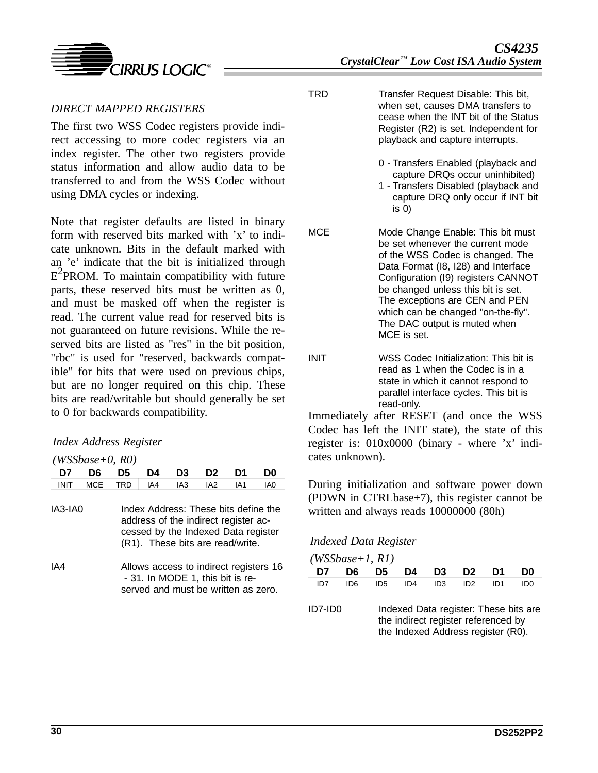

TRD Transfer Request Disable: This bit, when set, causes DMA transfers to cease when the INT bit of the Status Register (R2) is set. Independent for playback and capture interrupts.

- 0 Transfers Enabled (playback and capture DRQs occur uninhibited)
- 1 Transfers Disabled (playback and capture DRQ only occur if INT bit is 0)
- MCE Mode Change Enable: This bit must be set whenever the current mode of the WSS Codec is changed. The Data Format (I8, I28) and Interface Configuration (I9) registers CANNOT be changed unless this bit is set. The exceptions are CEN and PEN which can be changed "on-the-fly". The DAC output is muted when MCE is set.
- INIT WSS Codec Initialization: This bit is read as 1 when the Codec is in a state in which it cannot respond to parallel interface cycles. This bit is read-only.

Immediately after RESET (and once the WSS Codec has left the INIT state), the state of this register is: 010x0000 (binary - where 'x' indicates unknown).

During initialization and software power down (PDWN in CTRLbase+7), this register cannot be written and always reads 10000000 (80h)

### *Indexed Data Register*

| $(WSS base + 1, R1)$ |  |                         |  |  |  |  |                                                 |  |  |  |
|----------------------|--|-------------------------|--|--|--|--|-------------------------------------------------|--|--|--|
|                      |  | D7 D6 D5 D4 D3 D2 D1 D0 |  |  |  |  |                                                 |  |  |  |
|                      |  |                         |  |  |  |  | $ID7$ $ID6$ $ID5$ $ID4$ $ID3$ $ID2$ $ID1$ $ID0$ |  |  |  |
|                      |  |                         |  |  |  |  |                                                 |  |  |  |

ID7-ID0 Indexed Data register: These bits are the indirect register referenced by the Indexed Address register (R0).

### *DIRECT MAPPED REGISTERS*

The first two WSS Codec registers provide indirect accessing to more codec registers via an index register. The other two registers provide status information and allow audio data to be transferred to and from the WSS Codec without using DMA cycles or indexing.

Note that register defaults are listed in binary form with reserved bits marked with 'x' to indicate unknown. Bits in the default marked with an 'e' indicate that the bit is initialized through  $E^2$ PROM. To maintain compatibility with future parts, these reserved bits must be written as 0, and must be masked off when the register is read. The current value read for reserved bits is not guaranteed on future revisions. While the reserved bits are listed as "res" in the bit position, "rbc" is used for "reserved, backwards compatible" for bits that were used on previous chips, but are no longer required on this chip. These bits are read/writable but should generally be set to 0 for backwards compatibility.

### *Index Address Register*

*(WSSbase+0, R0)*

| D7          | D6         | D5  | D4  | D3  | D2                                                                                                                                                      | D1  | DU                                     |
|-------------|------------|-----|-----|-----|---------------------------------------------------------------------------------------------------------------------------------------------------------|-----|----------------------------------------|
| <b>INIT</b> | <b>MCE</b> | TRD | IA4 | IA3 | IA <sub>2</sub>                                                                                                                                         | IA1 | IA0                                    |
| IA3-IA0     |            |     |     |     | Index Address: These bits define the<br>address of the indirect register ac-<br>cessed by the Indexed Data register<br>(R1). These bits are read/write. |     |                                        |
| IA4         |            |     |     |     | - 31. In MODE 1, this bit is re-<br>served and must be written as zero.                                                                                 |     | Allows access to indirect registers 16 |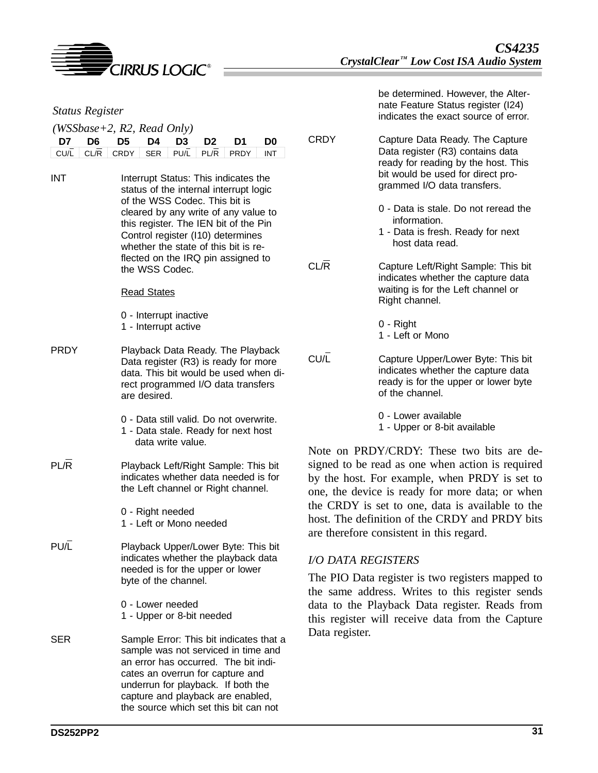

| <b>Status Register</b>               |                                                                                                                                                                          |                | be determined. However, the Alter-<br>nate Feature Status register (I24)<br>indicates the exact source of error.                                     |
|--------------------------------------|--------------------------------------------------------------------------------------------------------------------------------------------------------------------------|----------------|------------------------------------------------------------------------------------------------------------------------------------------------------|
|                                      | $(WSS base + 2, R2, Read Only)$                                                                                                                                          |                |                                                                                                                                                      |
| D <sub>6</sub><br>D7<br>CL/R<br>CU/L | D <sub>4</sub><br>D <sub>5</sub><br>D <sub>3</sub><br>D <sub>0</sub><br>D <sub>2</sub><br>D1<br>CRDY<br><b>SER</b><br>PU/L<br>PRDY<br>PL/R<br><b>INT</b>                 | <b>CRDY</b>    | Capture Data Ready. The Capture<br>Data register (R3) contains data<br>ready for reading by the host. This                                           |
| <b>INT</b>                           | Interrupt Status: This indicates the<br>status of the internal interrupt logic<br>of the WSS Codec. This bit is                                                          |                | bit would be used for direct pro-<br>grammed I/O data transfers.                                                                                     |
|                                      | cleared by any write of any value to<br>this register. The IEN bit of the Pin<br>Control register (110) determines<br>whether the state of this bit is re-               |                | 0 - Data is stale. Do not reread the<br>information.<br>1 - Data is fresh. Ready for next<br>host data read.                                         |
|                                      | flected on the IRQ pin assigned to<br>the WSS Codec.                                                                                                                     | CL/R           | Capture Left/Right Sample: This bit<br>indicates whether the capture data                                                                            |
|                                      | <b>Read States</b>                                                                                                                                                       |                | waiting is for the Left channel or<br>Right channel.                                                                                                 |
|                                      | 0 - Interrupt inactive<br>1 - Interrupt active                                                                                                                           |                | $0 - Right$<br>1 - Left or Mono                                                                                                                      |
| <b>PRDY</b>                          | Playback Data Ready. The Playback<br>Data register (R3) is ready for more<br>data. This bit would be used when di-<br>rect programmed I/O data transfers<br>are desired. | CU/L           | Capture Upper/Lower Byte: This bit<br>indicates whether the capture data<br>ready is for the upper or lower byte<br>of the channel.                  |
|                                      | 0 - Data still valid. Do not overwrite.<br>1 - Data stale. Ready for next host<br>data write value.                                                                      |                | 0 - Lower available<br>1 - Upper or 8-bit available                                                                                                  |
|                                      |                                                                                                                                                                          |                | Note on PRDY/CRDY: These two bits are de-                                                                                                            |
| PL/R                                 | Playback Left/Right Sample: This bit<br>indicates whether data needed is for<br>the Left channel or Right channel.                                                       |                | signed to be read as one when action is required<br>by the host. For example, when PRDY is set to<br>one, the device is ready for more data; or when |
|                                      | 0 - Right needed<br>1 - Left or Mono needed                                                                                                                              |                | the CRDY is set to one, data is available to the<br>host. The definition of the CRDY and PRDY bits<br>are therefore consistent in this regard.       |
| PU/L                                 | Playback Upper/Lower Byte: This bit<br>indicates whether the playback data                                                                                               |                | <b>I/O DATA REGISTERS</b>                                                                                                                            |
|                                      | needed is for the upper or lower<br>byte of the channel.                                                                                                                 |                | The PIO Data register is two registers mapped to<br>the same address. Writes to this register sends                                                  |
|                                      | 0 - Lower needed<br>1 - Upper or 8-bit needed                                                                                                                            |                | data to the Playback Data register. Reads from<br>this register will receive data from the Capture                                                   |
| <b>SER</b>                           | Sample Error: This bit indicates that a<br>sample was not serviced in time and<br>an error has occurred. The bit indi-<br>cates an overrun for capture and               | Data register. |                                                                                                                                                      |

underrun for playback. If both the capture and playback are enabled, the source which set this bit can not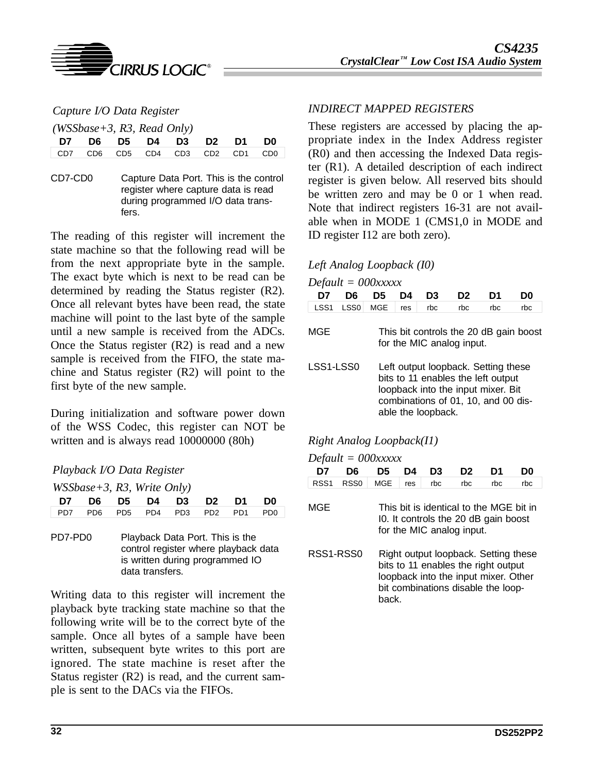

*Capture I/O Data Register*

*(WSSbase+3, R3, Read Only)*

| D7 D6 D5 D4 D3 D2 D1 D0         |  |  |  |  |
|---------------------------------|--|--|--|--|
| CD7 CD6 CD5 CD4 CD3 CD2 CD1 CD0 |  |  |  |  |

CD7-CD0 Capture Data Port. This is the control register where capture data is read during programmed I/O data transfers.

The reading of this register will increment the state machine so that the following read will be from the next appropriate byte in the sample. The exact byte which is next to be read can be determined by reading the Status register (R2). Once all relevant bytes have been read, the state machine will point to the last byte of the sample until a new sample is received from the ADCs. Once the Status register (R2) is read and a new sample is received from the FIFO, the state machine and Status register (R2) will point to the first byte of the new sample.

During initialization and software power down of the WSS Codec, this register can NOT be written and is always read 10000000 (80h)

### *Playback I/O Data Register*

| $WSBase+3$ , R3, Write Only)                    |  |                         |  |  |
|-------------------------------------------------|--|-------------------------|--|--|
|                                                 |  | D7 D6 D5 D4 D3 D2 D1 D0 |  |  |
| $\vert$ PD7 PD6 PD5 PD4 PD3 PD2 PD1 PD0 $\vert$ |  |                         |  |  |

PD7-PD0 Playback Data Port. This is the control register where playback data is written during programmed IO data transfers.

Writing data to this register will increment the playback byte tracking state machine so that the following write will be to the correct byte of the sample. Once all bytes of a sample have been written, subsequent byte writes to this port are ignored. The state machine is reset after the Status register (R2) is read, and the current sample is sent to the DACs via the FIFOs.

### *INDIRECT MAPPED REGISTERS*

These registers are accessed by placing the appropriate index in the Index Address register (R0) and then accessing the Indexed Data register (R1). A detailed description of each indirect register is given below. All reserved bits should be written zero and may be 0 or 1 when read. Note that indirect registers 16-31 are not available when in MODE 1 (CMS1,0 in MODE and ID register I12 are both zero).

### *Left Analog Loopback (I0)*

| $Default = 000xxxxx$ |                  |            |     |                    |                                                                                                                                                        |     |                                        |  |  |  |
|----------------------|------------------|------------|-----|--------------------|--------------------------------------------------------------------------------------------------------------------------------------------------------|-----|----------------------------------------|--|--|--|
| D7                   | D6               | D5         | D4  | D3                 | D2                                                                                                                                                     | D1  | D0                                     |  |  |  |
| LSS <sub>1</sub>     | LSS <sub>0</sub> | <b>MGE</b> | res | rbc                | rbc                                                                                                                                                    | rbc | rbc                                    |  |  |  |
| MGE                  |                  |            |     |                    | for the MIC analog input.                                                                                                                              |     | This bit controls the 20 dB gain boost |  |  |  |
| LSS1-LSS0            |                  |            |     | able the loopback. | Left output loopback. Setting these<br>bits to 11 enables the left output<br>loopback into the input mixer. Bit<br>combinations of 01, 10, and 00 dis- |     |                                        |  |  |  |

### *Right Analog Loopback(I1)*

*Default = 000xxxxx*

| $De$ fuult – $OOOAAAA$                                                                                                                                                          |                  |            |     |     |                                                                                                              |     |     |  |  |  |  |
|---------------------------------------------------------------------------------------------------------------------------------------------------------------------------------|------------------|------------|-----|-----|--------------------------------------------------------------------------------------------------------------|-----|-----|--|--|--|--|
| D7                                                                                                                                                                              | D6               | D5         | D4  | D3  | D2                                                                                                           | D1  | D0  |  |  |  |  |
| RSS <sub>1</sub>                                                                                                                                                                | RSS <sub>0</sub> | <b>MGE</b> | res | rbc | rbc                                                                                                          | rbc | rbc |  |  |  |  |
| MGE                                                                                                                                                                             |                  |            |     |     | This bit is identical to the MGE bit in<br>10. It controls the 20 dB gain boost<br>for the MIC analog input. |     |     |  |  |  |  |
| RSS1-RSS0<br>Right output loopback. Setting these<br>bits to 11 enables the right output<br>loopback into the input mixer. Other<br>bit combinations disable the loop-<br>back. |                  |            |     |     |                                                                                                              |     |     |  |  |  |  |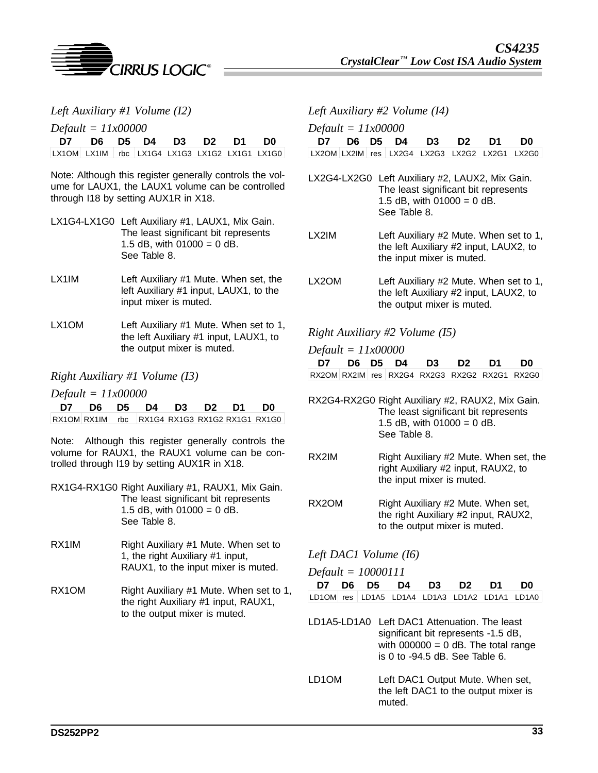

*Left Auxiliary #1 Volume (I2)*

*Default = 11x00000*

| D7 D6 D5 D4 D3 D2 D1 D0                       |  |  |  |
|-----------------------------------------------|--|--|--|
| LX10M LX1IM rbc LX1G4 LX1G3 LX1G2 LX1G1 LX1G0 |  |  |  |

Note: Although this register generally controls the volume for LAUX1, the LAUX1 volume can be controlled through I18 by setting AUX1R in X18.

| LX1G4-LX1G0 Left Auxiliary #1, LAUX1, Mix Gain. |
|-------------------------------------------------|
| The least significant bit represents            |
| 1.5 dB, with $01000 = 0$ dB.                    |
|                                                 |
|                                                 |

- LX1IM Left Auxiliary #1 Mute. When set, the left Auxiliary #1 input, LAUX1, to the input mixer is muted.
- LX1OM Left Auxiliary #1 Mute. When set to 1, the left Auxiliary #1 input, LAUX1, to the output mixer is muted.

#### *Right Auxiliary #1 Volume (I3)*

*Default = 11x00000*

| D7 D6 D5 D4 D3 D2 D1 D0 |  |  |  |                                               |
|-------------------------|--|--|--|-----------------------------------------------|
|                         |  |  |  | RX10M RX1IM rbc RX1G4 RX1G3 RX1G2 RX1G1 RX1G0 |

Note: Although this register generally controls the volume for RAUX1, the RAUX1 volume can be controlled through I19 by setting AUX1R in X18.

- RX1G4-RX1G0 Right Auxiliary #1, RAUX1, Mix Gain. The least significant bit represents 1.5 dB, with  $01000 = 0$  dB. See Table 8.
- RX1IM Right Auxiliary #1 Mute. When set to 1, the right Auxiliary #1 input, RAUX1, to the input mixer is muted.
- RX1OM Right Auxiliary #1 Mute. When set to 1, the right Auxiliary #1 input, RAUX1, to the output mixer is muted.

*Left Auxiliary #2 Volume (I4)*

*Default = 11x00000*

|                                               |  |  | D7 D6 D5 D4 D3 D2 D1 D0 |  |
|-----------------------------------------------|--|--|-------------------------|--|
| LX2OM LX2IM res LX2G4 LX2G3 LX2G2 LX2G1 LX2G0 |  |  |                         |  |

- LX2G4-LX2G0 Left Auxiliary #2, LAUX2, Mix Gain. The least significant bit represents 1.5 dB, with  $01000 = 0$  dB. See Table 8.
- LX2IM Left Auxiliary #2 Mute. When set to 1, the left Auxiliary #2 input, LAUX2, to the input mixer is muted.
- LX2OM Left Auxiliary #2 Mute. When set to 1, the left Auxiliary #2 input, LAUX2, to the output mixer is muted.

#### *Right Auxiliary #2 Volume (I5)*

*Default = 11x00000* **D7 D6 D5 D4 D3 D2 D1 D0**  $Rx2OM$  RX2IM res RX2G4 RX2G3 RX2G2 RX2G1 RX2G0

- RX2G4-RX2G0 Right Auxiliary #2, RAUX2, Mix Gain. The least significant bit represents 1.5 dB, with  $01000 = 0$  dB. See Table 8.
- RX2IM Right Auxiliary #2 Mute. When set, the right Auxiliary #2 input, RAUX2, to the input mixer is muted.
- RX2OM Right Auxiliary #2 Mute. When set, the right Auxiliary #2 input, RAUX2, to the output mixer is muted.

#### *Left DAC1 Volume (I6)*

| $Default = 10000111$ |  |
|----------------------|--|
|----------------------|--|

|                                               | D7 D6 D5 D4 D3 D2 D1 D0 |  |  |  |
|-----------------------------------------------|-------------------------|--|--|--|
| LD1OM res LD1A5 LD1A4 LD1A3 LD1A2 LD1A1 LD1A0 |                         |  |  |  |

- LD1A5-LD1A0 Left DAC1 Attenuation. The least significant bit represents -1.5 dB, with  $000000 = 0$  dB. The total range is 0 to -94.5 dB. See Table 6.
- LD1OM Left DAC1 Output Mute. When set, the left DAC1 to the output mixer is muted.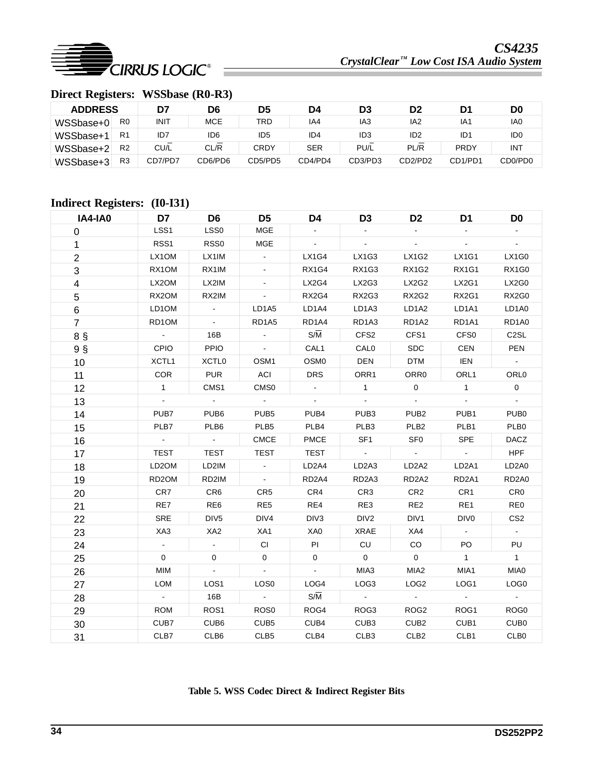

# **Direct Registers: WSSbase (R0-R3)**

| <b>ADDRESS</b> |                | D7          | D6         | D5              | D4         | D3              | D2                               | D1          | D <sub>0</sub>                   |
|----------------|----------------|-------------|------------|-----------------|------------|-----------------|----------------------------------|-------------|----------------------------------|
| WSSbase+0      | R <sub>0</sub> | <b>INIT</b> | <b>MCE</b> | TRD             | IA4        | IA3             | IA2                              | IA1         | IA0                              |
| WSSbase+       | R1             | ID7         | ID6        | ID <sub>5</sub> | ID4        | ID <sub>3</sub> | ID <sub>2</sub>                  | ID1         | ID <sub>0</sub>                  |
| WSSbase+2      | R <sub>2</sub> | CU/L        | CL/R       | <b>CRDY</b>     | <b>SER</b> | PU/L            | PL/R                             | <b>PRDY</b> | <b>INT</b>                       |
| WSSbase+3      | R3             | CD7/PD7     | CD6/PD6    | CD5/PD5         | CD4/PD4    | CD3/PD3         | CD <sub>2</sub> /PD <sub>2</sub> | CD1/PD1     | CD <sub>0</sub> /PD <sub>0</sub> |

# **Indirect Registers: (I0-I31)**

| <b>IA4-IA0</b> | D7                          | D <sub>6</sub>    | D <sub>5</sub>   | D4                 | D <sub>3</sub>                 | D <sub>2</sub>                 | D <sub>1</sub>     | D <sub>0</sub>      |
|----------------|-----------------------------|-------------------|------------------|--------------------|--------------------------------|--------------------------------|--------------------|---------------------|
| 0              | LSS1                        | LSS0              | <b>MGE</b>       |                    |                                |                                |                    |                     |
| 1              | RSS1                        | RSS0              | <b>MGE</b>       | $\blacksquare$     |                                | $\omega$                       | $\omega$           | $\mathcal{L}^{\pm}$ |
| $\overline{c}$ | LX1OM                       | LX1IM             | $\blacksquare$   | LX1G4              | LX1G3                          | <b>LX1G2</b>                   | <b>LX1G1</b>       | LX1G0               |
| 3              | RX1OM                       | RX1IM             |                  | RX1G4              | <b>RX1G3</b>                   | <b>RX1G2</b>                   | <b>RX1G1</b>       | RX1G0               |
| 4              | LX2OM                       | LX2IM             |                  | LX2G4              | LX2G3                          | LX2G2                          | LX2G1              | LX2G0               |
| 5              | RX2OM                       | RX2IM             | $\Box$           | RX2G4              | RX2G3                          | <b>RX2G2</b>                   | RX2G1              | RX2G0               |
| 6              | LD1OM                       | $\blacksquare$    | LD1A5            | LD1A4              | LD <sub>1</sub> A <sub>3</sub> | LD <sub>1</sub> A <sub>2</sub> | LD1A1              | LD1A0               |
| $\overline{7}$ | RD1OM                       | $\blacksquare$    | RD1A5            | RD1A4              | RD1A3                          | RD1A2                          | RD1A1              | RD1A0               |
| 8 §            | $\mathcal{L}_{\mathcal{A}}$ | 16B               | $\blacksquare$   | $S/\overline{M}$   | CFS <sub>2</sub>               | CFS1                           | CFS <sub>0</sub>   | C <sub>2</sub> SL   |
| 9 <sub>§</sub> | <b>CPIO</b>                 | <b>PPIO</b>       | $\blacksquare$   | CAL1               | <b>CAL0</b>                    | <b>SDC</b>                     | <b>CEN</b>         | <b>PEN</b>          |
| 10             | XCTL1                       | XCTL <sub>0</sub> | OSM1             | OSM <sub>0</sub>   | <b>DEN</b>                     | <b>DTM</b>                     | IEN                | $\sim$              |
| 11             | <b>COR</b>                  | <b>PUR</b>        | ACI              | <b>DRS</b>         | ORR1                           | ORR <sub>0</sub>               | ORL <sub>1</sub>   | ORL <sub>0</sub>    |
| 12             | $\mathbf{1}$                | CMS1              | CMS <sub>0</sub> | $\blacksquare$     | $\mathbf{1}$                   | $\mathbf 0$                    | $\mathbf{1}$       | $\mathbf{0}$        |
| 13             | $\omega$                    | $\sim$            | $\sim 10^{-1}$   | $\blacksquare$     | $\sim$                         | $\blacksquare$                 | $\omega$           | $\omega_{\rm c}$    |
| 14             | PUB7                        | PUB <sub>6</sub>  | PUB <sub>5</sub> | PUB4               | PUB <sub>3</sub>               | PUB <sub>2</sub>               | PUB1               | PUB <sub>0</sub>    |
| 15             | PLB7                        | PLB <sub>6</sub>  | PLB <sub>5</sub> | PLB4               | PLB <sub>3</sub>               | PLB <sub>2</sub>               | PLB1               | PLB <sub>0</sub>    |
| 16             | $\mathcal{L}^{\pm}$         | $\sim$            | CMCE             | PMCE               | SF <sub>1</sub>                | SF <sub>0</sub>                | <b>SPE</b>         | DACZ                |
| 17             | <b>TEST</b>                 | <b>TEST</b>       | <b>TEST</b>      | <b>TEST</b>        |                                | $\omega$                       | $\blacksquare$     | <b>HPF</b>          |
| 18             | LD2OM                       | LD2IM             | $\blacksquare$   | LD <sub>2</sub> A4 | LD <sub>2</sub> A <sub>3</sub> | LD <sub>2</sub> A <sub>2</sub> | LD <sub>2</sub> A1 | LD <sub>2</sub> A0  |
| 19             | RD <sub>2</sub> OM          | RD2IM             | $\sim$           | RD <sub>2</sub> A4 | RD <sub>2</sub> A <sub>3</sub> | RD <sub>2</sub> A <sub>2</sub> | RD <sub>2</sub> A1 | RD <sub>2</sub> A0  |
| 20             | CR7                         | CR <sub>6</sub>   | CR <sub>5</sub>  | CR4                | CR <sub>3</sub>                | CR <sub>2</sub>                | CR1                | CR <sub>0</sub>     |
| 21             | RE7                         | RE <sub>6</sub>   | RE <sub>5</sub>  | RE4                | RE3                            | RE <sub>2</sub>                | RE1                | RE <sub>0</sub>     |
| 22             | <b>SRE</b>                  | DIV <sub>5</sub>  | DIV4             | DIV <sub>3</sub>   | DIV <sub>2</sub>               | DIV1                           | DIV <sub>0</sub>   | CS <sub>2</sub>     |
| 23             | XA3                         | XA <sub>2</sub>   | XA1              | XA0                | <b>XRAE</b>                    | XA4                            | $\sim$             | $\sim$              |
| 24             |                             |                   | <b>CI</b>        | PI                 | CU                             | CO                             | PO                 | PU                  |
| 25             | $\mathbf 0$                 | 0                 | 0                | 0                  | $\mathbf{0}$                   | $\mathbf 0$                    | $\mathbf{1}$       | $\mathbf{1}$        |
| 26             | MIM                         | $\Box$            | ÷.               | $\Box$             | MIA3                           | MIA <sub>2</sub>               | MIA1               | MIA0                |
| 27             | <b>LOM</b>                  | LOS <sub>1</sub>  | LOS0             | LOG4               | LOG3                           | LOG <sub>2</sub>               | LOG <sub>1</sub>   | LOG0                |
| 28             | $\omega_{\rm c}$            | 16B               | $\mathbb{Z}^2$   | $S/\overline{M}$   | $\sim$                         | $\sim 10^7$                    | $\sim 10^7$        |                     |
| 29             | <b>ROM</b>                  | ROS <sub>1</sub>  | ROS <sub>0</sub> | ROG4               | ROG3                           | ROG <sub>2</sub>               | ROG1               | ROG0                |
| 30             | CUB7                        | CUB <sub>6</sub>  | CUB <sub>5</sub> | CUB4               | CUB <sub>3</sub>               | CUB <sub>2</sub>               | CUB1               | CUB <sub>0</sub>    |
| 31             | CLB7                        | CLB6              | CLB <sub>5</sub> | CLB4               | CLB <sub>3</sub>               | CLB <sub>2</sub>               | CLB1               | CLB <sub>0</sub>    |

**Table 5. WSS Codec Direct & Indirect Register Bits**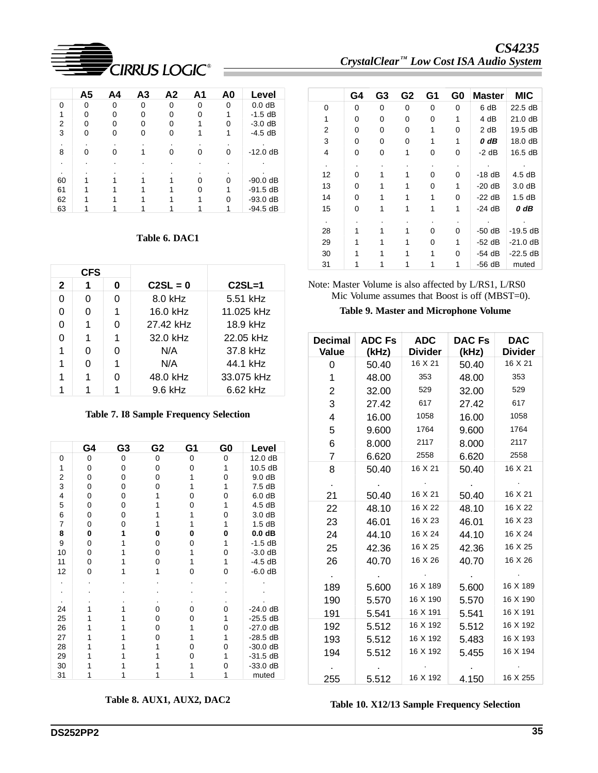

|    | A5       | A4 | A3 | A2 | A1 | A0       | Level      |
|----|----------|----|----|----|----|----------|------------|
| U  | $\Omega$ | 0  | ŋ  | O  | ∩  | $\Omega$ | $0.0$ dB   |
|    | U        | ი  |    |    |    |          | $-1.5$ dB  |
| 2  | ŋ        | o  |    |    |    |          | $-3.0$ dB  |
| 3  |          |    |    |    |    |          | $-4.5$ dB  |
|    |          |    |    |    |    |          |            |
| 8  |          |    |    |    |    |          | $-12.0 dB$ |
|    |          |    |    |    |    |          |            |
|    |          |    |    |    |    |          |            |
| 60 |          |    |    |    |    |          | $-90.0 dB$ |
| 61 |          |    |    |    |    |          | $-91.5 dB$ |
| 62 |          |    |    |    |    |          | $-93.0 dB$ |
| 63 |          |    |    |    |    |          | $-94.5$ dB |

#### **Table 6. DAC1**

| <b>CFS</b> |   |   |            |            |
|------------|---|---|------------|------------|
| 2          |   | O | $C2SL = 0$ | $C2SL=1$   |
| U          | 0 | O | 8.0 kHz    | 5.51 kHz   |
| O          | O |   | 16.0 kHz   | 11.025 kHz |
| 0          |   | ი | 27.42 kHz  | 18.9 kHz   |
|            |   |   | 32.0 kHz   | 22.05 kHz  |
|            | ŋ | O | N/A        | 37.8 kHz   |
|            |   |   | N/A        | 44.1 kHz   |
|            |   | O | 48.0 kHz   | 33.075 kHz |
|            |   |   | $9.6$ kHz  | $6.62$ kHz |

**Table 7. I8 Sample Frequency Selection**

|                | G4       | G3 | G2 | G1 | G0 | Level      |
|----------------|----------|----|----|----|----|------------|
| 0              | 0        | 0  | 0  | 0  | 0  | 12.0 dB    |
| 1              | 0        | 0  | 0  | ი  | 1  | 10.5 dB    |
| 2              | 0        | 0  | 0  |    | 0  | 9.0 dB     |
| 3              | 0        | 0  | ი  |    | 1  | 7.5 dB     |
| $\overline{4}$ | $\Omega$ | 0  |    | Ω  | 0  | 6.0 dB     |
| 5              | 0        | 0  |    | ი  | 1  | 4.5 dB     |
| 6              | 0        | 0  |    |    | 0  | 3.0 dB     |
| $\overline{7}$ | 0        | ი  |    |    | 1  | 1.5dB      |
| 8              | 0        |    | 0  | O  | 0  | $0.0$ dB   |
| 9              | $\Omega$ |    | 0  | O  | 1  | $-1.5$ dB  |
| 10             | 0        |    | 0  |    | 0  | $-3.0$ dB  |
| 11             | 0        |    | 0  |    | 1  | $-4.5$ dB  |
| 12             | 0        |    |    | o  | 0  | $-6.0$ dB  |
|                |          |    |    |    |    |            |
|                |          |    |    |    |    |            |
|                |          |    |    |    |    |            |
| 24             |          |    | O  | O) | 0  | $-24.0$ dB |
| 25             |          |    | 0  | 0  |    | $-25.5$ dB |
| 26             |          |    | 0  |    | 0  | $-27.0$ dB |
| 27             |          |    |    |    |    | $-28.5$ dB |
| 28             |          |    |    | O  | 0  | $-30.0$ dB |
| 29             |          |    |    |    |    | $-31.5$ dB |
| 30             |          |    |    |    | 0  | $-33.0$ dB |
| 31             |          |    |    |    |    | muted      |

**Table 8. AUX1, AUX2, DAC2**

*CS4235*   $C$ rystalClear<sup>™</sup> Low Cost ISA Audio System

|         | G4 | G <sub>3</sub> | G <sub>2</sub> | G1 | G0 | <b>Master</b> | <b>MIC</b> |
|---------|----|----------------|----------------|----|----|---------------|------------|
| 0       | 0  | 0              | 0              | 0  | 0  | 6 dB          | 22.5 dB    |
| 1       | 0  | 0              | 0              | 0  | 1  | 4 dB          | 21.0 dB    |
| 2       | 0  | 0              | 0              | 1  | 0  | 2 dB          | 19.5 dB    |
| 3       | 0  | 0              | 0              | 1  | 1  | $0$ dB        | 18.0 dB    |
| 4       | 0  | 0              | 1              | 0  | 0  | $-2$ dB       | 16.5 dB    |
| $\cdot$ |    |                |                |    | ٠  |               |            |
| 12      | 0  |                |                | 0  | 0  | $-18$ dB      | 4.5dB      |
| 13      | 0  |                | 1              | 0  | 1  | $-20$ dB      | 3.0dB      |
| 14      | 0  |                |                | 1  | 0  | $-22$ dB      | 1.5dB      |
| 15      | 0  |                |                | 1  | 1  | $-24$ dB      | 0 dB       |
| $\cdot$ |    |                |                |    |    |               |            |
| 28      |    |                |                | 0  | 0  | $-50$ dB      | $-19.5$ dB |
| 29      |    |                |                | 0  | 1  | $-52$ dB      | $-21.0$ dB |
| 30      |    |                |                | 1  | 0  | -54 dB        | $-22.5$ dB |
| 31      |    |                |                |    | 1  | $-56$ dB      | muted      |

Note: Master Volume is also affected by L/RS1, L/RS0 Mic Volume assumes that Boost is off (MBST=0).

**Table 9. Master and Microphone Volume**

| <b>Decimal</b><br>Value | <b>ADC Fs</b><br>(kHz) | <b>ADC</b><br><b>Divider</b> | <b>DAC Fs</b><br>(kHz) | <b>DAC</b><br><b>Divider</b> |
|-------------------------|------------------------|------------------------------|------------------------|------------------------------|
| 0                       | 50.40                  | 16 X 21                      | 50.40                  | 16 X 21                      |
| 1                       | 48.00                  | 353                          | 48.00                  | 353                          |
| $\overline{2}$          | 32.00                  | 529                          | 32.00                  | 529                          |
| 3                       | 27.42                  | 617                          | 27.42                  | 617                          |
| 4                       | 16.00                  | 1058                         | 16.00                  | 1058                         |
| 5                       | 9.600                  | 1764                         | 9.600                  | 1764                         |
| 6                       | 8.000                  | 2117                         | 8.000                  | 2117                         |
| $\overline{7}$          | 6.620                  | 2558                         | 6.620                  | 2558                         |
| 8                       | 50.40                  | 16 X 21                      | 50.40                  | 16 X 21                      |
|                         |                        |                              |                        |                              |
| 21                      | 50.40                  | 16 X 21                      | 50.40                  | 16 X 21                      |
| 22                      | 48.10                  | 16 X 22                      | 48.10                  | 16 X 22                      |
| 23                      | 46.01                  | 16 X 23                      | 46.01                  | 16 X 23                      |
| 24                      | 44.10                  | 16 X 24                      | 44.10                  | 16 X 24                      |
| 25                      | 42.36                  | 16 X 25                      | 42.36                  | 16 X 25                      |
| 26                      | 40.70                  | 16 X 26                      | 40.70                  | 16 X 26                      |
| $\sim$                  |                        |                              |                        |                              |
| 189                     | 5.600                  | 16 X 189                     | 5.600                  | 16 X 189                     |
| 190                     | 5.570                  | 16 X 190                     | 5.570                  | 16 X 190                     |
| 191                     | 5.541                  | 16 X 191                     | 5.541                  | 16 X 191                     |
| 192                     | 5.512                  | 16 X 192                     | 5.512                  | 16 X 192                     |
| 193                     | 5.512                  | 16 X 192                     | 5.483                  | 16 X 193                     |
| 194                     | 5.512                  | 16 X 192                     | 5.455                  | 16 X 194                     |
|                         |                        |                              |                        |                              |
| 255                     | 5.512                  | 16 X 192                     | 4.150                  | 16 X 255                     |

**Table 10. X12/13 Sample Frequency Selection**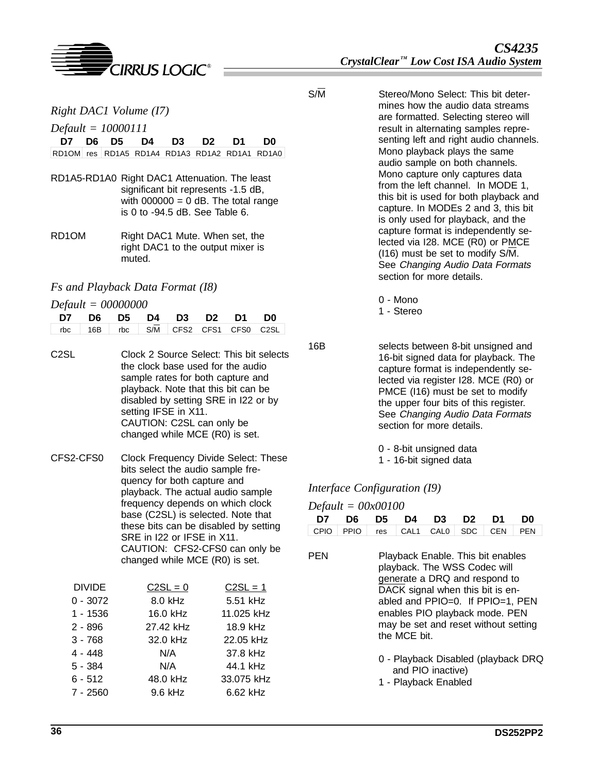

*Right DAC1 Volume (I7)*

*Default = 10000111*

|                                               |  | D7 D6 D5 D4 D3 D2 D1 D0 |  |  |
|-----------------------------------------------|--|-------------------------|--|--|
| RD10M res RD1A5 RD1A4 RD1A3 RD1A2 RD1A1 RD1A0 |  |                         |  |  |

- RD1A5-RD1A0 Right DAC1 Attenuation. The least significant bit represents -1.5 dB, with  $000000 = 0$  dB. The total range is 0 to -94.5 dB. See Table 6.
- RD1OM Right DAC1 Mute. When set, the right DAC1 to the output mixer is muted.

### *Fs and Playback Data Format (I8)*

*Default = 00000000*

|                                                                       |  | D7 D6 D5 D4 D3 D2 D1 D0 |  |  |
|-----------------------------------------------------------------------|--|-------------------------|--|--|
| $\sqrt{\frac{16B}{16B}}$ rbc $\sqrt{\frac{S}{M}}$ CFS2 CFS1 CFS0 C2SL |  |                         |  |  |

- C2SL Clock 2 Source Select: This bit selects the clock base used for the audio sample rates for both capture and playback. Note that this bit can be disabled by setting SRE in I22 or by setting IFSE in X11. CAUTION: C2SL can only be changed while MCE (R0) is set.
- CFS2-CFS0 Clock Frequency Divide Select: These bits select the audio sample frequency for both capture and playback. The actual audio sample frequency depends on which clock base (C2SL) is selected. Note that these bits can be disabled by setting SRE in I22 or IFSE in X11. CAUTION: CFS2-CFS0 can only be changed while MCE (R0) is set.

| <b>DIVIDE</b> | $C2SL = 0$ | $C2SL = 1$ |
|---------------|------------|------------|
| $0 - 3072$    | 8.0 kHz    | 5.51 kHz   |
| $1 - 1536$    | 16.0 kHz   | 11.025 kHz |
| $2 - 896$     | 27.42 kHz  | 18.9 kHz   |
| $3 - 768$     | 32.0 kHz   | 22.05 kHz  |
| $4 - 448$     | N/A        | 37.8 kHz   |
| $5 - 384$     | N/A        | 44.1 kHz   |
| $6 - 512$     | 48.0 kHz   | 33.075 kHz |
| $7 - 2560$    | 9.6 kHz    | 6.62 kHz   |

S/M Stereo/Mono Select: This bit determines how the audio data streams are formatted. Selecting stereo will result in alternating samples representing left and right audio channels. Mono playback plays the same audio sample on both channels. Mono capture only captures data from the left channel. In MODE 1, this bit is used for both playback and capture. In MODEs 2 and 3, this bit is only used for playback, and the capture format is independently selected via I28. MCE (R0) or PMCE (I16) must be set to modify S/M. See Changing Audio Data Formats section for more details.

0 - Mono

- 1 Stereo
- 16B selects between 8-bit unsigned and 16-bit signed data for playback. The capture format is independently selected via register I28. MCE (R0) or PMCE (I16) must be set to modify the upper four bits of this register. See Changing Audio Data Formats section for more details.
	- 0 8-bit unsigned data
	- 1 16-bit signed data

### *Interface Configuration (I9)*

| $Default = 00x00100$                                                                                                                                                                                                                                                                |      |     |                  |                                     |            |            |            |  |  |  |
|-------------------------------------------------------------------------------------------------------------------------------------------------------------------------------------------------------------------------------------------------------------------------------------|------|-----|------------------|-------------------------------------|------------|------------|------------|--|--|--|
| D7                                                                                                                                                                                                                                                                                  | D6   | D5  | D4               | D3                                  | D2         | D1         | D0         |  |  |  |
| CPIO                                                                                                                                                                                                                                                                                | PPIO | res | CAL <sub>1</sub> | CAL <sub>0</sub>                    | <b>SDC</b> | <b>CEN</b> | <b>PEN</b> |  |  |  |
| PEN<br>Playback Enable. This bit enables<br>playback. The WSS Codec will<br>generate a DRQ and respond to<br>DACK signal when this bit is en-<br>abled and $PPIO=0$ . If $PPIO=1$ , $PEN$<br>enables PIO playback mode. PEN<br>may be set and reset without setting<br>the MCE bit. |      |     |                  |                                     |            |            |            |  |  |  |
|                                                                                                                                                                                                                                                                                     |      |     |                  | 0 - Playback Disabled (playback DRQ |            |            |            |  |  |  |

and PIO inactive) 1 - Playback Enabled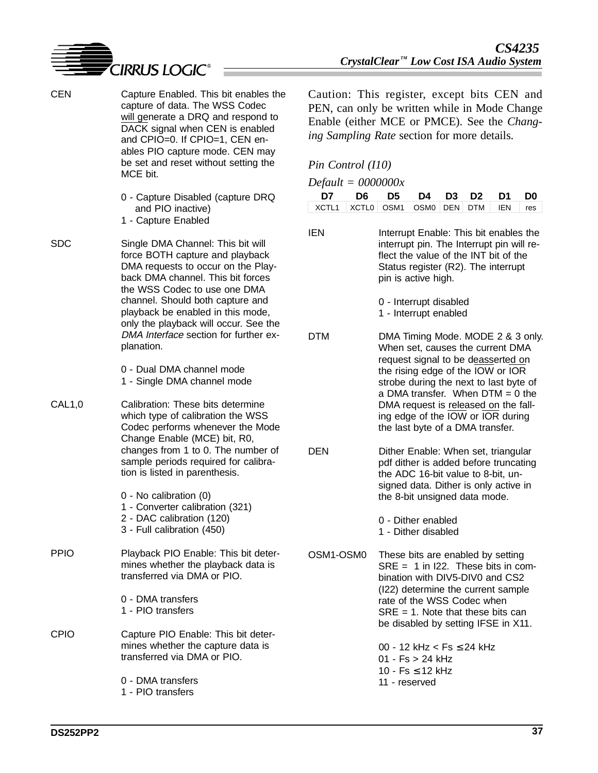

- CEN Capture Enabled. This bit enables the capture of data. The WSS Codec will generate a DRQ and respond to DACK signal when CEN is enabled and CPIO=0. If CPIO=1, CEN enables PIO capture mode. CEN may be set and reset without setting the MCE bit.
	- 0 Capture Disabled (capture DRQ and PIO inactive)
	- 1 Capture Enabled

SDC Single DMA Channel: This bit will force BOTH capture and playback DMA requests to occur on the Playback DMA channel. This bit forces the WSS Codec to use one DMA channel. Should both capture and playback be enabled in this mode, only the playback will occur. See the DMA Interface section for further explanation.

- 0 Dual DMA channel mode
- 1 Single DMA channel mode
- CAL1,0 Calibration: These bits determine which type of calibration the WSS Codec performs whenever the Mode Change Enable (MCE) bit, R0, changes from 1 to 0. The number of sample periods required for calibration is listed in parenthesis.

0 - No calibration (0)

- 1 Converter calibration (321)
- 2 DAC calibration (120)
- 3 Full calibration (450)
- PPIO Playback PIO Enable: This bit determines whether the playback data is transferred via DMA or PIO.
	- 0 DMA transfers 1 - PIO transfers
- CPIO Capture PIO Enable: This bit determines whether the capture data is transferred via DMA or PIO.
	- 0 DMA transfers 1 - PIO transfers

Caution: This register, except bits CEN and PEN, can only be written while in Mode Change Enable (either MCE or PMCE). See the *Changing Sampling Rate* section for more details.

#### *Pin Control (I10)*

| $Default = 0000000x$ |                                      |  |  |  |  |  |  |  |  |  |
|----------------------|--------------------------------------|--|--|--|--|--|--|--|--|--|
|                      | D7 D6 D5 D4 D3 D2 D1 D0              |  |  |  |  |  |  |  |  |  |
|                      | XCTL1 XCTL0 OSM1 OSM0 DEN DTM EN res |  |  |  |  |  |  |  |  |  |

IEN Interrupt Enable: This bit enables the interrupt pin. The Interrupt pin will reflect the value of the INT bit of the Status register (R2). The interrupt pin is active high.

> 0 - Interrupt disabled 1 - Interrupt enabled

- DTM DMA Timing Mode. MODE 2 & 3 only. When set, causes the current DMA request signal to be deasserted on the rising edge of the IOW or IOR strobe during the next to last byte of a DMA transfer. When  $DTM = 0$  the DMA request is released on the falling edge of the IOW or IOR during the last byte of a DMA transfer.
- DEN Dither Enable: When set, triangular pdf dither is added before truncating the ADC 16-bit value to 8-bit, unsigned data. Dither is only active in the 8-bit unsigned data mode.
	- 0 Dither enabled
	- 1 Dither disabled
- OSM1-OSM0 These bits are enabled by setting SRE = 1 in I22. These bits in combination with DIV5-DIV0 and CS2 (I22) determine the current sample rate of the WSS Codec when  $SRE = 1$ . Note that these bits can be disabled by setting IFSE in X11.
	- 00 12 kHz < Fs ≤ 24 kHz 01 - Fs > 24 kHz 10 - Fs ≤ 12 kHz 11 - reserved

**DS252PP2**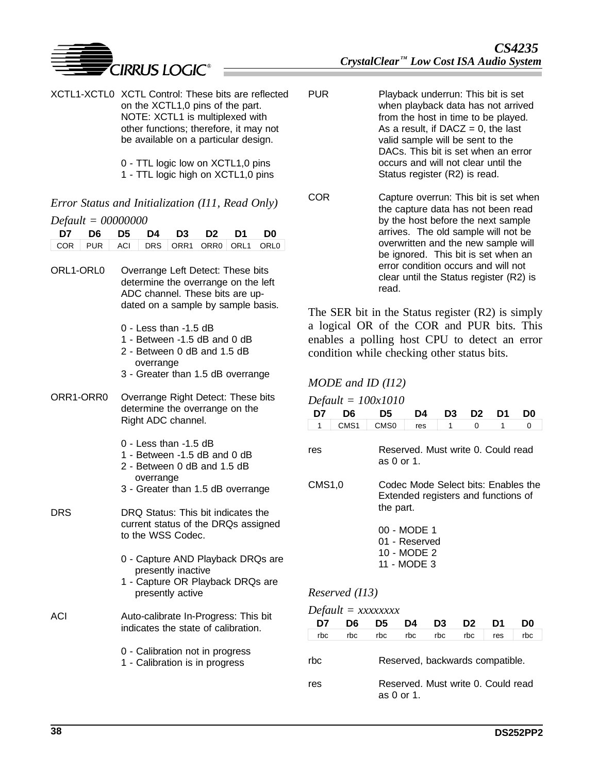

- XCTL1-XCTL0 XCTL Control: These bits are reflected on the XCTL1,0 pins of the part. NOTE: XCTL1 is multiplexed with other functions; therefore, it may not be available on a particular design.
	- 0 TTL logic low on XCTL1,0 pins
	- 1 TTL logic high on XCTL1,0 pins

# *Error Status and Initialization (I11, Read Only)*

#### *Default = 00000000*

| D7 D6 D5 D4 D3 D2 D1 D0             |  |  |  |  |
|-------------------------------------|--|--|--|--|
| COR PUR ACI DRS ORR1 ORR0 ORL1 ORL0 |  |  |  |  |

- ORL1-ORL0 Overrange Left Detect: These bits determine the overrange on the left ADC channel. These bits are updated on a sample by sample basis.
	- 0 Less than -1.5 dB
	- 1 Between -1.5 dB and 0 dB
	- 2 Between 0 dB and 1.5 dB overrange
	- 3 Greater than 1.5 dB overrange
- ORR1-ORR0 Overrange Right Detect: These bits determine the overrange on the Right ADC channel.
	- 0 Less than -1.5 dB
	- 1 Between -1.5 dB and 0 dB
	- 2 Between 0 dB and 1.5 dB overrange
	- 3 Greater than 1.5 dB overrange
- DRS DRQ Status: This bit indicates the current status of the DRQs assigned to the WSS Codec.
	- 0 Capture AND Playback DRQs are presently inactive
	- 1 Capture OR Playback DRQs are presently active
- ACI Auto-calibrate In-Progress: This bit indicates the state of calibration.
	- 0 Calibration not in progress
	- 1 Calibration is in progress
- PUR Playback underrun: This bit is set when playback data has not arrived from the host in time to be played. As a result, if  $DACZ = 0$ , the last valid sample will be sent to the DACs. This bit is set when an error occurs and will not clear until the Status register (R2) is read.
- COR Capture overrun: This bit is set when the capture data has not been read by the host before the next sample arrives. The old sample will not be overwritten and the new sample will be ignored. This bit is set when an error condition occurs and will not clear until the Status register (R2) is read.

The SER bit in the Status register (R2) is simply a logical OR of the COR and PUR bits. This enables a polling host CPU to detect an error condition while checking other status bits.

### *MODE and ID (I12)*

*Default = 100x1010*

| D7                                                                                                | D6               | D5               | D4                                 | D3 | D2 | D1 | D0 |
|---------------------------------------------------------------------------------------------------|------------------|------------------|------------------------------------|----|----|----|----|
| 1                                                                                                 | CMS <sub>1</sub> | CMS <sub>0</sub> | res                                | 1  | 0  | 1  | 0  |
| res                                                                                               |                  | as 0 or 1.       | Reserved. Must write 0. Could read |    |    |    |    |
| CMS1,0<br>Codec Mode Select bits: Enables the<br>Extended registers and functions of<br>the part. |                  |                  |                                    |    |    |    |    |
| 00 - MODE 1<br>01 - Reserved<br>10 - MODE 2<br>11 - MODE 3                                        |                  |                  |                                    |    |    |    |    |
|                                                                                                   | Reserved (I13)   |                  |                                    |    |    |    |    |

*Default = xxxxxxxx*

| D7  | D6. | D5  | D4         | D3  | D <sub>2</sub>                     | D1  | D0  |
|-----|-----|-----|------------|-----|------------------------------------|-----|-----|
| rbc | rbc | rbc | rbc        | rbc | rbc                                | res | rbc |
| rbc |     |     |            |     | Reserved, backwards compatible.    |     |     |
| res |     |     | as 0 or 1. |     | Reserved. Must write 0. Could read |     |     |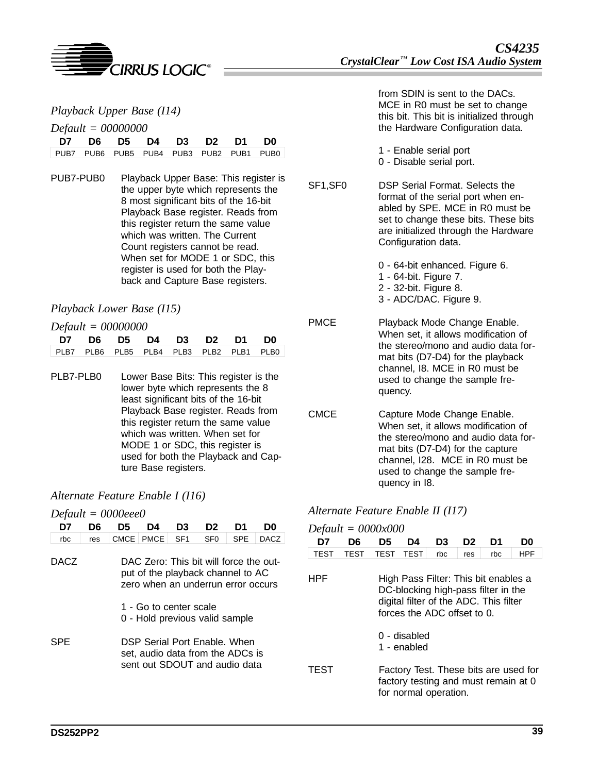

|                      | Playback Upper Base (I14) |  |  |                      |  |  |                                         |  |  |  |
|----------------------|---------------------------|--|--|----------------------|--|--|-----------------------------------------|--|--|--|
| $Default = 00000000$ |                           |  |  |                      |  |  |                                         |  |  |  |
|                      |                           |  |  | D7 D6 D5 D4 D3 D2 D1 |  |  | D0                                      |  |  |  |
|                      |                           |  |  |                      |  |  | PUB7 PUB6 PUB5 PUB4 PUB3 PUB2 PUB1 PUB0 |  |  |  |

PUB7-PUB0 Playback Upper Base: This register is the upper byte which represents the 8 most significant bits of the 16-bit Playback Base register. Reads from this register return the same value which was written. The Current Count registers cannot be read. When set for MODE 1 or SDC, this register is used for both the Playback and Capture Base registers.

#### *Playback Lower Base (I15)*

#### *Default = 00000000*

| $D$ <i>ejami – ooooooo</i> |  |  |  |  |  |  |                                         |  |  |  |
|----------------------------|--|--|--|--|--|--|-----------------------------------------|--|--|--|
| D7 D6 D5 D4 D3 D2 D1 D0    |  |  |  |  |  |  |                                         |  |  |  |
|                            |  |  |  |  |  |  | PLB7 PLB6 PLB5 PLB4 PLB3 PLB2 PLB1 PLB0 |  |  |  |

PLB7-PLB0 Lower Base Bits: This register is the lower byte which represents the 8 least significant bits of the 16-bit Playback Base register. Reads from this register return the same value which was written. When set for MODE 1 or SDC, this register is used for both the Playback and Capture Base registers.

### *Alternate Feature Enable I (I16)*

*Default = 0000eee0*

| D7                                                                                                                        | D6  | D5                                                       | D4          | D3              | D <sub>2</sub>  | D1         | D0          |  |  |  |
|---------------------------------------------------------------------------------------------------------------------------|-----|----------------------------------------------------------|-------------|-----------------|-----------------|------------|-------------|--|--|--|
| rbc                                                                                                                       | res | CMCE <sup>1</sup>                                        | <b>PMCE</b> | SF <sub>1</sub> | SF <sub>0</sub> | <b>SPE</b> | <b>DACZ</b> |  |  |  |
| DACZ<br>DAC Zero: This bit will force the out-<br>put of the playback channel to AC<br>zero when an underrun error occurs |     |                                                          |             |                 |                 |            |             |  |  |  |
|                                                                                                                           |     | 1 - Go to center scale<br>0 - Hold previous valid sample |             |                 |                 |            |             |  |  |  |
| DSP Serial Port Enable, When<br>SPE<br>set, audio data from the ADCs is<br>sent out SDOUT and audio data                  |     |                                                          |             |                 |                 |            |             |  |  |  |

from SDIN is sent to the DACs. MCE in R0 must be set to change this bit. This bit is initialized through the Hardware Configuration data.

- 1 Enable serial port
- 0 Disable serial port.
- SF1,SF0 DSP Serial Format. Selects the format of the serial port when enabled by SPE. MCE in R0 must be set to change these bits. These bits are initialized through the Hardware Configuration data.
	- 0 64-bit enhanced. Figure 6.
	- 1 64-bit. Figure 7.
	- 2 32-bit. Figure 8.
	- 3 ADC/DAC. Figure 9.
- PMCE Playback Mode Change Enable. When set, it allows modification of the stereo/mono and audio data format bits (D7-D4) for the playback channel, I8. MCE in R0 must be used to change the sample frequency.
- CMCE Capture Mode Change Enable. When set, it allows modification of the stereo/mono and audio data format bits (D7-D4) for the capture channel, I28. MCE in R0 must be used to change the sample frequency in I8.

#### *Alternate Feature Enable II (I17)*

*Default = 0000x000*

| D7         | D6          | D5          | D4                          | D3                                                                                                                                                   | D2  | D1  | D0         |
|------------|-------------|-------------|-----------------------------|------------------------------------------------------------------------------------------------------------------------------------------------------|-----|-----|------------|
| TEST       | <b>TEST</b> | <b>TEST</b> | <b>TEST</b>                 | rbc                                                                                                                                                  | res | rbc | <b>HPF</b> |
| <b>HPF</b> |             |             |                             | High Pass Filter: This bit enables a<br>DC-blocking high-pass filter in the<br>digital filter of the ADC. This filter<br>forces the ADC offset to 0. |     |     |            |
|            |             |             | 0 - disabled<br>1 - enabled |                                                                                                                                                      |     |     |            |
| TEST       |             |             |                             | Factory Test. These bits are used for<br>factory testing and must remain at 0<br>for normal operation.                                               |     |     |            |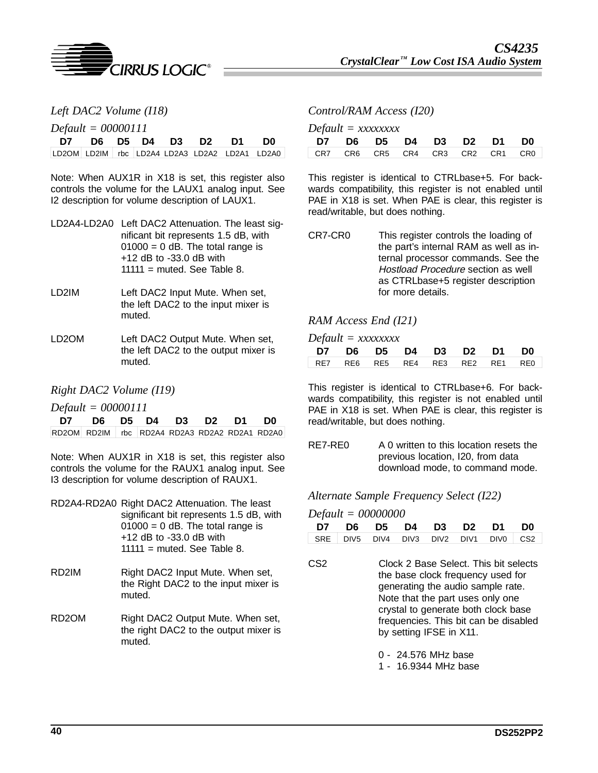

| Left DAC2 Volume (I18) |  |  |
|------------------------|--|--|
|------------------------|--|--|

*Default = 00000111*

|  | D7 D6 D5 D4 D3 D2 D1 D0 |  |  |                                               |
|--|-------------------------|--|--|-----------------------------------------------|
|  |                         |  |  | LD2OM LD2IM rbc LD2A4 LD2A3 LD2A2 LD2A1 LD2A0 |

Note: When AUX1R in X18 is set, this register also controls the volume for the LAUX1 analog input. See I2 description for volume description of LAUX1.

| LD2A4-LD2A0 Left DAC2 Attenuation. The least sig- |
|---------------------------------------------------|
| nificant bit represents 1.5 dB, with              |
| $01000 = 0$ dB. The total range is                |
| $+12$ dB to $-33.0$ dB with                       |
| $11111 =$ muted. See Table 8.                     |
|                                                   |

- LD2IM Left DAC2 Input Mute. When set, the left DAC2 to the input mixer is muted.
- LD2OM Left DAC2 Output Mute. When set, the left DAC2 to the output mixer is muted.

#### *Right DAC2 Volume (I19)*

*Default = 00000111*

| D7 D6 D5 D4 D3 D2 D1 D0                       |  |  |  |
|-----------------------------------------------|--|--|--|
| RD2OM RD2IM rbc RD2A4 RD2A3 RD2A2 RD2A1 RD2A0 |  |  |  |

Note: When AUX1R in X18 is set, this register also controls the volume for the RAUX1 analog input. See I3 description for volume description of RAUX1.

|       | RD2A4-RD2A0 Right DAC2 Attenuation. The least<br>significant bit represents 1.5 dB, with           |
|-------|----------------------------------------------------------------------------------------------------|
|       | $01000 = 0$ dB. The total range is<br>$+12$ dB to $-33.0$ dB with<br>$11111$ = muted. See Table 8. |
| RD2IM | Right DAC2 Input Mute. When set,                                                                   |

- the Right DAC2 to the input mixer is muted.
- RD2OM Right DAC2 Output Mute. When set, the right DAC2 to the output mixer is muted.

#### *Control/RAM Access (I20)*

| D7 D6 D5 D4 D3 D2 D1 D0         |  |  |  |  |
|---------------------------------|--|--|--|--|
| CR7 CR6 CR5 CR4 CR3 CR2 CR1 CR0 |  |  |  |  |

This register is identical to CTRLbase+5. For backwards compatibility, this register is not enabled until PAE in X18 is set. When PAE is clear, this register is read/writable, but does nothing.

CR7-CR0 This register controls the loading of the part's internal RAM as well as internal processor commands. See the Hostload Procedure section as well as CTRLbase+5 register description for more details.

#### *RAM Access End (I21)*

*Default = xxxxxxxx*

|  |  |  | D7 D6 D5 D4 D3 D2 D1 D0         |
|--|--|--|---------------------------------|
|  |  |  | RE7 RE6 RE5 RE4 RE3 RE2 RE1 RE0 |

This register is identical to CTRLbase+6. For backwards compatibility, this register is not enabled until PAE in X18 is set. When PAE is clear, this register is read/writable, but does nothing.

RE7-RE0 A 0 written to this location resets the previous location, I20, from data download mode, to command mode.

*Alternate Sample Frequency Select (I22)*

#### *Default = 00000000*

|      |  |  | D7 D6 D5 D4 D3 D2 D1 D0                                                    |  |
|------|--|--|----------------------------------------------------------------------------|--|
|      |  |  | SRE DIV5 DIV4 DIV3 DIV2 DIV1 DIV0 CS2                                      |  |
| CS2. |  |  | Clock 2 Base Select. This bit selects<br>the hase clock frequency yead for |  |

the base clock frequency used for generating the audio sample rate. Note that the part uses only one crystal to generate both clock base frequencies. This bit can be disabled by setting IFSE in X11.

0 - 24.576 MHz base

1 - 16.9344 MHz base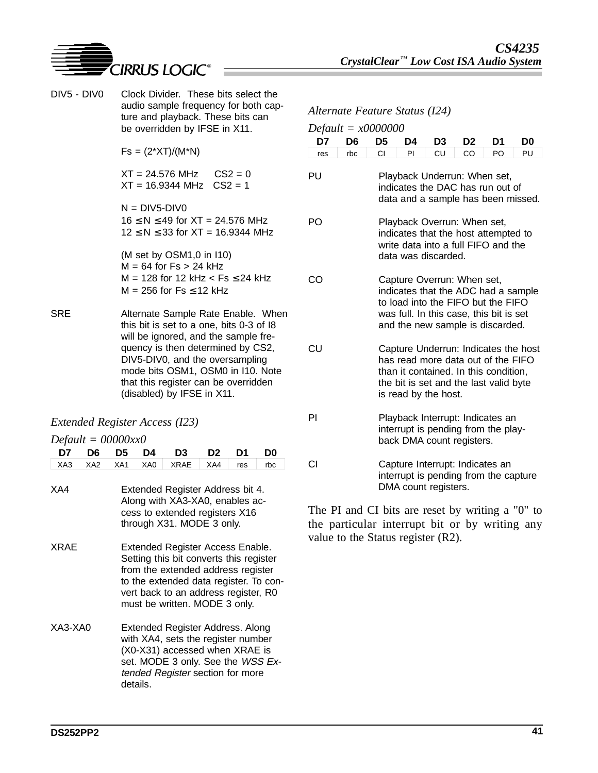

DIV5 - DIV0 Clock Divider. These bits select the audio sample frequency for both capture and playback. These bits can be overridden by IFSE in X11.

 $Fs = (2*XT)/(M*N)$ 

 $XT = 24.576 \text{ MHz}$   $CS2 = 0$  $XT = 16.9344 \text{ MHz} \quad \text{CS2} = 1$ 

 $N = DIV5-DIV0$  $16 ≤ N ≤ 49$  for  $XT = 24.576$  MHz  $12 \le N \le 33$  for  $XT = 16.9344$  MHz

(M set by OSM1,0 in I10)  $M = 64$  for  $Fs > 24$  kHz  $M = 128$  for 12 kHz  $<$  Fs  $\leq$  24 kHz  $M = 256$  for Fs  $\leq 12$  kHz

SRE Alternate Sample Rate Enable. When this bit is set to a one, bits 0-3 of I8 will be ignored, and the sample frequency is then determined by CS2, DIV5-DIV0, and the oversampling mode bits OSM1, OSM0 in I10. Note that this register can be overridden (disabled) by IFSE in X11.

#### *Extended Register Access (I23)*

|  | $Default = 00000xx0$ |
|--|----------------------|
|--|----------------------|

|     |  | D7 D6 D5 D4 D3 D2 D1             |  | D <sub>0</sub> |
|-----|--|----------------------------------|--|----------------|
|     |  | XA3 XA2 XA1 XA0 XRAE XA4 res rbc |  |                |
|     |  |                                  |  |                |
| XA4 |  | Extended Register Address bit 4. |  |                |

- Along with XA3-XA0, enables access to extended registers X16 through X31. MODE 3 only.
- XRAE Extended Register Access Enable. Setting this bit converts this register from the extended address register to the extended data register. To convert back to an address register, R0 must be written. MODE 3 only.
- XA3-XA0 Extended Register Address. Along with XA4, sets the register number (X0-X31) accessed when XRAE is set. MODE 3 only. See the WSS Extended Register section for more details.

#### *Alternate Feature Status (I24)*

| D7  | D6  | Dejuuu – xoooooo<br>D5                                                                                                                                                                | D4 | D <sub>3</sub>                                                                                                                                                                         | D <sub>2</sub> | D1 | D0 |  |  |  |
|-----|-----|---------------------------------------------------------------------------------------------------------------------------------------------------------------------------------------|----|----------------------------------------------------------------------------------------------------------------------------------------------------------------------------------------|----------------|----|----|--|--|--|
| res | rbc | СI                                                                                                                                                                                    | PI | CU                                                                                                                                                                                     | CO             | PO | PU |  |  |  |
| PU  |     |                                                                                                                                                                                       |    | Playback Underrun: When set,<br>indicates the DAC has run out of<br>data and a sample has been missed.                                                                                 |                |    |    |  |  |  |
| PO  |     | Playback Overrun: When set,<br>indicates that the host attempted to<br>write data into a full FIFO and the<br>data was discarded.                                                     |    |                                                                                                                                                                                        |                |    |    |  |  |  |
| CO  |     |                                                                                                                                                                                       |    | Capture Overrun: When set,<br>indicates that the ADC had a sample<br>to load into the FIFO but the FIFO<br>was full. In this case, this bit is set<br>and the new sample is discarded. |                |    |    |  |  |  |
| CU  |     | Capture Underrun: Indicates the host<br>has read more data out of the FIFO<br>than it contained. In this condition,<br>the bit is set and the last valid byte<br>is read by the host. |    |                                                                                                                                                                                        |                |    |    |  |  |  |
| ΡI  |     |                                                                                                                                                                                       |    | Playback Interrupt: Indicates an<br>interrupt is pending from the play-<br>back DMA count registers.                                                                                   |                |    |    |  |  |  |
| СI  |     |                                                                                                                                                                                       |    | Capture Interrupt: Indicates an<br>interrupt is pending from the capture<br>DMA count registers.                                                                                       |                |    |    |  |  |  |

The PI and CI bits are reset by writing a "0" to the particular interrupt bit or by writing any value to the Status register (R2).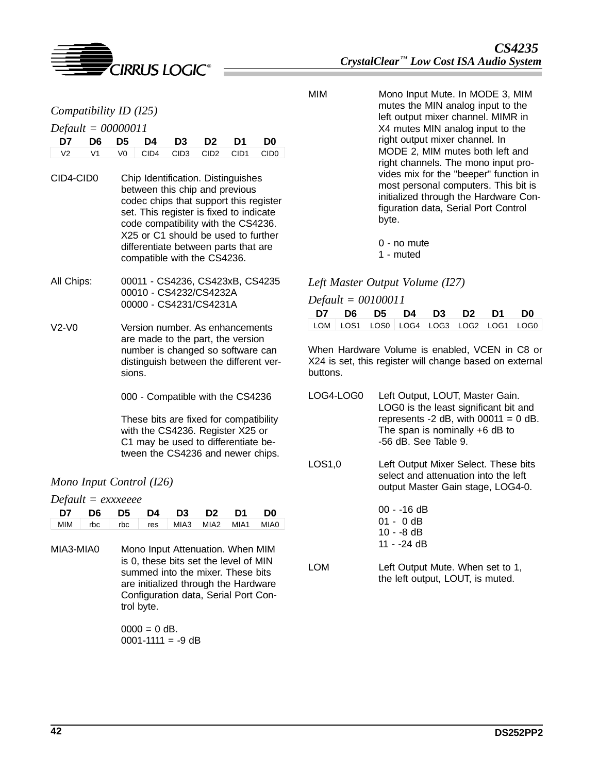

#### *Default = 00000011*

|  | D7 D6 D5 D4 D3 D2 D1 D0                   |  |  |
|--|-------------------------------------------|--|--|
|  | $\sqrt{2}$ V1 V0 CID4 CID3 CID2 CID1 CID0 |  |  |

- CID4-CID0 Chip Identification. Distinguishes between this chip and previous codec chips that support this register set. This register is fixed to indicate code compatibility with the CS4236. X25 or C1 should be used to further differentiate between parts that are compatible with the CS4236.
- All Chips: 00011 CS4236, CS423xB, CS4235 00010 - CS4232/CS4232A 00000 - CS4231/CS4231A
- V2-V0 Version number. As enhancements are made to the part, the version number is changed so software can distinguish between the different versions.
	- 000 Compatible with the CS4236

These bits are fixed for compatibility with the CS4236. Register X25 or C1 may be used to differentiate between the CS4236 and newer chips.

### *Mono Input Control (I26)*

*Default = exxxeeee*

| D7 D6 D5 D4 D3 D2 D1 D0 |  |  |                                             |
|-------------------------|--|--|---------------------------------------------|
|                         |  |  | MIM   rbc   rbc   res   MIA3 MIA2 MIA1 MIA0 |

MIA3-MIA0 Mono Input Attenuation. When MIM is 0, these bits set the level of MIN summed into the mixer. These bits are initialized through the Hardware Configuration data, Serial Port Control byte.

> $0000 = 0$  dB. 0001-1111 =  $-9$  dB

MIM Mono Input Mute. In MODE 3, MIM mutes the MIN analog input to the left output mixer channel. MIMR in X4 mutes MIN analog input to the right output mixer channel. In MODE 2, MIM mutes both left and right channels. The mono input provides mix for the "beeper" function in most personal computers. This bit is initialized through the Hardware Configuration data, Serial Port Control byte.

> 0 - no mute 1 - muted

#### *Left Master Output Volume (I27)*

#### *Default = 00100011*

|  |  |  | D7 D6 D5 D4 D3 D2 D1 D0                |
|--|--|--|----------------------------------------|
|  |  |  | LOM LOS1 LOS0 LOG4 LOG3 LOG2 LOG1 LOG0 |

When Hardware Volume is enabled, VCEN in C8 or X24 is set, this register will change based on external buttons.

- LOG4-LOG0 Left Output, LOUT, Master Gain. LOG0 is the least significant bit and represents  $-2$  dB, with 00011 = 0 dB. The span is nominally +6 dB to -56 dB. See Table 9.
- LOS1,0 Left Output Mixer Select. These bits select and attenuation into the left output Master Gain stage, LOG4-0.
	- 00 -16 dB 01 - 0 dB 10 - -8 dB 11 - -24 dB
- LOM Left Output Mute. When set to 1, the left output, LOUT, is muted.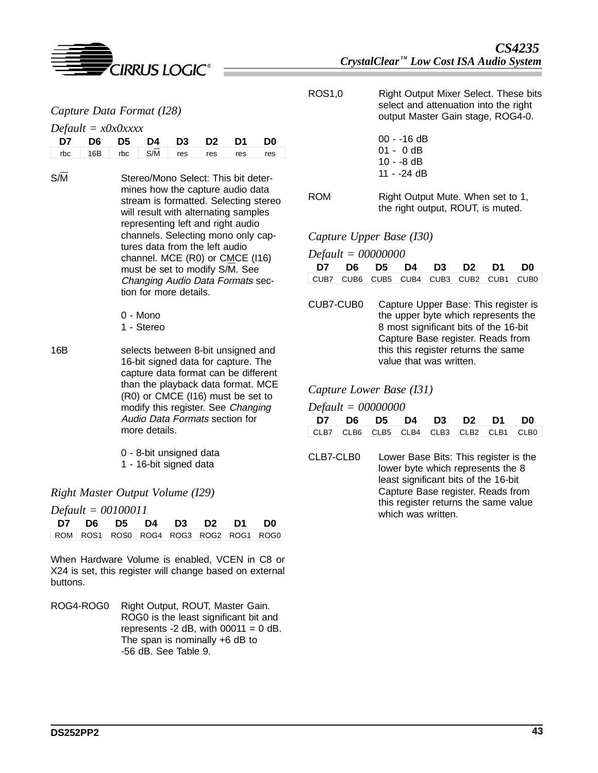

| Capture Data Format (I28) |  |  |
|---------------------------|--|--|
|                           |  |  |

#### *Default = x0x0xxxx*

| D7 D6 D5 D4 D3 D2 D1 D0                          |  |  |  |  |
|--------------------------------------------------|--|--|--|--|
| $\sqrt{16B}$ rbc $\sqrt{SM}$ res res res res res |  |  |  |  |

- S/M Stereo/Mono Select: This bit determines how the capture audio data stream is formatted. Selecting stereo will result with alternating samples representing left and right audio channels. Selecting mono only captures data from the left audio channel. MCE (R0) or CMCE (I16) must be set to modify S/M. See Changing Audio Data Formats section for more details.
	- 0 Mono 1 - Stereo
- 16B selects between 8-bit unsigned and 16-bit signed data for capture. The capture data format can be different than the playback data format. MCE (R0) or CMCE (I16) must be set to modify this register. See Changing Audio Data Formats section for more details.

0 - 8-bit unsigned data 1 - 16-bit signed data

*Right Master Output Volume (I29)*

*Default = 00100011*

|  | D7 D6 D5 D4 D3 D2 D1 D0 |  |                                        |
|--|-------------------------|--|----------------------------------------|
|  |                         |  | ROM ROS1 ROS0 ROG4 ROG3 ROG2 ROG1 ROG0 |

When Hardware Volume is enabled, VCEN in C8 or X24 is set, this register will change based on external buttons.

ROG4-ROG0 Right Output, ROUT, Master Gain. ROG0 is the least significant bit and represents -2 dB, with  $00011 = 0$  dB. The span is nominally +6 dB to -56 dB. See Table 9.

- ROS1,0 Right Output Mixer Select. These bits select and attenuation into the right output Master Gain stage, ROG4-0.
	- 00 -16 dB 01 - 0 dB 10 - -8 dB 11 - -24 dB

ROM Right Output Mute. When set to 1, the right output, ROUT, is muted.

*Capture Upper Base (I30)*

*Default = 00000000*

| D7 D6 D5 D4 D3 D2 D1 D0 |  |  |  |                                         |
|-------------------------|--|--|--|-----------------------------------------|
|                         |  |  |  | CUB7 CUB6 CUB5 CUB4 CUB3 CUB2 CUB1 CUB0 |

CUB7-CUB0 Capture Upper Base: This register is the upper byte which represents the 8 most significant bits of the 16-bit Capture Base register. Reads from this this register returns the same value that was written.

#### *Capture Lower Base (I31)*

*Default = 00000000*

|  |  |  | D7 D6 D5 D4 D3 D2 D1 D0                 |
|--|--|--|-----------------------------------------|
|  |  |  | CLB7 CLB6 CLB5 CLB4 CLB3 CLB2 CLB1 CLB0 |

CLB7-CLB0 Lower Base Bits: This register is the lower byte which represents the 8 least significant bits of the 16-bit Capture Base register. Reads from this register returns the same value which was written.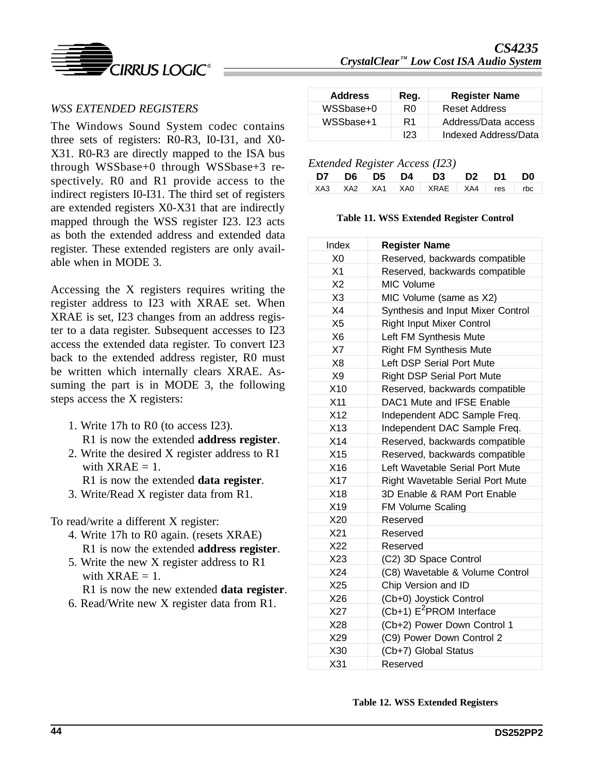

### *WSS EXTENDED REGISTERS*

The Windows Sound System codec contains three sets of registers: R0-R3, I0-I31, and X0- X31. R0-R3 are directly mapped to the ISA bus through WSSbase+0 through WSSbase+3 respectively. R0 and R1 provide access to the indirect registers I0-I31. The third set of registers are extended registers X0-X31 that are indirectly mapped through the WSS register I23. I23 acts as both the extended address and extended data register. These extended registers are only available when in MODE 3.

Accessing the X registers requires writing the register address to I23 with XRAE set. When XRAE is set, I23 changes from an address register to a data register. Subsequent accesses to I23 access the extended data register. To convert I23 back to the extended address register, R0 must be written which internally clears XRAE. Assuming the part is in MODE 3, the following steps access the X registers:

- 1. Write 17h to R0 (to access I23). R1 is now the extended **address register**.
- 2. Write the desired X register address to R1 with  $XRAE = 1$ .
	- R1 is now the extended **data register**.
- 3. Write/Read X register data from R1.

To read/write a different X register:

- 4. Write 17h to R0 again. (resets XRAE) R1 is now the extended **address register**.
- 5. Write the new X register address to R1 with  $XRAE = 1$ .
	- R1 is now the new extended **data register**.
- 6. Read/Write new X register data from R1.

| <b>Address</b> | Reg. | <b>Register Name</b> |
|----------------|------|----------------------|
| WSSbase+0      | R0   | <b>Reset Address</b> |
| WSSbase+1      | R1   | Address/Data access  |
|                | 123  | Indexed Address/Data |

*Extended Register Access (I23)*

|  |  | D7 D6 D5 D4 D3 D2 D1 D0          |  |  |
|--|--|----------------------------------|--|--|
|  |  | XA3 XA2 XA1 XA0 XRAE XA4 res rbc |  |  |
|  |  |                                  |  |  |

#### **Table 11. WSS Extended Register Control**

| Index           | <b>Register Name</b>                    |
|-----------------|-----------------------------------------|
| X <sub>0</sub>  | Reserved, backwards compatible          |
| X1              | Reserved, backwards compatible          |
| X <sub>2</sub>  | MIC Volume                              |
| X <sub>3</sub>  | MIC Volume (same as X2)                 |
| X4              | Synthesis and Input Mixer Control       |
| X <sub>5</sub>  | <b>Right Input Mixer Control</b>        |
| X <sub>6</sub>  | Left FM Synthesis Mute                  |
| X7              | <b>Right FM Synthesis Mute</b>          |
| X <sub>8</sub>  | Left DSP Serial Port Mute               |
| X9              | <b>Right DSP Serial Port Mute</b>       |
| X10             | Reserved, backwards compatible          |
| X <sub>11</sub> | DAC1 Mute and IFSE Enable               |
| X12             | Independent ADC Sample Freq.            |
| X13             | Independent DAC Sample Freq.            |
| X14             | Reserved, backwards compatible          |
| X15             | Reserved, backwards compatible          |
| X16             | Left Wavetable Serial Port Mute         |
| X17             | <b>Right Wavetable Serial Port Mute</b> |
| X18             | 3D Enable & RAM Port Enable             |
| X19             | FM Volume Scaling                       |
| X20             | Reserved                                |
| X21             | Reserved                                |
| X22             | Reserved                                |
| X23             | (C2) 3D Space Control                   |
| X24             | (C8) Wavetable & Volume Control         |
| X25             | Chip Version and ID                     |
| X26             | (Cb+0) Joystick Control                 |
| X27             | $(Cb+1)$ E <sup>2</sup> PROM Interface  |
| X28             | (Cb+2) Power Down Control 1             |
| X29             | (C9) Power Down Control 2               |
| X30             | (Cb+7) Global Status                    |
| X <sub>31</sub> | Reserved                                |

**Table 12. WSS Extended Registers**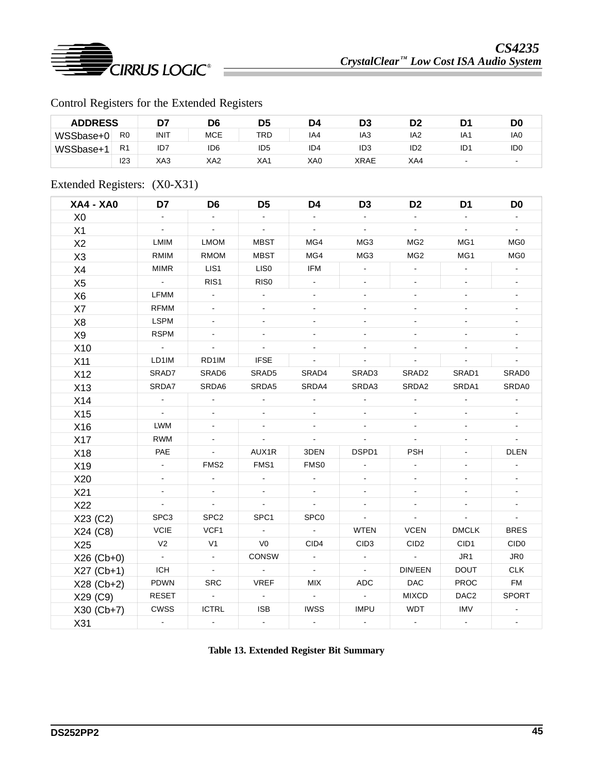

# Control Registers for the Extended Registers

| <b>ADDRESS</b> |                |      | D6              | D5              | D4              | D3              | D2              |                          | DO              |
|----------------|----------------|------|-----------------|-----------------|-----------------|-----------------|-----------------|--------------------------|-----------------|
| WSSbase+0      | R <sub>0</sub> | INIT | <b>MCE</b>      | TRD             | IA4             | IA <sub>3</sub> | IA2             | IA1                      | IA <sub>0</sub> |
| WSSbase+       | R <sub>1</sub> | ID7  | ID <sub>6</sub> | ID <sub>5</sub> | ID <sub>4</sub> | ID <sub>3</sub> | ID <sub>2</sub> | ID <sub>1</sub>          | ID <sub>0</sub> |
|                | 123            | XA3  | XA2             | XA1             | XA0             | XRAE            | XA4             | $\overline{\phantom{a}}$ |                 |

# Extended Registers: (X0-X31)

| <b>XA4 - XA0</b> | D7                        | D <sub>6</sub>            | D <sub>5</sub>           | D4                          | D <sub>3</sub>   | D <sub>2</sub>           | D <sub>1</sub>           | D <sub>0</sub>   |
|------------------|---------------------------|---------------------------|--------------------------|-----------------------------|------------------|--------------------------|--------------------------|------------------|
| X <sub>0</sub>   |                           |                           |                          |                             |                  | $\sim$                   | $\blacksquare$           |                  |
| X1               | $\mathbb{Z}^{\mathbb{Z}}$ | $\omega$                  | $\blacksquare$           | $\mathbf{u}$                | $\blacksquare$   | $\blacksquare$           | $\omega$                 | $\mathbf{r}$     |
| X <sub>2</sub>   | LMIM                      | <b>LMOM</b>               | <b>MBST</b>              | MG4                         | MG3              | MG <sub>2</sub>          | MG1                      | MG0              |
| X <sub>3</sub>   | <b>RMIM</b>               | <b>RMOM</b>               | <b>MBST</b>              | MG4                         | MG3              | MG <sub>2</sub>          | MG1                      | MG <sub>0</sub>  |
| X4               | <b>MIMR</b>               | LIS1                      | LIS <sub>0</sub>         | IFM                         | $\blacksquare$   | $\blacksquare$           | $\blacksquare$           | $\omega$         |
| X <sub>5</sub>   | $\sim$ $\sim$             | RIS1                      | RIS <sub>0</sub>         | $\mathbf{r}$                |                  |                          |                          |                  |
| X <sub>6</sub>   | <b>LFMM</b>               | $\blacksquare$            | $\blacksquare$           |                             |                  |                          |                          |                  |
| X7               | <b>RFMM</b>               |                           |                          |                             |                  | $\overline{\phantom{a}}$ | $\blacksquare$           |                  |
| X <sub>8</sub>   | <b>LSPM</b>               | $\blacksquare$            |                          |                             |                  |                          | $\overline{\phantom{a}}$ |                  |
| X9               | <b>RSPM</b>               |                           |                          |                             |                  |                          |                          |                  |
| X10              | $\sim$                    | $\blacksquare$            |                          |                             |                  |                          |                          |                  |
| X11              | LD1IM                     | RD1IM                     | <b>IFSE</b>              | $\mathcal{L}_{\mathcal{A}}$ |                  | $\blacksquare$           | $\blacksquare$           |                  |
| X12              | SRAD7                     | SRAD6                     | SRAD5                    | SRAD4                       | SRAD3            | SRAD <sub>2</sub>        | SRAD1                    | SRAD0            |
| X13              | SRDA7                     | SRDA6                     | SRDA5                    | SRDA4                       | SRDA3            | SRDA2                    | SRDA1                    | SRDA0            |
| X14              | $\blacksquare$            | $\Delta$                  | $\blacksquare$           | $\blacksquare$              |                  |                          | $\blacksquare$           |                  |
| X15              | $\mathbb{Z}^{\mathbb{Z}}$ |                           |                          |                             |                  |                          | $\blacksquare$           |                  |
| X16              | <b>LWM</b>                | $\blacksquare$            |                          |                             |                  |                          |                          |                  |
| X17              | <b>RWM</b>                |                           | $\omega$                 | $\mathbb{Z}^{\mathbb{Z}}$   |                  | ω.                       | $\blacksquare$           |                  |
| X18              | PAE                       | $\blacksquare$            | AUX1R                    | 3DEN                        | DSPD1            | <b>PSH</b>               |                          | <b>DLEN</b>      |
| X19              | $\omega$                  | FMS <sub>2</sub>          | FMS1                     | FMS0                        |                  |                          | $\blacksquare$           |                  |
| X20              | $\blacksquare$            |                           |                          |                             |                  |                          |                          |                  |
| X21              | $\blacksquare$            |                           |                          |                             |                  |                          | $\blacksquare$           |                  |
| X22              | $\mathbf{L}$              | $\blacksquare$            | $\overline{\phantom{a}}$ | $\Box$                      |                  |                          | ä,                       |                  |
| X23 (C2)         | SPC3                      | SPC <sub>2</sub>          | SPC1                     | SPC <sub>0</sub>            | $\blacksquare$   | $\blacksquare$           | $\blacksquare$           | $\blacksquare$   |
| X24 (C8)         | <b>VCIE</b>               | VCF1                      | $\sim$                   | $\sim$                      | <b>WTEN</b>      | <b>VCEN</b>              | <b>DMCLK</b>             | <b>BRES</b>      |
| X25              | V <sub>2</sub>            | V <sub>1</sub>            | V <sub>0</sub>           | CID4                        | CID <sub>3</sub> | CID <sub>2</sub>         | CID1                     | CID <sub>0</sub> |
| X26 (Cb+0)       | $\omega_{\rm{eff}}$       | $\mathbb{Z}^{\mathbb{Z}}$ | CONSW                    | $\blacksquare$              |                  | $\sim$                   | JR1                      | JR0              |
| $X27$ (Cb+1)     | <b>ICH</b>                | $\sim$                    | $\sim$                   | $\sim$                      | $\sim$           | DIN/EEN                  | <b>DOUT</b>              | <b>CLK</b>       |
| X28 (Cb+2)       | PDWN                      | <b>SRC</b>                | <b>VREF</b>              | <b>MIX</b>                  | <b>ADC</b>       | <b>DAC</b>               | <b>PROC</b>              | <b>FM</b>        |
| X29 (C9)         | <b>RESET</b>              | $\sim$                    | $\sim$                   | $\omega$ .                  |                  | <b>MIXCD</b>             | DAC <sub>2</sub>         | <b>SPORT</b>     |
| X30 (Cb+7)       | CWSS                      | <b>ICTRL</b>              | <b>ISB</b>               | <b>IWSS</b>                 | <b>IMPU</b>      | <b>WDT</b>               | <b>IMV</b>               |                  |
| X31              | $\omega$                  | $\blacksquare$            | $\omega$                 | $\omega$                    | $\mathbf{r}$     | $\omega$                 | $\omega$                 | $\blacksquare$   |

**Table 13. Extended Register Bit Summary**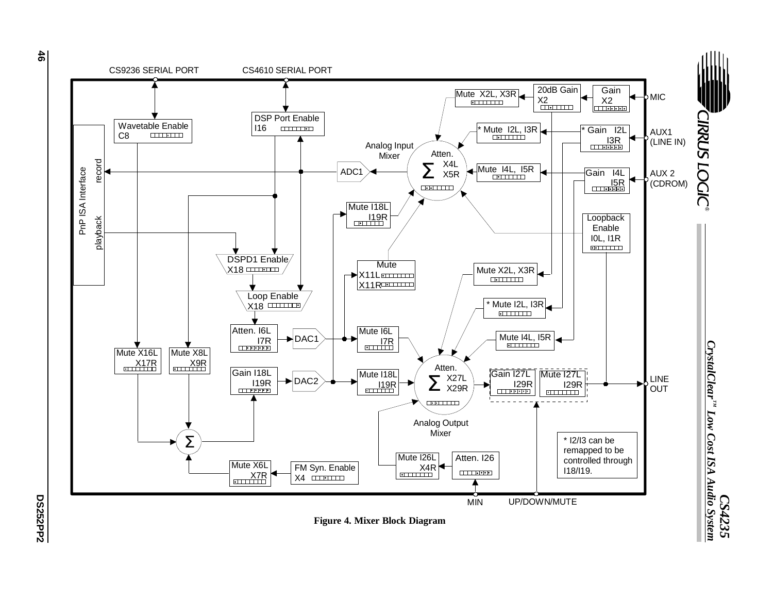

**DS252PP2**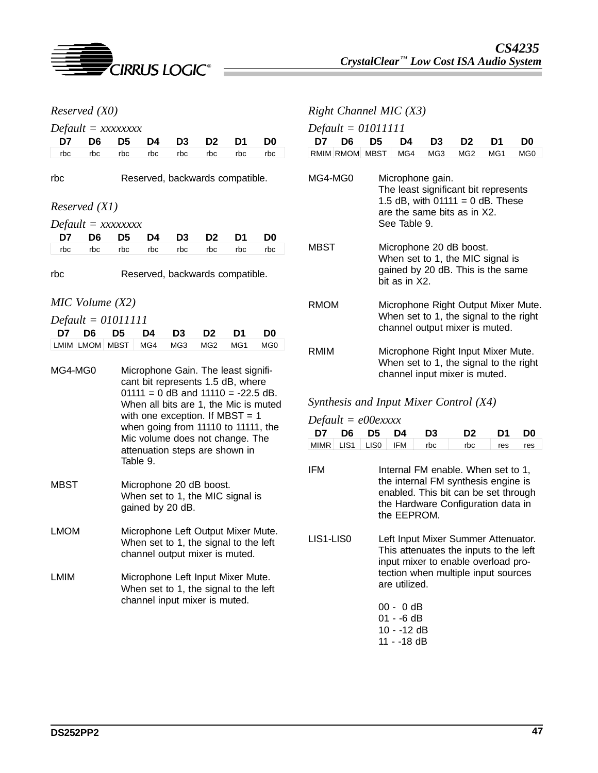

|                                                                                                                              | Reserved (X0)  |                |          |                |                                                                                                                                                                                                                                  |     |                 | Right                        |
|------------------------------------------------------------------------------------------------------------------------------|----------------|----------------|----------|----------------|----------------------------------------------------------------------------------------------------------------------------------------------------------------------------------------------------------------------------------|-----|-----------------|------------------------------|
| $Default = XXXXXXX$                                                                                                          |                |                |          |                |                                                                                                                                                                                                                                  |     |                 | Defau                        |
| D7                                                                                                                           | D <sub>6</sub> | D <sub>5</sub> | D4       | D3             | D <sub>2</sub>                                                                                                                                                                                                                   | D1  | D0              | D7                           |
| rbc                                                                                                                          | rbc            | rbc            | rbc      | rbc            | rbc                                                                                                                                                                                                                              | rbc | rbc             | RMIM                         |
| rbc                                                                                                                          |                |                |          |                | Reserved, backwards compatible.                                                                                                                                                                                                  |     |                 | MG4-I                        |
| Reserved (X1)                                                                                                                |                |                |          |                |                                                                                                                                                                                                                                  |     |                 |                              |
| $Default = XXXXXXX$                                                                                                          |                |                |          |                |                                                                                                                                                                                                                                  |     |                 |                              |
| D7                                                                                                                           | D6             | D5             | D4       | D3             | D2                                                                                                                                                                                                                               | D1  | D <sub>0</sub>  |                              |
| rbc                                                                                                                          | rbc            | rbc            | rbc      | rbc            | rbc                                                                                                                                                                                                                              | rbc | rbc             | <b>MBST</b>                  |
| rbc<br>$MIC$ Volume $(X2)$                                                                                                   |                |                |          |                | Reserved, backwards compatible.                                                                                                                                                                                                  |     |                 | <b>RMON</b>                  |
| $Default = 01011111$                                                                                                         |                |                |          |                |                                                                                                                                                                                                                                  |     |                 |                              |
| D7                                                                                                                           | D <sub>6</sub> | D5             | D4       | D <sub>3</sub> | D <sub>2</sub>                                                                                                                                                                                                                   | D1  | D <sub>0</sub>  |                              |
| LMIM   LMOM                                                                                                                  |                | <b>MBST</b>    | MG4      | MG3            | MG <sub>2</sub>                                                                                                                                                                                                                  | MG1 | MG <sub>0</sub> | <b>RMIM</b>                  |
|                                                                                                                              |                |                |          |                | $01111 = 0$ dB and $11110 = -22.5$ dB.<br>When all bits are 1, the Mic is muted<br>with one exception. If MBST = $1$<br>when going from 11110 to 11111, the<br>Mic volume does not change. The<br>attenuation steps are shown in |     |                 | Synth<br>Defau<br>D7<br>MIMR |
|                                                                                                                              |                |                | Table 9. |                |                                                                                                                                                                                                                                  |     |                 | IFM                          |
| <b>MBST</b><br>Microphone 20 dB boost.<br>When set to 1, the MIC signal is<br>gained by 20 dB.                               |                |                |          |                |                                                                                                                                                                                                                                  |     |                 |                              |
| Microphone Left Output Mixer Mute.<br><b>LMOM</b><br>When set to 1, the signal to the left<br>channel output mixer is muted. |                |                |          |                |                                                                                                                                                                                                                                  |     |                 | LIS1-L                       |
|                                                                                                                              |                |                |          |                |                                                                                                                                                                                                                                  |     |                 |                              |

*Channel MIC (X3)* 

 $dt = 01011111$ 

| D7      | D6             | D5 | D4                                                                                                                                            | D3                                                                                               | D2              | D1              | D0              |  |  |  |
|---------|----------------|----|-----------------------------------------------------------------------------------------------------------------------------------------------|--------------------------------------------------------------------------------------------------|-----------------|-----------------|-----------------|--|--|--|
|         | RMIM RMOM MBST |    | MG4                                                                                                                                           | MG3                                                                                              | MG <sub>2</sub> | MG <sub>1</sub> | MG <sub>0</sub> |  |  |  |
| MG4-MG0 |                |    | Microphone gain.<br>The least significant bit represents<br>1.5 dB, with $01111 = 0$ dB. These<br>are the same bits as in X2.<br>See Table 9. |                                                                                                  |                 |                 |                 |  |  |  |
| MBST    |                |    | bit as in X2.                                                                                                                                 | Microphone 20 dB boost.<br>When set to 1, the MIC signal is<br>gained by 20 dB. This is the same |                 |                 |                 |  |  |  |
| RMOM    |                |    | Microphone Right Output Mixer Mute.<br>When set to 1, the signal to the right<br>channel output mixer is muted.                               |                                                                                                  |                 |                 |                 |  |  |  |
| RMIM    |                |    | Microphone Right Input Mixer Mute.<br>When set to 1, the signal to the right<br>channel input mixer is muted.                                 |                                                                                                  |                 |                 |                 |  |  |  |

### *<i><u>Resis and Input Mixer Control (X4)</u>*

 $dt = e00e$ *xxxx* 

|  |  | D7 D6 D5 D4 D3 D2 D1 D0            |  |
|--|--|------------------------------------|--|
|  |  | MIMR LIS1 LIS0 IFM rbc rbc res res |  |

- Internal FM enable. When set to 1, the internal FM synthesis engine is enabled. This bit can be set through the Hardware Configuration data in the EEPROM.
- LIS0 Left Input Mixer Summer Attenuator. This attenuates the inputs to the left input mixer to enable overload protection when multiple input sources are utilized.

| 00 - 0 dB   |  |
|-------------|--|
| 01 - -6 dB  |  |
| 10 - -12 dB |  |
| 11 - -18 dB |  |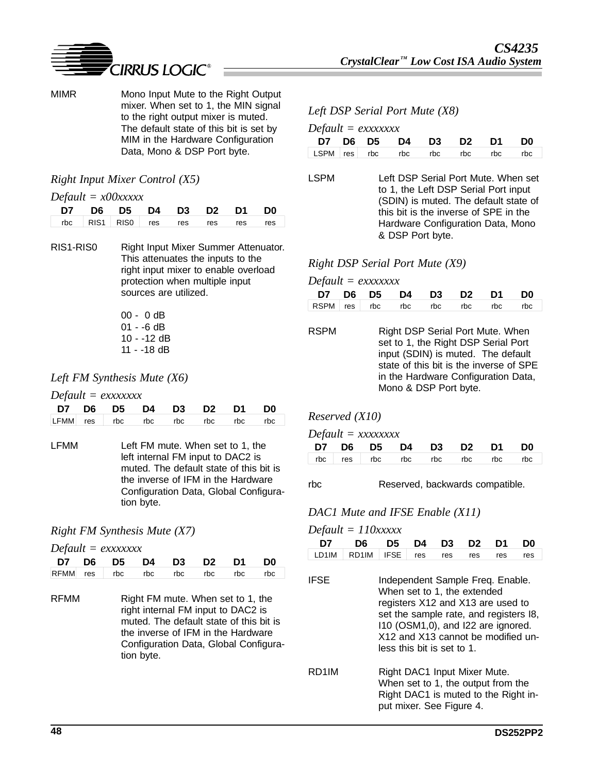

MIMR Mono Input Mute to the Right Output mixer. When set to 1, the MIN signal to the right output mixer is muted. The default state of this bit is set by MIM in the Hardware Configuration Data, Mono & DSP Port byte.

#### *Right Input Mixer Control (X5)*

#### *Default = x00xxxxx*

|                                   |  | D7 D6 D5 D4 D3 D2 D1 D0 |  |  |
|-----------------------------------|--|-------------------------|--|--|
| rbc RIS1 RIS0 res res res res res |  |                         |  |  |

- RIS1-RIS0 Right Input Mixer Summer Attenuator. This attenuates the inputs to the right input mixer to enable overload protection when multiple input sources are utilized.
	- 00 0 dB 01 - -6 dB 10 - -12 dB 11 - -18 dB

#### *Left FM Synthesis Mute (X6)*

*Default = exxxxxxx*

|  | D7 D6 D5 D4 D3 D2 D1 D0              |  |  |  |
|--|--------------------------------------|--|--|--|
|  | LFMM res rbc rbc rbc rbc rbc rbc rbc |  |  |  |

LFMM Left FM mute. When set to 1, the left internal FM input to DAC2 is muted. The default state of this bit is the inverse of IFM in the Hardware Configuration Data, Global Configuration byte.

### *Right FM Synthesis Mute (X7)*

#### *Default = exxxxxxx*

|  | D7 D6 D5 D4 D3 D2 D1 D0 |  |  |                                  |
|--|-------------------------|--|--|----------------------------------|
|  |                         |  |  | RFMM res rbc rbc rbc rbc rbc rbc |

RFMM Right FM mute. When set to 1, the right internal FM input to DAC2 is muted. The default state of this bit is the inverse of IFM in the Hardware Configuration Data, Global Configuration byte.

#### *Left DSP Serial Port Mute (X8)*

|  |  | $Default = 0$ |
|--|--|---------------|
|--|--|---------------|

|  | D7 D6 D5 D4 D3 D2 D1 D0 |  |  |                                  |
|--|-------------------------|--|--|----------------------------------|
|  |                         |  |  | LSPM res rbc rbc rbc rbc rbc rbc |

LSPM Left DSP Serial Port Mute. When set to 1, the Left DSP Serial Port input (SDIN) is muted. The default state of this bit is the inverse of SPE in the Hardware Configuration Data, Mono & DSP Port byte.

#### *Right DSP Serial Port Mute (X9)*

| $Default = exxxxxxx$             |  |  |  |  |                         |  |  |  |  |
|----------------------------------|--|--|--|--|-------------------------|--|--|--|--|
|                                  |  |  |  |  | D7 D6 D5 D4 D3 D2 D1 D0 |  |  |  |  |
| RSPM res rbc rbc rbc rbc rbc rbc |  |  |  |  |                         |  |  |  |  |

RSPM Right DSP Serial Port Mute. When set to 1, the Right DSP Serial Port input (SDIN) is muted. The default state of this bit is the inverse of SPE in the Hardware Configuration Data, Mono & DSP Port byte.

### *Reserved (X10)*

*Default = xxxxxxxx*

|  |  | D7 D6 D5 D4 D3 D2 D1 D0 |                                 |
|--|--|-------------------------|---------------------------------|
|  |  |                         | rbc res rbc rbc rbc rbc rbc rbc |

#### rbc Reserved, backwards compatible.

#### *DAC1 Mute and IFSE Enable (X11)*

*Default = 110xxxxx*

| Dejuvil | $-$ 110000000      |                                                                                                                                                                                                                                                          |     |     |                |     |     |  |
|---------|--------------------|----------------------------------------------------------------------------------------------------------------------------------------------------------------------------------------------------------------------------------------------------------|-----|-----|----------------|-----|-----|--|
| D7      | D6                 | D5                                                                                                                                                                                                                                                       | D4  | D3  | D <sub>2</sub> | D1  | D0  |  |
| LD1IM   | RD <sub>1</sub> IM | <b>IFSE</b>                                                                                                                                                                                                                                              | res | res | res            | res | res |  |
| IFSE    |                    | Independent Sample Freq. Enable.<br>When set to 1, the extended<br>registers X12 and X13 are used to<br>set the sample rate, and registers I8,<br>110 (OSM1,0), and I22 are ignored.<br>X12 and X13 cannot be modified un-<br>less this bit is set to 1. |     |     |                |     |     |  |
|         |                    |                                                                                                                                                                                                                                                          |     |     |                |     |     |  |

RD1IM Right DAC1 Input Mixer Mute. When set to 1, the output from the Right DAC1 is muted to the Right input mixer. See Figure 4.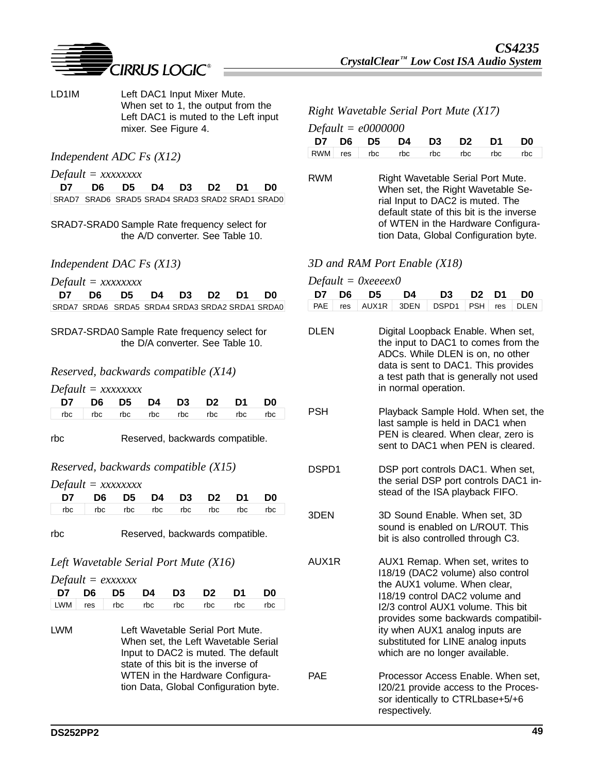

LD1IM Left DAC1 Input Mixer Mute. When set to 1, the output from the Left DAC1 is muted to the Left input mixer. See Figure 4.

#### *Independent ADC Fs (X12)*

*Default = xxxxxxxx*

**D7 D6 D5 D4 D3 D2 D1 D0** SRAD7 SRAD6 SRAD5 SRAD4 SRAD3 SRAD2 SRAD1 SRAD0

SRAD7-SRAD0 Sample Rate frequency select for the A/D converter. See Table 10.

#### *Independent DAC Fs (X13)*

|  |  | $Default = XXXXXXX$ |
|--|--|---------------------|
|--|--|---------------------|

| D7 D6 D5 D4 D3 D2 D1 D0                         |  |  |  |
|-------------------------------------------------|--|--|--|
| SRDA7 SRDA6 SRDA5 SRDA4 SRDA3 SRDA2 SRDA1 SRDA0 |  |  |  |

SRDA7-SRDA0 Sample Rate frequency select for the D/A converter. See Table 10.

#### *Reserved, backwards compatible (X14)*

*Default = xxxxxxxx*

| D7 D6 D5 D4 D3 D2 D1 D0           |  |  |  |  |
|-----------------------------------|--|--|--|--|
| rbc   rbc rbc rbc rbc rbc rbc rbc |  |  |  |  |

rbc Reserved, backwards compatible.

#### *Reserved, backwards compatible (X15)*

*Default = xxxxxxxx*

| D7 D6 D5 D4 D3 D2 D1 D0           |  |  |  |
|-----------------------------------|--|--|--|
| rbc   rbc rbc rbc rbc rbc rbc rbc |  |  |  |

rbc Reserved, backwards compatible.

#### *Left Wavetable Serial Port Mute (X16)*

*Default = exxxxxx*

|  |  | D7 D6 D5 D4 D3 D2 D1 D0         |  |
|--|--|---------------------------------|--|
|  |  | LWM res rbc rbc rbc rbc rbc rbc |  |

LWM Left Wavetable Serial Port Mute. When set, the Left Wavetable Serial Input to DAC2 is muted. The default state of this bit is the inverse of WTEN in the Hardware Configuration Data, Global Configuration byte.

#### *CS4235*   $C$ rystalClear<sup>*IM*</sup> Low Cost ISA Audio System

### *Right Wavetable Serial Port Mute (X17)*

|  |  | D7 D6 D5 D4 D3 D2 D1 D0 |                                 |
|--|--|-------------------------|---------------------------------|
|  |  |                         | RWM res rbc rbc rbc rbc rbc rbc |

RWM Right Wavetable Serial Port Mute. When set, the Right Wavetable Serial Input to DAC2 is muted. The default state of this bit is the inverse of WTEN in the Hardware Configuration Data, Global Configuration byte.

#### *3D and RAM Port Enable (X18)*

| $Default = 0xeeeex0$ |  |
|----------------------|--|
|----------------------|--|

|  |  | D7 D6 D5 D4 D3 D2 D1 D0               |  |  |
|--|--|---------------------------------------|--|--|
|  |  | PAE res AUX1R 3DEN DSPD1 PSH res DLEN |  |  |

- DLEN Digital Loopback Enable. When set, the input to DAC1 to comes from the ADCs. While DLEN is on, no other data is sent to DAC1. This provides a test path that is generally not used in normal operation.
- PSH Playback Sample Hold. When set, the last sample is held in DAC1 when PEN is cleared. When clear, zero is sent to DAC1 when PEN is cleared.
- DSPD1 DSP port controls DAC1. When set, the serial DSP port controls DAC1 instead of the ISA playback FIFO.
- 3DEN 3D Sound Enable. When set, 3D sound is enabled on L/ROUT. This bit is also controlled through C3.
- AUX1R AUX1 Remap. When set, writes to I18/19 (DAC2 volume) also control the AUX1 volume. When clear, I18/19 control DAC2 volume and I2/3 control AUX1 volume. This bit provides some backwards compatibility when AUX1 analog inputs are substituted for LINE analog inputs which are no longer available. PAE Processor Access Enable. When set,
- I20/21 provide access to the Processor identically to CTRLbase+5/+6 respectively.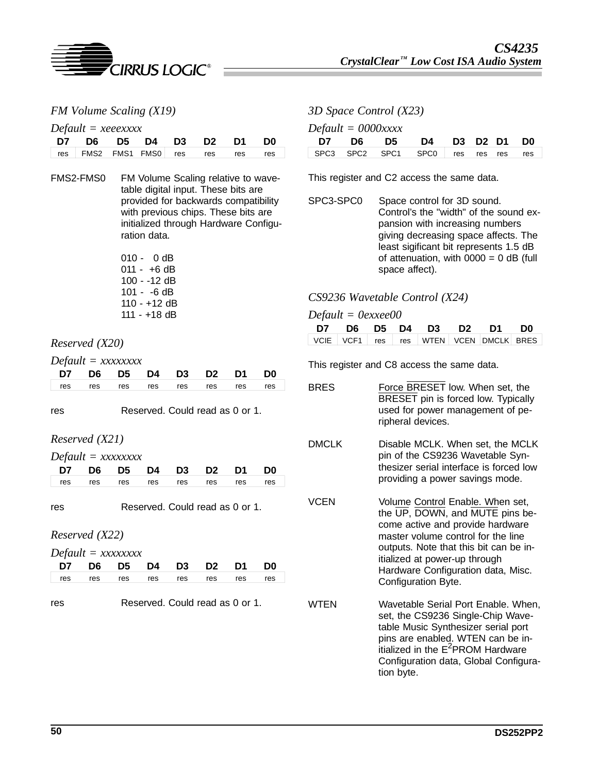

*FM Volume Scaling (X19)*

*Default = xeeexxxx*

|  | D7 D6 D5 D4 D3 D2 D1 D0            |  |  |  |
|--|------------------------------------|--|--|--|
|  | res FMS2 FMS1 FMS0 res res res res |  |  |  |

FMS2-FMS0 FM Volume Scaling relative to wavetable digital input. These bits are provided for backwards compatibility with previous chips. These bits are initialized through Hardware Configuration data.

| 010 - | − 0 dB       |
|-------|--------------|
|       | 011 - +6 dB  |
|       | 100 - -12 dB |
|       | 101 - -6 dB  |
|       | 110 - +12 dB |
|       | 111 - +18 dB |

### *Reserved (X20)*

*Default = xxxxxxxx*

| D7 D6 D5 D4 D3 D2 D1 D0             |  |  |  |  |
|-------------------------------------|--|--|--|--|
| res res res res res res res res res |  |  |  |  |

res Reserved. Could read as 0 or 1.

### *Reserved (X21)*

| $Default = XXXXXXX$ |     |     |     |                         |     |     |     |
|---------------------|-----|-----|-----|-------------------------|-----|-----|-----|
|                     |     |     |     | D7 D6 D5 D4 D3 D2 D1 D0 |     |     |     |
| res                 | res | res | res | res                     | res | res | res |

res Reserved. Could read as 0 or 1.

*Reserved (X22)*

| $Default = XXXXXX$                |  |  |                         |  |
|-----------------------------------|--|--|-------------------------|--|
|                                   |  |  | D7 D6 D5 D4 D3 D2 D1 D0 |  |
| res res res res res res res res l |  |  |                         |  |

res Reserved. Could read as 0 or 1.

*3D Space Control (X23) Default = 0000xxxx*

|  |  | D7 D6 D5 D4 D3 D2 D1 D0             |  |  |  |
|--|--|-------------------------------------|--|--|--|
|  |  | SPC3 SPC2 SPC1 SPC0 res res res res |  |  |  |

This register and C2 access the same data.

SPC3-SPC0 Space control for 3D sound. Control's the "width" of the sound expansion with increasing numbers giving decreasing space affects. The least sigificant bit represents 1.5 dB of attenuation, with  $0000 = 0$  dB (full space affect).

### *CS9236 Wavetable Control (X24)*

| Default = 0exxee00 |  |  |                                        |  |
|--------------------|--|--|----------------------------------------|--|
|                    |  |  | D7 D6 D5 D4 D3 D2 D1 D0                |  |
|                    |  |  | VCIE VCF1 res res WTEN VCEN DMCLK BRES |  |

This register and C8 access the same data.

| BRES         | Force BRESET low. When set, the<br>BRESET pin is forced low. Typically<br>used for power management of pe-<br>ripheral devices.                                                                                                                                                       |
|--------------|---------------------------------------------------------------------------------------------------------------------------------------------------------------------------------------------------------------------------------------------------------------------------------------|
| <b>DMCLK</b> | Disable MCLK. When set, the MCLK<br>pin of the CS9236 Wavetable Syn-<br>thesizer serial interface is forced low<br>providing a power savings mode.                                                                                                                                    |
| VCEN         | Volume Control Enable. When set,<br>the UP, DOWN, and MUTE pins be-<br>come active and provide hardware<br>master volume control for the line<br>outputs. Note that this bit can be in-<br>itialized at power-up through<br>Hardware Configuration data, Misc.<br>Configuration Byte. |
| <b>WTFN</b>  | Wavetable Serial Port Enable. When,<br>set, the CS9236 Single-Chip Wave-<br>table Music Synthesizer serial port<br>pins are enabled. WTEN can be in-<br>itialized in the E <sup>2</sup> PROM Hardware<br>Configuration data, Global Configura-<br>tion byte.                          |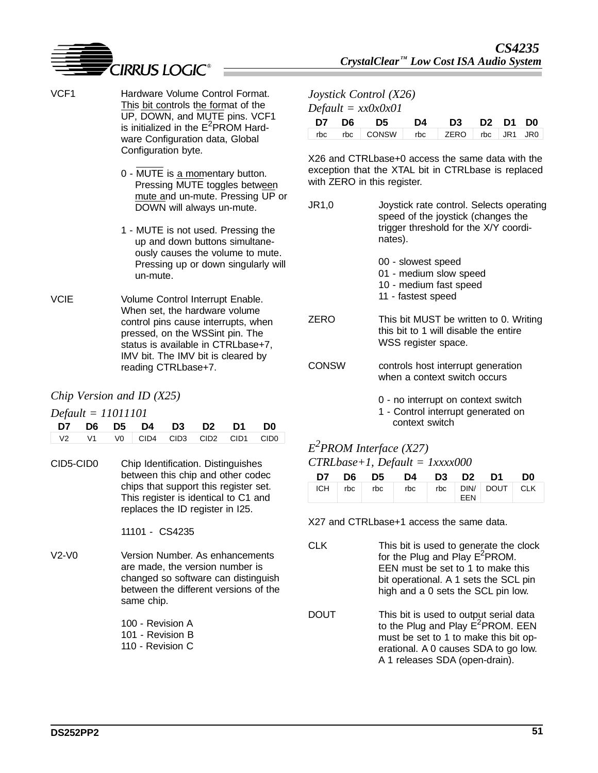

- VCF1 Hardware Volume Control Format. This bit controls the format of the UP, DOWN, and MUTE pins. VCF1 is initialized in the  $E^2$ PROM Hardware Configuration data, Global Configuration byte. 0 - MUTE is a momentary button. Pressing MUTE toggles between mute and un-mute. Pressing UP or DOWN will always un-mute. 1 - MUTE is not used. Pressing the *Joystick Control (X26) Default = xx0x0x01* with ZERO in this register. nates).
	- up and down buttons simultaneously causes the volume to mute. Pressing up or down singularly will un-mute.
- VCIE Volume Control Interrupt Enable. When set, the hardware volume control pins cause interrupts, when pressed, on the WSSint pin. The status is available in CTRLbase+7, IMV bit. The IMV bit is cleared by reading CTRLbase+7.

### *Chip Version and ID (X25)*

| $Default = 11011101$ |  |
|----------------------|--|
|----------------------|--|

|  | D7 D6 D5 D4 D3 D2 D1 D0 |  |  |
|--|-------------------------|--|--|
|  |                         |  |  |

CID5-CID0 Chip Identification. Distinguishes between this chip and other codec chips that support this register set. This register is identical to C1 and replaces the ID register in I25.

11101 - CS4235

- V2-V0 Version Number. As enhancements are made, the version number is changed so software can distinguish between the different versions of the same chip.
	- 100 Revision A 101 - Revision B
	- 110 Revision C

|  | D7 D6 D5 D4 D3 D2 D1 D0            |  |  |  |
|--|------------------------------------|--|--|--|
|  | rbc rbc CONSW rbc ZERO rbc JR1 JR0 |  |  |  |

X26 and CTRLbase+0 access the same data with the exception that the XTAL bit in CTRLbase is replaced

| JR1,0 | Joystick rate control. Selects operating<br>speed of the joystick (changes the<br>trigger threshold for the X/Y coordi-<br>nates). |
|-------|------------------------------------------------------------------------------------------------------------------------------------|
|       | 00 - slowest speed<br>01 - medium slow speed<br>10 - medium fast speed<br>11 - fastest speed                                       |
| ZERO  | This bit MUST be written to 0. Writing<br>this bit to 1 will disable the entire<br>WSS register space.                             |
| CONSW | controls host interrupt generation<br>when a context switch occurs                                                                 |

- 0 no interrupt on context switch
- 1 Control interrupt generated on context switch

# *E2 PROM Interface (X27) CTRLbase+1, Default = 1xxxx000*

|  | D7 D6 D5 D4 D3 D2 D1 D0                  |  |  |
|--|------------------------------------------|--|--|
|  | ICH   rbc   rbc   rbc   DIN   DOUT   CLK |  |  |

X27 and CTRLbase+1 access the same data.

- CLK This bit is used to generate the clock for the Plug and Play  $E^2$ PROM. EEN must be set to 1 to make this bit operational. A 1 sets the SCL pin high and a 0 sets the SCL pin low.
- DOUT This bit is used to output serial data to the Plug and Play E<sup>2</sup>PROM. EEN must be set to 1 to make this bit operational. A 0 causes SDA to go low. A 1 releases SDA (open-drain).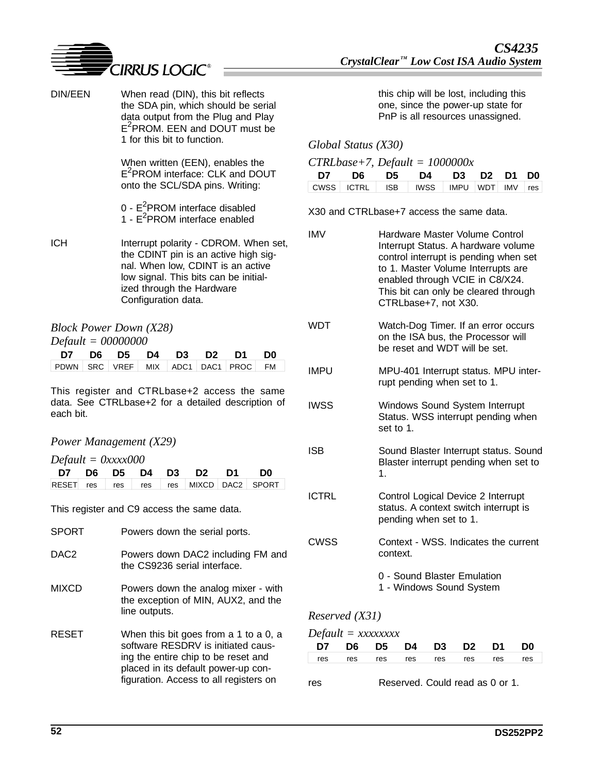

| DIN/EEN    | When read (DIN), this bit reflects<br>the SDA pin, which should be serial<br>data output from the Plug and Play<br>E <sup>2</sup> PROM. EEN and DOUT must be<br>1 for this bit to function.                     |                   | Global Status (X30                       | this o<br>one,<br>PnP                                         |
|------------|-----------------------------------------------------------------------------------------------------------------------------------------------------------------------------------------------------------------|-------------------|------------------------------------------|---------------------------------------------------------------|
|            | When written (EEN), enables the<br>E <sup>2</sup> PROM interface: CLK and DOUT<br>onto the SCL/SDA pins. Writing:                                                                                               | D7<br><b>CWSS</b> | $CTRLbase+7, Defa$<br>D6<br><b>ICTRL</b> | D5<br><b>ISB</b>                                              |
|            | $0 - E2$ PROM interface disabled<br>1 - $E^2$ PROM interface enabled                                                                                                                                            |                   | X30 and CTRLbase+                        |                                                               |
| <b>ICH</b> | Interrupt polarity - CDROM. When set,<br>the CDINT pin is an active high sig-<br>nal. When low, CDINT is an active<br>low signal. This bits can be initial-<br>ized through the Hardware<br>Configuration data. | <b>IMV</b>        |                                          | Hard<br>Inter<br>contr<br>to 1.<br>enab<br><b>This</b><br>CTR |

|                                                                                                            | <b>Block Power Down (X28)</b> |                      |  |  |  |  |     |  |  |  |  |  |
|------------------------------------------------------------------------------------------------------------|-------------------------------|----------------------|--|--|--|--|-----|--|--|--|--|--|
| $Default = 00000000$                                                                                       |                               |                      |  |  |  |  |     |  |  |  |  |  |
|                                                                                                            |                               | D7 D6 D5 D4 D3 D2 D1 |  |  |  |  | D0. |  |  |  |  |  |
| $\sqrt{P}$ PDWN $\sqrt{S}$ RC $\sqrt{V}$ VREF $\sqrt{M}$ MIX $\sqrt{P}$ ADC1 $\sqrt{P}$ PROC $\sqrt{P}$ FM |                               |                      |  |  |  |  |     |  |  |  |  |  |

This register and CTRLbase+2 access the same data. See CTRLbase+2 for a detailed description of each bit.

### *Power Management (X29)*

|  |  | $Default = 0xxxx000$ |
|--|--|----------------------|
|--|--|----------------------|

|  |  | D7 D6 D5 D4 D3 D2 D1 D0 |                                        |
|--|--|-------------------------|----------------------------------------|
|  |  |                         | RESET res res res res MIXCD DAC2 SPORT |

This register and C9 access the same data.

| <b>SPORT</b>     | Powers down the serial ports.                                                                                                                                                                       |
|------------------|-----------------------------------------------------------------------------------------------------------------------------------------------------------------------------------------------------|
| DAC <sub>2</sub> | Powers down DAC2 including FM and<br>the CS9236 serial interface.                                                                                                                                   |
| <b>MIXCD</b>     | Powers down the analog mixer - with<br>the exception of MIN, AUX2, and the<br>line outputs.                                                                                                         |
| <b>RESET</b>     | When this bit goes from a 1 to a 0, a<br>software RESDRV is initiated caus-<br>ing the entire chip to be reset and<br>placed in its default power-up con-<br>figuration. Access to all registers on |

chip will be lost, including this since the power-up state for is all resources unassigned.

### *Global Status (X30)*

#### $u = 1000000x$

| D7 D6 D5 D4 D3 D2 D1 D0                            |  |  |  |
|----------------------------------------------------|--|--|--|
| CWSS   ICTRL   ISB   IWSS   IMPU   WDT   IMV   res |  |  |  |

 $37$  access the same data.

| <b>IMV</b>   | Hardware Master Volume Control<br>Interrupt Status. A hardware volume<br>control interrupt is pending when set<br>to 1. Master Volume Interrupts are<br>enabled through VCIE in C8/X24.<br>This bit can only be cleared through<br>CTRLbase+7, not X30. |
|--------------|---------------------------------------------------------------------------------------------------------------------------------------------------------------------------------------------------------------------------------------------------------|
| WDT          | Watch-Dog Timer. If an error occurs<br>on the ISA bus, the Processor will<br>be reset and WDT will be set.                                                                                                                                              |
| <b>IMPU</b>  | MPU-401 Interrupt status. MPU inter-<br>rupt pending when set to 1.                                                                                                                                                                                     |
| <b>IWSS</b>  | Windows Sound System Interrupt<br>Status. WSS interrupt pending when<br>set to 1.                                                                                                                                                                       |
| ISB          | Sound Blaster Interrupt status. Sound<br>Blaster interrupt pending when set to<br>1.                                                                                                                                                                    |
| <b>ICTRL</b> | Control Logical Device 2 Interrupt<br>status. A context switch interrupt is<br>pending when set to 1.                                                                                                                                                   |
| CWSS         | Context - WSS. Indicates the current<br>context.                                                                                                                                                                                                        |
|              | 0 - Sound Blaster Emulation<br>1 - Windows Sound System                                                                                                                                                                                                 |

## *Reserved (X31)*

### *Default = xxxxxxxx*

| D7 D6 D5 D4 D3 D2 D1 D0 |  |  |  |                                     |
|-------------------------|--|--|--|-------------------------------------|
|                         |  |  |  | res res res res res res res res res |

| res | Reserved. Could read as 0 or 1. |  |  |  |
|-----|---------------------------------|--|--|--|
|     |                                 |  |  |  |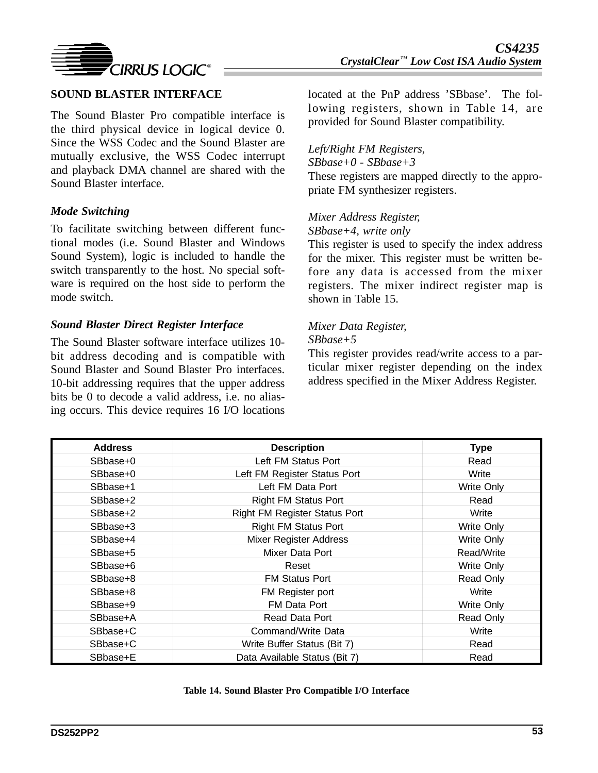

The Sound Blaster Pro compatible interface is the third physical device in logical device 0. Since the WSS Codec and the Sound Blaster are mutually exclusive, the WSS Codec interrupt and playback DMA channel are shared with the Sound Blaster interface.

### *Mode Switching*

To facilitate switching between different functional modes (i.e. Sound Blaster and Windows Sound System), logic is included to handle the switch transparently to the host. No special software is required on the host side to perform the mode switch.

### *Sound Blaster Direct Register Interface*

The Sound Blaster software interface utilizes 10 bit address decoding and is compatible with Sound Blaster and Sound Blaster Pro interfaces. 10-bit addressing requires that the upper address bits be 0 to decode a valid address, i.e. no aliasing occurs. This device requires 16 I/O locations

located at the PnP address 'SBbase'. The following registers, shown in Table 14, are provided for Sound Blaster compatibility.

#### *Left/Right FM Registers,*

*SBbase+0 - SBbase+3*

These registers are mapped directly to the appropriate FM synthesizer registers.

### *Mixer Address Register, SBbase+4, write only*

This register is used to specify the index address for the mixer. This register must be written before any data is accessed from the mixer registers. The mixer indirect register map is shown in Table 15.

# *Mixer Data Register,*

### *SBbase+5*

This register provides read/write access to a particular mixer register depending on the index address specified in the Mixer Address Register.

| <b>Address</b> | <b>Description</b>                   | <b>Type</b>       |
|----------------|--------------------------------------|-------------------|
| SBbase+0       | Left FM Status Port                  | Read              |
| SBbase+0       | Left FM Register Status Port         | Write             |
| SBbase+1       | Left FM Data Port                    | <b>Write Only</b> |
| SBbase+2       | <b>Right FM Status Port</b>          | Read              |
| SBbase+2       | <b>Right FM Register Status Port</b> | Write             |
| SBbase+3       | <b>Right FM Status Port</b>          | Write Only        |
| SBbase+4       | Mixer Register Address               | Write Only        |
| SBbase+5       | Mixer Data Port                      | Read/Write        |
| SBbase+6       | Reset                                | Write Only        |
| SBbase+8       | <b>FM Status Port</b>                | Read Only         |
| SBbase+8       | FM Register port                     | Write             |
| SBbase+9       | FM Data Port                         | Write Only        |
| SBbase+A       | Read Data Port                       | Read Only         |
| SBbase+C       | Command/Write Data                   | Write             |
| SBbase+C       | Write Buffer Status (Bit 7)          | Read              |
| SBbase+E       | Data Available Status (Bit 7)        | Read              |

#### **Table 14. Sound Blaster Pro Compatible I/O Interface**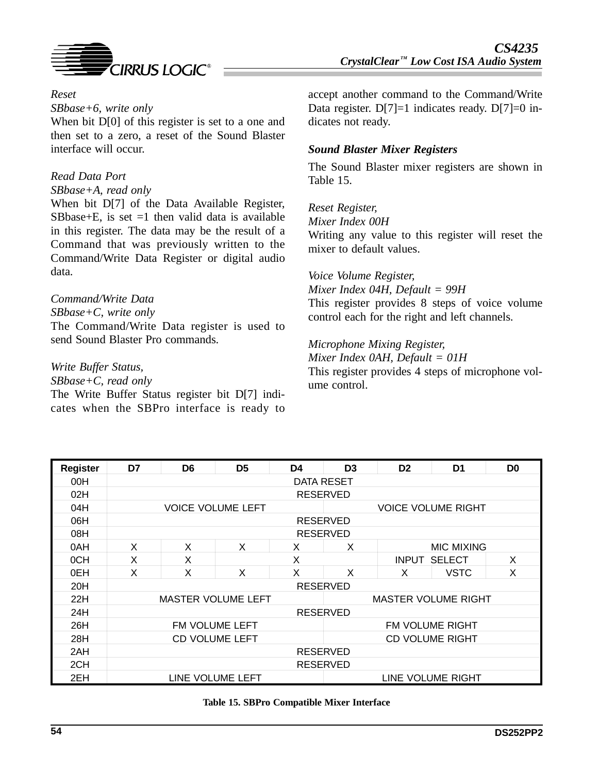

### *Reset*

*SBbase+6, write only*

When bit D[0] of this register is set to a one and then set to a zero, a reset of the Sound Blaster interface will occur.

#### *Read Data Port*

*SBbase+A, read only*

When bit D[7] of the Data Available Register, SBbase+E, is set  $=1$  then valid data is available in this register. The data may be the result of a Command that was previously written to the Command/Write Data Register or digital audio data.

### *Command/Write Data*

*SBbase+C, write only*

The Command/Write Data register is used to send Sound Blaster Pro commands.

### *Write Buffer Status,*

*SBbase+C, read only*

The Write Buffer Status register bit D[7] indicates when the SBPro interface is ready to

accept another command to the Command/Write Data register.  $D[7]=1$  indicates ready.  $D[7]=0$  indicates not ready.

### *Sound Blaster Mixer Registers*

The Sound Blaster mixer registers are shown in Table 15.

#### *Reset Register,*

*Mixer Index 00H*

Writing any value to this register will reset the mixer to default values.

*Voice Volume Register, Mixer Index 04H, Default = 99H* This register provides 8 steps of voice volume

control each for the right and left channels.

*Microphone Mixing Register, Mixer Index 0AH, Default = 01H* This register provides 4 steps of microphone volume control.

| <b>Register</b> | D7         | D <sub>6</sub>            | D <sub>5</sub>           | D <sub>4</sub> | D <sub>3</sub>  | D <sub>2</sub>             | D <sub>1</sub>            | D <sub>0</sub> |  |  |  |  |
|-----------------|------------|---------------------------|--------------------------|----------------|-----------------|----------------------------|---------------------------|----------------|--|--|--|--|
| 00H             | DATA RESET |                           |                          |                |                 |                            |                           |                |  |  |  |  |
| 02H             |            | <b>RESERVED</b>           |                          |                |                 |                            |                           |                |  |  |  |  |
| 04H             |            |                           | <b>VOICE VOLUME LEFT</b> |                |                 |                            | <b>VOICE VOLUME RIGHT</b> |                |  |  |  |  |
| 06H             |            |                           |                          |                | <b>RESERVED</b> |                            |                           |                |  |  |  |  |
| 08H             |            |                           |                          |                | <b>RESERVED</b> |                            |                           |                |  |  |  |  |
| 0AH             | X          | X                         | X                        | X              | X               |                            | MIC MIXING                |                |  |  |  |  |
| 0CH             | X          | X                         |                          | X              |                 | <b>INPUT</b>               | <b>SELECT</b>             | X              |  |  |  |  |
| 0EH             | X          | X                         | X                        | X              | X               | X                          | <b>VSTC</b>               | X              |  |  |  |  |
| 20H             |            |                           |                          |                | <b>RESERVED</b> |                            |                           |                |  |  |  |  |
| 22H             |            | <b>MASTER VOLUME LEFT</b> |                          |                |                 | <b>MASTER VOLUME RIGHT</b> |                           |                |  |  |  |  |
| 24H             |            |                           |                          |                | <b>RESERVED</b> |                            |                           |                |  |  |  |  |
| 26H             |            |                           | FM VOLUME LEFT           |                | FM VOLUME RIGHT |                            |                           |                |  |  |  |  |
| 28H             |            |                           | <b>CD VOLUME LEFT</b>    |                |                 |                            | <b>CD VOLUME RIGHT</b>    |                |  |  |  |  |
| 2AH             |            | <b>RESERVED</b>           |                          |                |                 |                            |                           |                |  |  |  |  |
| 2CH             |            |                           |                          |                | <b>RESERVED</b> |                            |                           |                |  |  |  |  |
| 2EH             |            |                           | LINE VOLUME LEFT         |                |                 |                            | LINE VOLUME RIGHT         |                |  |  |  |  |

#### **Table 15. SBPro Compatible Mixer Interface**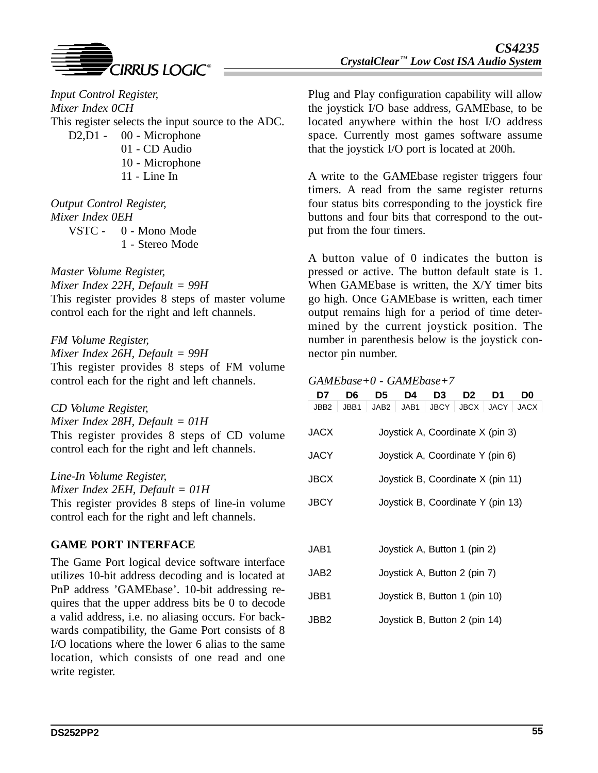

*Input Control Register, Mixer Index 0CH* This register selects the input source to the ADC. D<sub>2</sub>, D<sub>1</sub> - 00 - Microphone 01 - CD Audio 10 - Microphone 11 - Line In

*Output Control Register, Mixer Index 0EH* VSTC - 0 - Mono Mode 1 - Stereo Mode

*Master Volume Register, Mixer Index 22H, Default = 99H* This register provides 8 steps of master volume control each for the right and left channels.

*FM Volume Register, Mixer Index 26H, Default = 99H* This register provides 8 steps of FM volume control each for the right and left channels.

*CD Volume Register, Mixer Index 28H, Default = 01H* This register provides 8 steps of CD volume control each for the right and left channels.

*Line-In Volume Register, Mixer Index 2EH, Default = 01H* This register provides 8 steps of line-in volume control each for the right and left channels.

## **GAME PORT INTERFACE**

The Game Port logical device software interface utilizes 10-bit address decoding and is located at PnP address 'GAMEbase'. 10-bit addressing requires that the upper address bits be 0 to decode a valid address, i.e. no aliasing occurs. For backwards compatibility, the Game Port consists of 8 I/O locations where the lower 6 alias to the same location, which consists of one read and one write register.

Plug and Play configuration capability will allow the joystick I/O base address, GAMEbase, to be located anywhere within the host I/O address space. Currently most games software assume that the joystick I/O port is located at 200h.

A write to the GAMEbase register triggers four timers. A read from the same register returns four status bits corresponding to the joystick fire buttons and four bits that correspond to the output from the four timers.

A button value of 0 indicates the button is pressed or active. The button default state is 1. When GAMEbase is written, the X/Y timer bits go high. Once GAMEbase is written, each timer output remains high for a period of time determined by the current joystick position. The number in parenthesis below is the joystick connector pin number.

### *GAMEbase+0 - GAMEbase+7*

| D7                                       | D6                                | D5               | D4   | D3                               | D <sub>2</sub> | D1          | D0          |  |  |
|------------------------------------------|-----------------------------------|------------------|------|----------------------------------|----------------|-------------|-------------|--|--|
| JBB <sub>2</sub>                         | JBB1                              | JAB <sub>2</sub> | JAB1 | <b>JBCY</b>                      | <b>JBCX</b>    | <b>JACY</b> | <b>JACX</b> |  |  |
| JACX                                     |                                   |                  |      | Joystick A, Coordinate X (pin 3) |                |             |             |  |  |
| JACY<br>Joystick A, Coordinate Y (pin 6) |                                   |                  |      |                                  |                |             |             |  |  |
| JBCX                                     | Joystick B, Coordinate X (pin 11) |                  |      |                                  |                |             |             |  |  |
| JBCY                                     | Joystick B, Coordinate Y (pin 13) |                  |      |                                  |                |             |             |  |  |
|                                          |                                   |                  |      |                                  |                |             |             |  |  |

| JAB1             | Joystick A, Button 1 (pin 2)  |
|------------------|-------------------------------|
| JAB2             | Joystick A, Button 2 (pin 7)  |
| JBB1             | Joystick B, Button 1 (pin 10) |
| JBB <sub>2</sub> | Joystick B, Button 2 (pin 14) |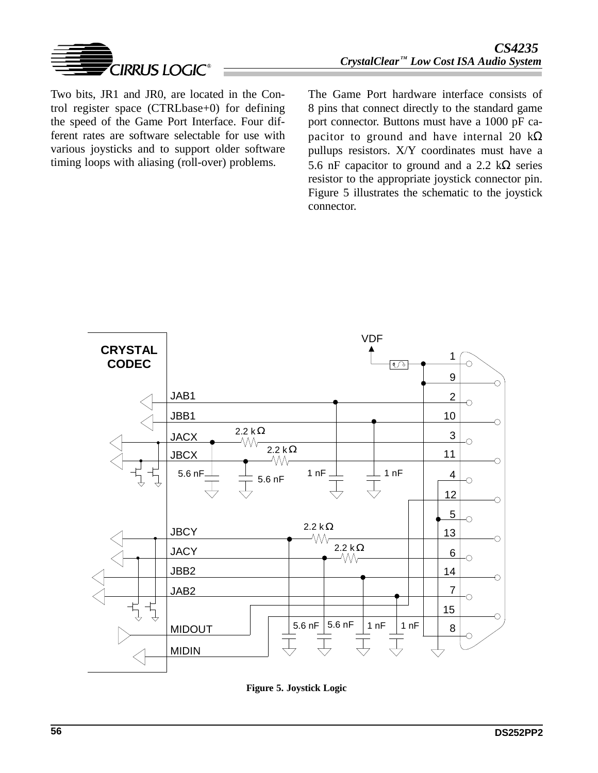

Two bits, JR1 and JR0, are located in the Control register space (CTRLbase+0) for defining the speed of the Game Port Interface. Four different rates are software selectable for use with various joysticks and to support older software timing loops with aliasing (roll-over) problems.

The Game Port hardware interface consists of 8 pins that connect directly to the standard game port connector. Buttons must have a 1000 pF capacitor to ground and have internal 20  $k\Omega$ pullups resistors. X/Y coordinates must have a 5.6 nF capacitor to ground and a 2.2 k $\Omega$  series resistor to the appropriate joystick connector pin. Figure 5 illustrates the schematic to the joystick connector.



**Figure 5. Joystick Logic**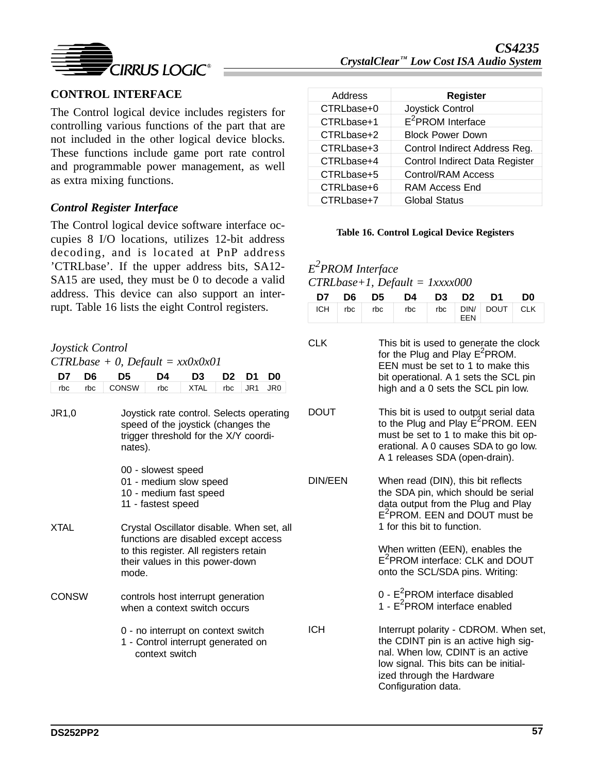

# **CONTROL INTERFACE**

The Control logical device includes registers for controlling various functions of the part that are not included in the other logical device blocks. These functions include game port rate control and programmable power management, as well as extra mixing functions.

### *Control Register Interface*

The Control logical device software interface occupies 8 I/O locations, utilizes 12-bit address decoding, and is located at PnP address 'CTRLbase'. If the upper address bits, SA12- SA15 are used, they must be 0 to decode a valid address. This device can also support an interrupt. Table 16 lists the eight Control registers.

| Joystick Control                      |     |              |                                                                                                                                                                         |                                                                                                                         |                |                 |                 |  |  |  |
|---------------------------------------|-----|--------------|-------------------------------------------------------------------------------------------------------------------------------------------------------------------------|-------------------------------------------------------------------------------------------------------------------------|----------------|-----------------|-----------------|--|--|--|
| $CTRLbase + 0$ , $Default = xx0x0x01$ |     |              |                                                                                                                                                                         |                                                                                                                         |                |                 |                 |  |  |  |
| D7                                    | D6  | D5           | D4                                                                                                                                                                      | D3                                                                                                                      | D <sub>2</sub> | D1              | D <sub>0</sub>  |  |  |  |
| rbc                                   | rbc | <b>CONSW</b> | rbc                                                                                                                                                                     | <b>XTAL</b>                                                                                                             | rbc            | JR <sub>1</sub> | JR <sub>0</sub> |  |  |  |
| JR1,0                                 |     | nates).      |                                                                                                                                                                         | Joystick rate control. Selects operating<br>speed of the joystick (changes the<br>trigger threshold for the X/Y coordi- |                |                 |                 |  |  |  |
|                                       |     |              | 00 - slowest speed<br>11 - fastest speed                                                                                                                                | 01 - medium slow speed<br>10 - medium fast speed                                                                        |                |                 |                 |  |  |  |
| <b>XTAL</b>                           |     |              | Crystal Oscillator disable. When set, all<br>functions are disabled except access<br>to this register. All registers retain<br>their values in this power-down<br>mode. |                                                                                                                         |                |                 |                 |  |  |  |
| CONSW                                 |     |              |                                                                                                                                                                         | controls host interrupt generation<br>when a context switch occurs                                                      |                |                 |                 |  |  |  |
|                                       |     |              | 0 - no interrupt on context switch<br>1 - Control interrupt generated on<br>context switch                                                                              |                                                                                                                         |                |                 |                 |  |  |  |

| Address    | <b>Register</b>                |
|------------|--------------------------------|
| CTRLbase+0 | Joystick Control               |
| CTRLbase+1 | $E^2$ PROM Interface           |
| CTRLbase+2 | <b>Block Power Down</b>        |
| CTRLbase+3 | Control Indirect Address Reg.  |
| CTRLbase+4 | Control Indirect Data Register |
| CTRLbase+5 | <b>Control/RAM Access</b>      |
| CTRLbase+6 | RAM Access End                 |
| CTRLbase+7 | <b>Global Status</b>           |

#### **Table 16. Control Logical Device Registers**

*E2 PROM Interface CTRLbase+1, Default = 1xxxx000*

|  | D7 D6 D5 D4 D3 D2 D1 D0          |  |  |
|--|----------------------------------|--|--|
|  | ICH rbc rbc rbc rbc DIN DOUT CLK |  |  |

| CLK            | This bit is used to generate the clock for the Plug and Play $E^2$ PROM.<br>EEN must be set to 1 to make this<br>bit operational. A 1 sets the SCL pin<br>high and a 0 sets the SCL pin low.                    |
|----------------|-----------------------------------------------------------------------------------------------------------------------------------------------------------------------------------------------------------------|
| DOUT           | This bit is used to output serial data<br>to the Plug and Play E <sup>2</sup> PROM. EEN<br>must be set to 1 to make this bit op-<br>erational. A 0 causes SDA to go low.<br>A 1 releases SDA (open-drain).      |
| <b>DIN/EEN</b> | When read (DIN), this bit reflects<br>the SDA pin, which should be serial<br>data output from the Plug and Play<br>E <sup>2</sup> PROM. EEN and DOUT must be<br>1 for this bit to function.                     |
|                | When written (EEN), enables the<br>E <sup>2</sup> PROM interface: CLK and DOUT<br>onto the SCL/SDA pins. Writing:                                                                                               |
|                | 0 - E <sup>2</sup> PROM interface disabled<br>$1 - E2$ PROM interface enabled                                                                                                                                   |
| ICH            | Interrupt polarity - CDROM. When set,<br>the CDINT pin is an active high sig-<br>nal. When low, CDINT is an active<br>low signal. This bits can be initial-<br>ized through the Hardware<br>Configuration data. |
|                |                                                                                                                                                                                                                 |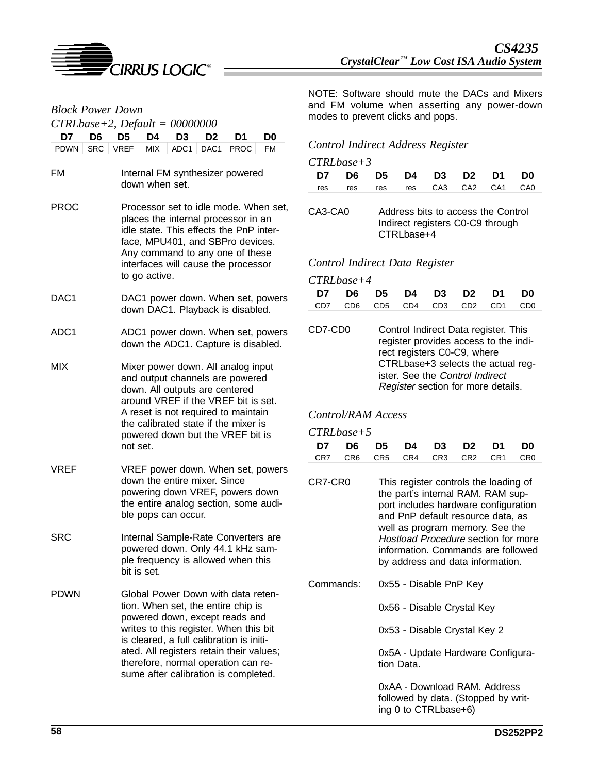

| <b>Block Power Down</b><br>$CTRLbase + 2$ , $Default = 00000000$ |                                                                                                                                                                                                                                                                                                                             |  |  |  |  |
|------------------------------------------------------------------|-----------------------------------------------------------------------------------------------------------------------------------------------------------------------------------------------------------------------------------------------------------------------------------------------------------------------------|--|--|--|--|
| D6<br>D7                                                         | D <sub>5</sub><br>D <sub>4</sub><br>D <sub>3</sub><br>D2<br>D1<br>D0                                                                                                                                                                                                                                                        |  |  |  |  |
| <b>PDWN</b><br><b>SRC</b>                                        | <b>VREF</b><br><b>MIX</b><br>ADC1<br>DAC1<br><b>PROC</b><br><b>FM</b>                                                                                                                                                                                                                                                       |  |  |  |  |
| FM                                                               | Internal FM synthesizer powered<br>down when set.                                                                                                                                                                                                                                                                           |  |  |  |  |
| <b>PROC</b>                                                      | Processor set to idle mode. When set,<br>places the internal processor in an<br>idle state. This effects the PnP inter-<br>face, MPU401, and SBPro devices.<br>Any command to any one of these<br>interfaces will cause the processor<br>to go active.                                                                      |  |  |  |  |
| DAC <sub>1</sub>                                                 | DAC1 power down. When set, powers<br>down DAC1. Playback is disabled.                                                                                                                                                                                                                                                       |  |  |  |  |
| ADC <sub>1</sub>                                                 | ADC1 power down. When set, powers<br>down the ADC1. Capture is disabled.                                                                                                                                                                                                                                                    |  |  |  |  |
| MIX                                                              | Mixer power down. All analog input<br>and output channels are powered<br>down. All outputs are centered<br>around VREF if the VREF bit is set.<br>A reset is not required to maintain<br>the calibrated state if the mixer is<br>powered down but the VREF bit is<br>not set.                                               |  |  |  |  |
| VREF                                                             | VREF power down. When set, powers<br>down the entire mixer. Since<br>powering down VREF, powers down<br>the entire analog section, some audi-<br>ble pops can occur.                                                                                                                                                        |  |  |  |  |
| SRC                                                              | Internal Sample-Rate Converters are<br>powered down. Only 44.1 kHz sam-<br>ple frequency is allowed when this<br>bit is set.                                                                                                                                                                                                |  |  |  |  |
| <b>PDWN</b>                                                      | Global Power Down with data reten-<br>tion. When set, the entire chip is<br>powered down, except reads and<br>writes to this register. When this bit<br>is cleared, a full calibration is initi-<br>ated. All registers retain their values;<br>therefore, normal operation can re-<br>sume after calibration is completed. |  |  |  |  |

NOTE: Software should mute the DACs and Mixers and FM volume when asserting any power-down modes to prevent clicks and pops.

#### *Control Indirect Address Register*

| $CTRL base + 3$ |  |
|-----------------|--|
|-----------------|--|

| D7 D6 D5 D4 D3 D2 D1 D0 |  |  |  |                                 |
|-------------------------|--|--|--|---------------------------------|
|                         |  |  |  | res res res res CA3 CA2 CA1 CA0 |

CA3-CA0 Address bits to access the Control Indirect registers C0-C9 through CTRLbase+4

#### *Control Indirect Data Register*

| CTRLbase+4 |  |                         |  |                                 |
|------------|--|-------------------------|--|---------------------------------|
|            |  | D7 D6 D5 D4 D3 D2 D1 D0 |  |                                 |
|            |  |                         |  | CD7 CD6 CD5 CD4 CD3 CD2 CD1 CD0 |
|            |  |                         |  |                                 |

| CD7-CD0 | Control Indirect Data register. This<br>register provides access to the indi-                                                              |
|---------|--------------------------------------------------------------------------------------------------------------------------------------------|
|         | rect registers C0-C9, where<br>CTRLbase+3 selects the actual reg-<br>ister. See the Control Indirect<br>Register section for more details. |
|         |                                                                                                                                            |

### *Control/RAM Access*

| $CTRL base + 5$                 |  |  |  |
|---------------------------------|--|--|--|
| D7 D6 D5 D4 D3 D2 D1 D0         |  |  |  |
| CR7 CR6 CR5 CR4 CR3 CR2 CR1 CR0 |  |  |  |

- CR7-CR0 This register controls the loading of the part's internal RAM. RAM support includes hardware configuration and PnP default resource data, as well as program memory. See the Hostload Procedure section for more information. Commands are followed by address and data information.
- Commands: 0x55 Disable PnP Key
	- 0x56 Disable Crystal Key

0x53 - Disable Crystal Key 2

0x5A - Update Hardware Configuration Data.

0xAA - Download RAM. Address followed by data. (Stopped by writing 0 to CTRLbase+6)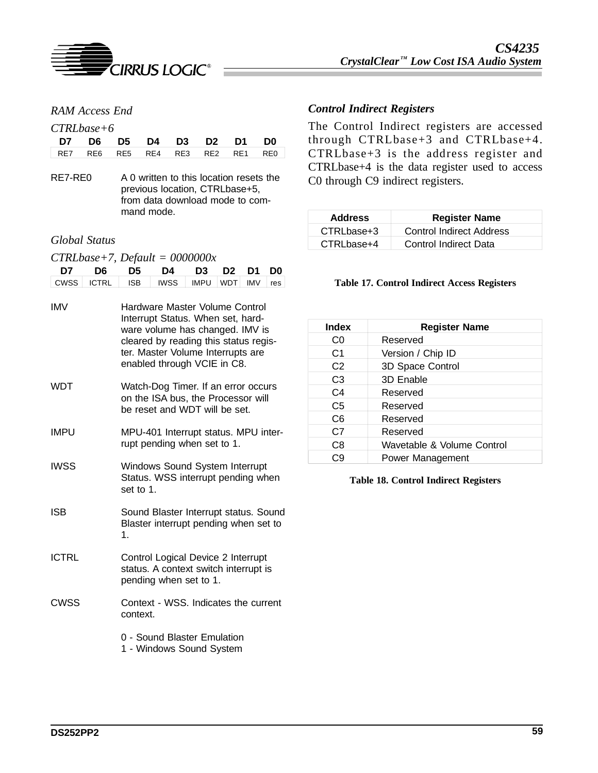

### *RAM Access End*

#### *CTRLbase+6*

|  | D7 D6 D5 D4 D3 D2 D1 D0         |  |  |  |
|--|---------------------------------|--|--|--|
|  | RE7 RE6 RE5 RE4 RE3 RE2 RE1 RE0 |  |  |  |

RE7-RE0 A 0 written to this location resets the previous location, CTRLbase+5, from data download mode to command mode.

#### *Global Status*

| $CTRLbase+7$ , $Default = 0000000x$ |  |  |
|-------------------------------------|--|--|
|-------------------------------------|--|--|

| D7           | D <sub>6</sub> | D5                                                                                                                                                                                                                  | D4                                                      | D <sub>3</sub> | D <sub>2</sub> | D <sub>1</sub> | D0  |  |
|--------------|----------------|---------------------------------------------------------------------------------------------------------------------------------------------------------------------------------------------------------------------|---------------------------------------------------------|----------------|----------------|----------------|-----|--|
| <b>CWSS</b>  | <b>ICTRL</b>   | <b>ISB</b>                                                                                                                                                                                                          | <b>IWSS</b>                                             | <b>IMPU</b>    | <b>WDT</b>     | <b>IMV</b>     | res |  |
| <b>IMV</b>   |                | Hardware Master Volume Control<br>Interrupt Status. When set, hard-<br>ware volume has changed. IMV is<br>cleared by reading this status regis-<br>ter. Master Volume Interrupts are<br>enabled through VCIE in C8. |                                                         |                |                |                |     |  |
| WDT          |                | Watch-Dog Timer. If an error occurs<br>on the ISA bus, the Processor will<br>be reset and WDT will be set.                                                                                                          |                                                         |                |                |                |     |  |
| <b>IMPU</b>  |                | MPU-401 Interrupt status. MPU inter-<br>rupt pending when set to 1.                                                                                                                                                 |                                                         |                |                |                |     |  |
| <b>IWSS</b>  |                | Windows Sound System Interrupt<br>Status. WSS interrupt pending when<br>set to 1.                                                                                                                                   |                                                         |                |                |                |     |  |
| <b>ISB</b>   |                | Sound Blaster Interrupt status. Sound<br>Blaster interrupt pending when set to<br>1.                                                                                                                                |                                                         |                |                |                |     |  |
| <b>ICTRL</b> |                | Control Logical Device 2 Interrupt<br>status. A context switch interrupt is<br>pending when set to 1.                                                                                                               |                                                         |                |                |                |     |  |
| CWSS         |                | Context - WSS. Indicates the current<br>context.                                                                                                                                                                    |                                                         |                |                |                |     |  |
|              |                |                                                                                                                                                                                                                     | 0 - Sound Blaster Emulation<br>1 - Windows Sound System |                |                |                |     |  |

### *Control Indirect Registers*

The Control Indirect registers are accessed through CTRLbase+3 and CTRLbase+4. CTRLbase+3 is the address register and CTRLbase+4 is the data register used to access C0 through C9 indirect registers.

| <b>Address</b> | <b>Register Name</b>            |
|----------------|---------------------------------|
| CTRLbase+3     | <b>Control Indirect Address</b> |
| CTRLbase+4     | Control Indirect Data           |

#### **Table 17. Control Indirect Access Registers**

| <b>Index</b>   | <b>Register Name</b>       |
|----------------|----------------------------|
| C0             | Reserved                   |
| C <sub>1</sub> | Version / Chip ID          |
| C <sub>2</sub> | 3D Space Control           |
| C <sub>3</sub> | 3D Enable                  |
| C4             | Reserved                   |
| C <sub>5</sub> | Reserved                   |
| C <sub>6</sub> | Reserved                   |
| C7             | Reserved                   |
| C8             | Wavetable & Volume Control |
| С9             | Power Management           |

#### **Table 18. Control Indirect Registers**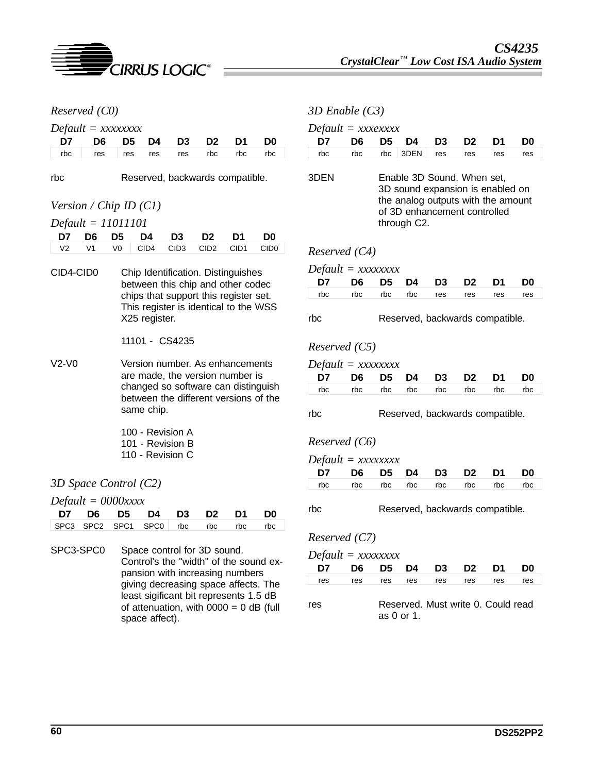

| Reserved (C0)<br>$Default = xxxxxxxx$                              |                            |                                    |                                                                                                                                    |                                                                         |                  | $3D$ Enable $(C3)$   |                                        |                     |                |                                                            |                                                                        |                |                |                                 |                |
|--------------------------------------------------------------------|----------------------------|------------------------------------|------------------------------------------------------------------------------------------------------------------------------------|-------------------------------------------------------------------------|------------------|----------------------|----------------------------------------|---------------------|----------------|------------------------------------------------------------|------------------------------------------------------------------------|----------------|----------------|---------------------------------|----------------|
|                                                                    |                            |                                    |                                                                                                                                    |                                                                         |                  | $Default = xxxexxxx$ |                                        |                     |                |                                                            |                                                                        |                |                |                                 |                |
| D7                                                                 | D <sub>6</sub>             | D <sub>5</sub>                     | D4                                                                                                                                 | D <sub>3</sub>                                                          | D <sub>2</sub>   | D <sub>1</sub>       | D <sub>0</sub>                         | D7                  | D <sub>6</sub> | D <sub>5</sub>                                             | D4                                                                     | D3             | D <sub>2</sub> | D1                              | D <sub>0</sub> |
| rbc                                                                | res                        | res                                | res                                                                                                                                | res                                                                     | rbc              | rbc                  | rbc                                    | rbc                 | rbc            | rbc                                                        | 3DEN                                                                   | res            | res            | res                             | res            |
| rbc<br>Reserved, backwards compatible.<br>Version / Chip ID $(Cl)$ |                            |                                    |                                                                                                                                    |                                                                         | 3DEN             |                      |                                        |                     |                | Enable 3D Sound. When set,<br>of 3D enhancement controlled | 3D sound expansion is enabled on<br>the analog outputs with the amount |                |                |                                 |                |
|                                                                    | $Default = 11011101$       |                                    |                                                                                                                                    |                                                                         |                  |                      |                                        |                     |                |                                                            | through C2.                                                            |                |                |                                 |                |
| D7                                                                 | D <sub>6</sub>             | D <sub>5</sub>                     | D4                                                                                                                                 | D <sub>3</sub>                                                          | D <sub>2</sub>   | D1                   | D <sub>0</sub>                         |                     |                |                                                            |                                                                        |                |                |                                 |                |
| V <sub>2</sub>                                                     | V <sub>1</sub>             | V <sub>0</sub>                     | CID4                                                                                                                               | CID <sub>3</sub>                                                        | CID <sub>2</sub> | CID <sub>1</sub>     | CID <sub>0</sub>                       | Reserved $(C4)$     |                |                                                            |                                                                        |                |                |                                 |                |
| CID4-CID0                                                          |                            | Chip Identification. Distinguishes |                                                                                                                                    |                                                                         |                  |                      |                                        | $Default = XXXXXXX$ |                |                                                            |                                                                        |                |                |                                 |                |
|                                                                    |                            |                                    |                                                                                                                                    | between this chip and other codec                                       |                  |                      |                                        | D7                  | D6             | D <sub>5</sub>                                             | D4                                                                     | D <sub>3</sub> | D <sub>2</sub> | D1                              | D <sub>0</sub> |
|                                                                    |                            |                                    |                                                                                                                                    | chips that support this register set.                                   |                  |                      |                                        | rbc                 | rbc            | rbc                                                        | rbc                                                                    | res            | res            | res                             | res            |
|                                                                    |                            |                                    | This register is identical to the WSS<br>X25 register.                                                                             |                                                                         |                  |                      |                                        | rbc                 |                |                                                            |                                                                        |                |                | Reserved, backwards compatible. |                |
|                                                                    |                            |                                    |                                                                                                                                    | 11101 - CS4235                                                          |                  |                      |                                        | Reserved $(C5)$     |                |                                                            |                                                                        |                |                |                                 |                |
| $V2-V0$                                                            |                            |                                    |                                                                                                                                    | Version number. As enhancements                                         |                  |                      |                                        | $Default = XXXXXXX$ |                |                                                            |                                                                        |                |                |                                 |                |
|                                                                    |                            |                                    |                                                                                                                                    | are made, the version number is                                         |                  |                      |                                        | D7                  | D <sub>6</sub> | D <sub>5</sub>                                             | D4                                                                     | D <sub>3</sub> | D <sub>2</sub> | D1                              | D <sub>0</sub> |
|                                                                    |                            |                                    | changed so software can distinguish<br>between the different versions of the<br>same chip.<br>100 - Revision A<br>101 - Revision B |                                                                         |                  |                      |                                        | rbc                 | rbc            | rbc                                                        | rbc                                                                    | rbc            | rbc            | rbc                             | rbc            |
|                                                                    |                            |                                    |                                                                                                                                    |                                                                         |                  |                      |                                        | rbc                 |                |                                                            |                                                                        |                |                | Reserved, backwards compatible. |                |
|                                                                    |                            |                                    |                                                                                                                                    |                                                                         |                  |                      |                                        | Reserved $(C6)$     |                |                                                            |                                                                        |                |                |                                 |                |
|                                                                    |                            |                                    |                                                                                                                                    | 110 - Revision C                                                        |                  |                      |                                        | $Default = XXXXXXX$ |                |                                                            |                                                                        |                |                |                                 |                |
|                                                                    |                            |                                    |                                                                                                                                    |                                                                         |                  |                      |                                        | D7                  | D <sub>6</sub> | D <sub>5</sub>                                             | D4                                                                     | D <sub>3</sub> | D <sub>2</sub> | D1                              | D <sub>0</sub> |
|                                                                    | 3D Space Control (C2)      |                                    |                                                                                                                                    |                                                                         |                  |                      |                                        | rbc                 | rbc            | rbc                                                        | rbc                                                                    | rbc            | rbc            | rbc                             | rbc            |
| D7                                                                 | $Default = 0000xxxx$<br>D6 | D <sub>5</sub>                     | D4                                                                                                                                 | D <sub>3</sub>                                                          | D <sub>2</sub>   | D1                   | D <sub>0</sub>                         | rbc                 |                |                                                            |                                                                        |                |                | Reserved, backwards compatible. |                |
| SPC3                                                               | SPC <sub>2</sub>           | SPC <sub>1</sub>                   | SPC0                                                                                                                               | rbc                                                                     | rbc              | rbc                  | rbc                                    |                     |                |                                                            |                                                                        |                |                |                                 |                |
|                                                                    |                            |                                    |                                                                                                                                    |                                                                         |                  |                      |                                        | Reserved $(C7)$     |                |                                                            |                                                                        |                |                |                                 |                |
|                                                                    | SPC3-SPC0                  |                                    |                                                                                                                                    | Space control for 3D sound.                                             |                  |                      |                                        | $Default = XXXXXXX$ |                |                                                            |                                                                        |                |                |                                 |                |
|                                                                    |                            |                                    |                                                                                                                                    |                                                                         |                  |                      | Control's the "width" of the sound ex- | D7                  | D <sub>6</sub> | D <sub>5</sub>                                             | D4                                                                     | D <sub>3</sub> | D <sub>2</sub> | D <sub>1</sub>                  | D <sub>0</sub> |
|                                                                    |                            |                                    |                                                                                                                                    | pansion with increasing numbers<br>giving decreasing space affects. The |                  |                      |                                        | res                 | res            | res                                                        | res                                                                    | res            | res            | res                             | res            |
|                                                                    |                            |                                    |                                                                                                                                    |                                                                         |                  |                      |                                        |                     |                |                                                            |                                                                        |                |                |                                 |                |

least sigificant bit represents 1.5 dB of attenuation, with  $0000 = 0$  dB (full

space affect).

res Reserved. Must write 0. Could read as 0 or 1.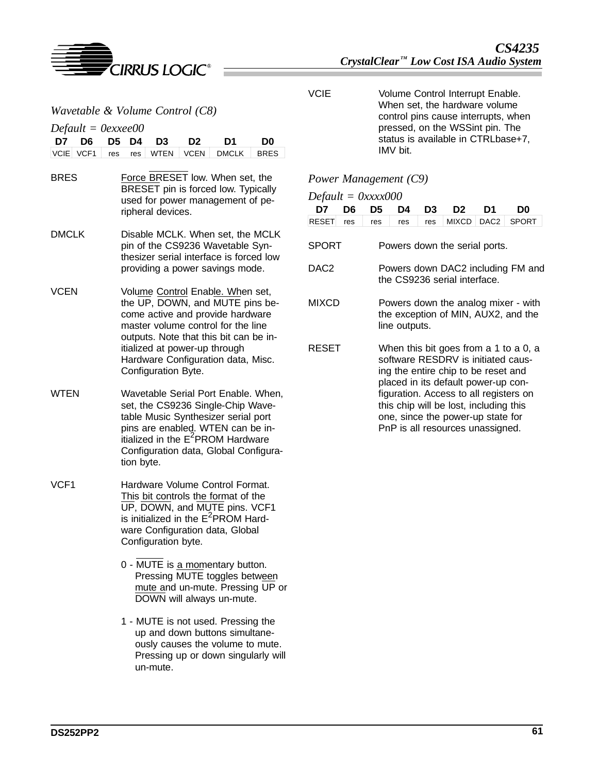

VCIE Volume Control Interrupt Enable. When set, the hardware volume control pins cause interrupts, when pressed, on the WSSint pin. The status is available in CTRLbase+7, IMV bit.

#### *Power Management (C9)*

*Default = 0xxxx000*

|  |  | D7 D6 D5 D4 D3 D2 D1 D0 |                                        |
|--|--|-------------------------|----------------------------------------|
|  |  |                         | RESET res res res res MIXCD DAC2 SPORT |

| SPORT | Powers down the serial ports. |  |  |  |
|-------|-------------------------------|--|--|--|
|       |                               |  |  |  |

- DAC2 Powers down DAC2 including FM and the CS9236 serial interface.
- MIXCD Powers down the analog mixer with the exception of MIN, AUX2, and the line outputs.
- RESET When this bit goes from a 1 to a 0, a software RESDRV is initiated causing the entire chip to be reset and placed in its default power-up configuration. Access to all registers on this chip will be lost, including this one, since the power-up state for PnP is all resources unassigned.

| Wavetable & Volume Control (C8)                |                                                                                                                                                                                                                                                                                       |  |  |  |  |  |
|------------------------------------------------|---------------------------------------------------------------------------------------------------------------------------------------------------------------------------------------------------------------------------------------------------------------------------------------|--|--|--|--|--|
| $Default = 0$ exxee00                          |                                                                                                                                                                                                                                                                                       |  |  |  |  |  |
| D7<br>D <sub>5</sub><br>D6<br>VCIE VCF1<br>res | D4<br>D3<br>D2<br>D1<br>D0<br><b>WTEN</b><br><b>VCEN</b><br><b>DMCLK</b><br><b>BRES</b><br>res                                                                                                                                                                                        |  |  |  |  |  |
| <b>BRES</b>                                    | Force BRESET low. When set, the<br>BRESET pin is forced low. Typically<br>used for power management of pe-<br>ripheral devices.                                                                                                                                                       |  |  |  |  |  |
| <b>DMCLK</b>                                   | Disable MCLK. When set, the MCLK<br>pin of the CS9236 Wavetable Syn-<br>thesizer serial interface is forced low<br>providing a power savings mode.                                                                                                                                    |  |  |  |  |  |
| VCEN                                           | Volume Control Enable. When set,<br>the UP, DOWN, and MUTE pins be-<br>come active and provide hardware<br>master volume control for the line<br>outputs. Note that this bit can be in-<br>itialized at power-up through<br>Hardware Configuration data, Misc.<br>Configuration Byte. |  |  |  |  |  |
| WTEN                                           | Wavetable Serial Port Enable. When,<br>set, the CS9236 Single-Chip Wave-<br>table Music Synthesizer serial port<br>pins are enabled. WTEN can be in-<br>itialized in the E <sup>2</sup> PROM Hardware<br>Configuration data, Global Configura-<br>tion byte.                          |  |  |  |  |  |
| VCF1                                           | Hardware Volume Control Format.<br>This bit controls the format of the<br>UP, DOWN, and MUTE pins. VCF1<br>is initialized in the E <sup>2</sup> PROM Hard-<br>ware Configuration data, Global<br>Configuration byte.                                                                  |  |  |  |  |  |
|                                                | 0 - MUTE is a momentary button.<br>Pressing MUTE toggles between<br>mute and un-mute. Pressing UP or<br>DOWN will always un-mute.                                                                                                                                                     |  |  |  |  |  |
|                                                | 1 - MUTE is not used. Pressing the<br>up and down buttons simultane-<br>ously causes the volume to mute.                                                                                                                                                                              |  |  |  |  |  |

Pressing up or down singularly will

un-mute.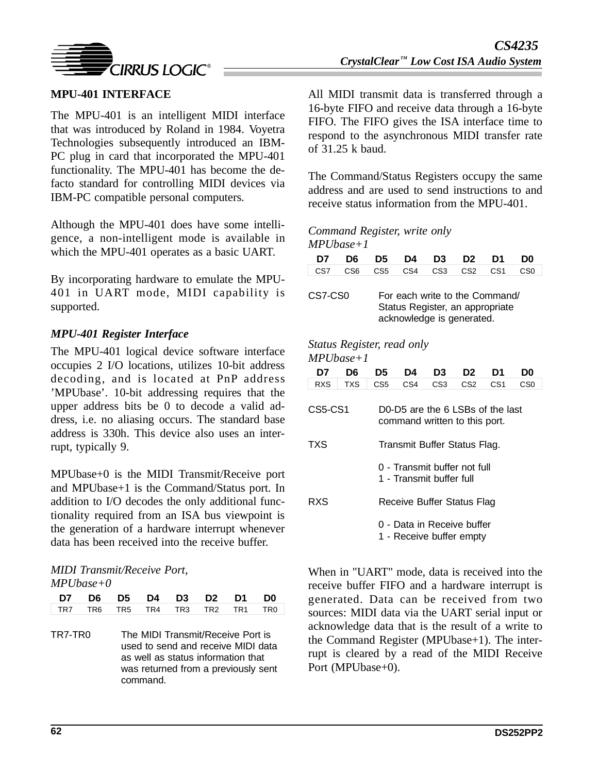

The MPU-401 is an intelligent MIDI interface that was introduced by Roland in 1984. Voyetra Technologies subsequently introduced an IBM-PC plug in card that incorporated the MPU-401 functionality. The MPU-401 has become the defacto standard for controlling MIDI devices via IBM-PC compatible personal computers.

Although the MPU-401 does have some intelligence, a non-intelligent mode is available in which the MPU-401 operates as a basic UART.

By incorporating hardware to emulate the MPU-401 in UART mode, MIDI capability is supported.

## *MPU-401 Register Interface*

The MPU-401 logical device software interface occupies 2 I/O locations, utilizes 10-bit address decoding, and is located at PnP address 'MPUbase'. 10-bit addressing requires that the upper address bits be 0 to decode a valid address, i.e. no aliasing occurs. The standard base address is 330h. This device also uses an interrupt, typically 9.

MPUbase+0 is the MIDI Transmit/Receive port and MPUbase+1 is the Command/Status port. In addition to I/O decodes the only additional functionality required from an ISA bus viewpoint is the generation of a hardware interrupt whenever data has been received into the receive buffer.

#### *MIDI Transmit/Receive Port, MPUbase+0*

| D7 D6 D5 D4 D3 D2 D1 D0         |  |  |  |  |
|---------------------------------|--|--|--|--|
| TR7 TR6 TR5 TR4 TR3 TR2 TR1 TR0 |  |  |  |  |

TR7-TR0 The MIDI Transmit/Receive Port is used to send and receive MIDI data as well as status information that was returned from a previously sent command.

All MIDI transmit data is transferred through a 16-byte FIFO and receive data through a 16-byte FIFO. The FIFO gives the ISA interface time to respond to the asynchronous MIDI transfer rate of 31.25 k baud.

The Command/Status Registers occupy the same address and are used to send instructions to and receive status information from the MPU-401.

### *Command Register, write only MPUbase+1*

| D7      | D6.             | D5 I            | D4 I | D3 D                                                                                           | D <sub>2</sub> | D1              | D0              |
|---------|-----------------|-----------------|------|------------------------------------------------------------------------------------------------|----------------|-----------------|-----------------|
| CS7     | CS <sub>6</sub> | CS <sub>5</sub> | CS4  | CS <sub>3</sub>                                                                                | CS2            | CS <sub>1</sub> | C <sub>S0</sub> |
| CS7-CS0 |                 |                 |      | For each write to the Command/<br>Status Register, an appropriate<br>acknowledge is generated. |                |                 |                 |

#### *Status Register, read only MPUbase+1*

| D7         | D6         | D5                                                                | D4  | D3              | D2              | D1              | D0  |  |  |  |
|------------|------------|-------------------------------------------------------------------|-----|-----------------|-----------------|-----------------|-----|--|--|--|
| <b>RXS</b> | <b>TXS</b> | CS5                                                               | CS4 | CS <sub>3</sub> | CS <sub>2</sub> | CS <sub>1</sub> | CS0 |  |  |  |
| CS5-CS1    |            | D0-D5 are the 6 LSBs of the last<br>command written to this port. |     |                 |                 |                 |     |  |  |  |
| TXS        |            | Transmit Buffer Status Flag.                                      |     |                 |                 |                 |     |  |  |  |
|            |            | 0 - Transmit buffer not full<br>1 - Transmit buffer full          |     |                 |                 |                 |     |  |  |  |
| RXS        |            | Receive Buffer Status Flag                                        |     |                 |                 |                 |     |  |  |  |
|            |            | 0 - Data in Receive buffer<br>1 - Receive buffer empty            |     |                 |                 |                 |     |  |  |  |

When in "UART" mode, data is received into the receive buffer FIFO and a hardware interrupt is generated. Data can be received from two sources: MIDI data via the UART serial input or acknowledge data that is the result of a write to the Command Register (MPUbase+1). The interrupt is cleared by a read of the MIDI Receive Port (MPUbase+0).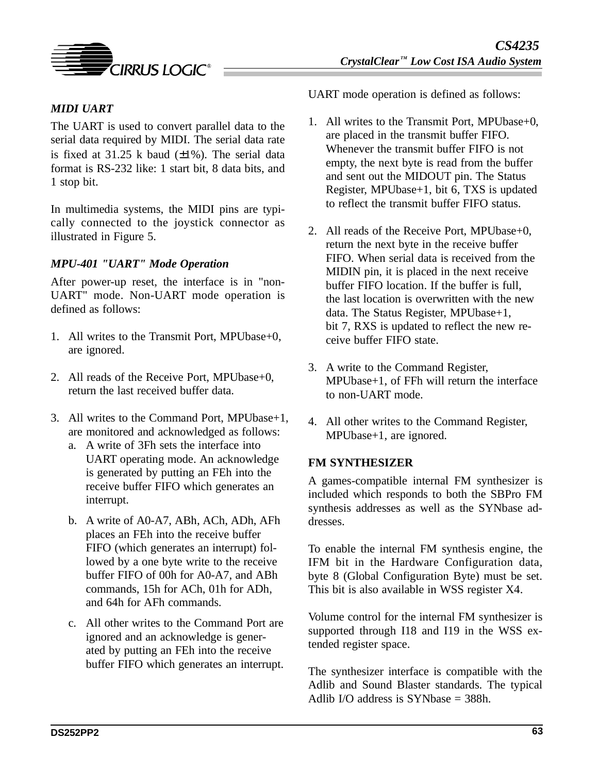

# *MIDI UART*

The UART is used to convert parallel data to the serial data required by MIDI. The serial data rate is fixed at  $31.25$  k baud  $(\pm 1\%)$ . The serial data format is RS-232 like: 1 start bit, 8 data bits, and 1 stop bit.

In multimedia systems, the MIDI pins are typically connected to the joystick connector as illustrated in Figure 5.

### *MPU-401 "UART" Mode Operation*

After power-up reset, the interface is in "non-UART" mode. Non-UART mode operation is defined as follows:

- 1. All writes to the Transmit Port, MPUbase+0, are ignored.
- 2. All reads of the Receive Port, MPUbase+0, return the last received buffer data.
- 3. All writes to the Command Port, MPUbase+1, are monitored and acknowledged as follows:
	- a. A write of 3Fh sets the interface into UART operating mode. An acknowledge is generated by putting an FEh into the receive buffer FIFO which generates an interrupt.
	- b. A write of A0-A7, ABh, ACh, ADh, AFh places an FEh into the receive buffer FIFO (which generates an interrupt) followed by a one byte write to the receive buffer FIFO of 00h for A0-A7, and ABh commands, 15h for ACh, 01h for ADh, and 64h for AFh commands.
	- c. All other writes to the Command Port are ignored and an acknowledge is generated by putting an FEh into the receive buffer FIFO which generates an interrupt.

UART mode operation is defined as follows:

- 1. All writes to the Transmit Port, MPUbase+0, are placed in the transmit buffer FIFO. Whenever the transmit buffer FIFO is not empty, the next byte is read from the buffer and sent out the MIDOUT pin. The Status Register, MPUbase+1, bit 6, TXS is updated to reflect the transmit buffer FIFO status.
- 2. All reads of the Receive Port, MPUbase+0, return the next byte in the receive buffer FIFO. When serial data is received from the MIDIN pin, it is placed in the next receive buffer FIFO location. If the buffer is full, the last location is overwritten with the new data. The Status Register, MPUbase+1, bit 7, RXS is updated to reflect the new receive buffer FIFO state.
- 3. A write to the Command Register, MPUbase+1, of FFh will return the interface to non-UART mode.
- 4. All other writes to the Command Register, MPUbase+1, are ignored.

### **FM SYNTHESIZER**

A games-compatible internal FM synthesizer is included which responds to both the SBPro FM synthesis addresses as well as the SYNbase addresses.

To enable the internal FM synthesis engine, the IFM bit in the Hardware Configuration data, byte 8 (Global Configuration Byte) must be set. This bit is also available in WSS register X4.

Volume control for the internal FM synthesizer is supported through I18 and I19 in the WSS extended register space.

The synthesizer interface is compatible with the Adlib and Sound Blaster standards. The typical Adlib I/O address is SYNbase  $=$  388h.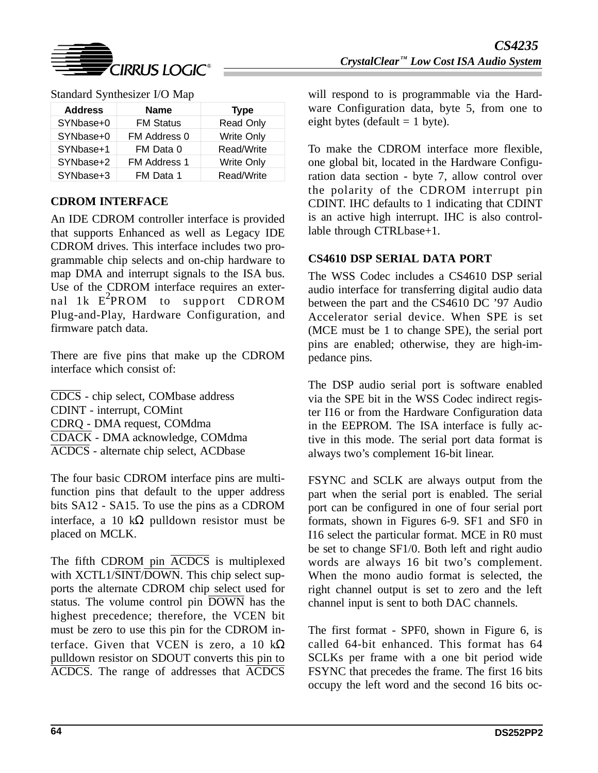

| <b>Address</b> | <b>Name</b>      | <b>Type</b>       |
|----------------|------------------|-------------------|
| SYNbase+0      | <b>FM Status</b> | Read Only         |
| SYNbase+0      | FM Address 0     | <b>Write Only</b> |
| SYNbase+1      | FM Data 0        | Read/Write        |
| SYNbase+2      | FM Address 1     | <b>Write Only</b> |
| SYNbase+3      | FM Data 1        | Read/Write        |

|  | Standard Synthesizer I/O Map |  |  |
|--|------------------------------|--|--|
|--|------------------------------|--|--|

## **CDROM INTERFACE**

An IDE CDROM controller interface is provided that supports Enhanced as well as Legacy IDE CDROM drives. This interface includes two programmable chip selects and on-chip hardware to map DMA and interrupt signals to the ISA bus. Use of the CDROM interface requires an external 1k E<sup>2</sup>PROM to support CDROM Plug-and-Play, Hardware Configuration, and firmware patch data.

There are five pins that make up the CDROM interface which consist of:

CDCS - chip select, COMbase address CDINT - interrupt, COMint CDRQ - DMA request, COMdma CDACK - DMA acknowledge, COMdma ACDCS - alternate chip select, ACDbase

The four basic CDROM interface pins are multifunction pins that default to the upper address bits SA12 - SA15. To use the pins as a CDROM interface, a 10 kΩ pulldown resistor must be placed on MCLK.

The fifth CDROM pin ACDCS is multiplexed with XCTL1/SINT/DOWN. This chip select supports the alternate CDROM chip select used for status. The volume control pin  $\overline{DOWN}$  has the highest precedence; therefore, the VCEN bit must be zero to use this pin for the CDROM interface. Given that VCEN is zero, a 10  $k\Omega$ pulldown resistor on SDOUT converts this pin to ACDCS. The range of addresses that ACDCS

will respond to is programmable via the Hardware Configuration data, byte 5, from one to eight bytes (default  $= 1$  byte).

To make the CDROM interface more flexible, one global bit, located in the Hardware Configuration data section - byte 7, allow control over the polarity of the CDROM interrupt pin CDINT. IHC defaults to 1 indicating that CDINT is an active high interrupt. IHC is also controllable through CTRLbase+1.

## **CS4610 DSP SERIAL DATA PORT**

The WSS Codec includes a CS4610 DSP serial audio interface for transferring digital audio data between the part and the CS4610 DC '97 Audio Accelerator serial device. When SPE is set (MCE must be 1 to change SPE), the serial port pins are enabled; otherwise, they are high-impedance pins.

The DSP audio serial port is software enabled via the SPE bit in the WSS Codec indirect register I16 or from the Hardware Configuration data in the EEPROM. The ISA interface is fully active in this mode. The serial port data format is always two's complement 16-bit linear.

FSYNC and SCLK are always output from the part when the serial port is enabled. The serial port can be configured in one of four serial port formats, shown in Figures 6-9. SF1 and SF0 in I16 select the particular format. MCE in R0 must be set to change SF1/0. Both left and right audio words are always 16 bit two's complement. When the mono audio format is selected, the right channel output is set to zero and the left channel input is sent to both DAC channels.

The first format - SPF0, shown in Figure 6, is called 64-bit enhanced. This format has 64 SCLKs per frame with a one bit period wide FSYNC that precedes the frame. The first 16 bits occupy the left word and the second 16 bits oc-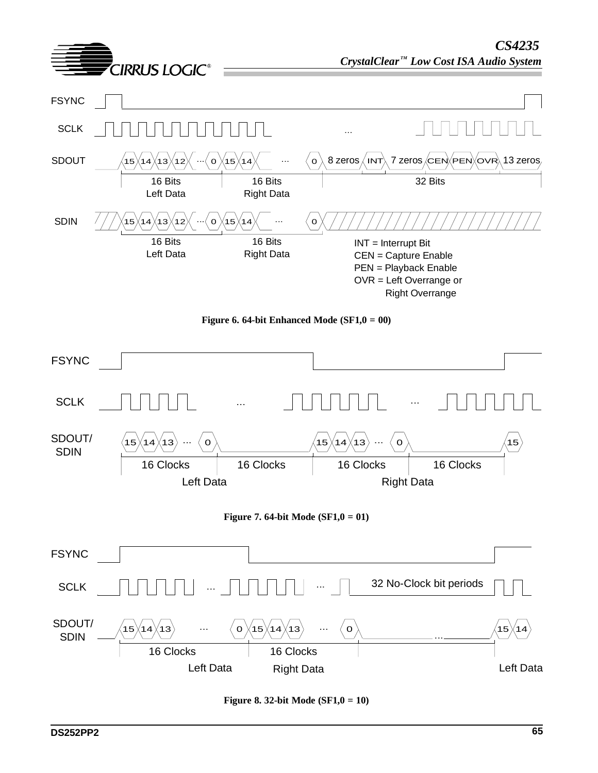

**Figure 8. 32-bit Mode (SF1,0 = 10)**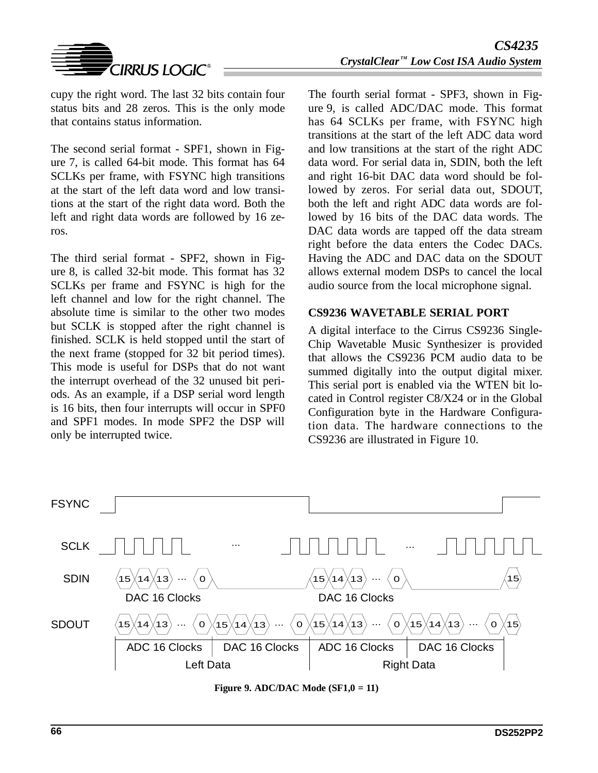

cupy the right word. The last 32 bits contain four status bits and 28 zeros. This is the only mode that contains status information.

The second serial format - SPF1, shown in Figure 7, is called 64-bit mode. This format has 64 SCLKs per frame, with FSYNC high transitions at the start of the left data word and low transitions at the start of the right data word. Both the left and right data words are followed by 16 zeros.

The third serial format - SPF2, shown in Figure 8, is called 32-bit mode. This format has 32 SCLKs per frame and FSYNC is high for the left channel and low for the right channel. The absolute time is similar to the other two modes but SCLK is stopped after the right channel is finished. SCLK is held stopped until the start of the next frame (stopped for 32 bit period times). This mode is useful for DSPs that do not want the interrupt overhead of the 32 unused bit periods. As an example, if a DSP serial word length is 16 bits, then four interrupts will occur in SPF0 and SPF1 modes. In mode SPF2 the DSP will only be interrupted twice.

The fourth serial format - SPF3, shown in Figure 9, is called ADC/DAC mode. This format has 64 SCLKs per frame, with FSYNC high transitions at the start of the left ADC data word and low transitions at the start of the right ADC data word. For serial data in, SDIN, both the left and right 16-bit DAC data word should be followed by zeros. For serial data out, SDOUT, both the left and right ADC data words are followed by 16 bits of the DAC data words. The DAC data words are tapped off the data stream right before the data enters the Codec DACs. Having the ADC and DAC data on the SDOUT allows external modem DSPs to cancel the local audio source from the local microphone signal.

### **CS9236 WAVETABLE SERIAL PORT**

A digital interface to the Cirrus CS9236 Single-Chip Wavetable Music Synthesizer is provided that allows the CS9236 PCM audio data to be summed digitally into the output digital mixer. This serial port is enabled via the WTEN bit located in Control register C8/X24 or in the Global Configuration byte in the Hardware Configuration data. The hardware connections to the CS9236 are illustrated in Figure 10.



**Figure 9. ADC/DAC Mode (SF1,0 = 11)**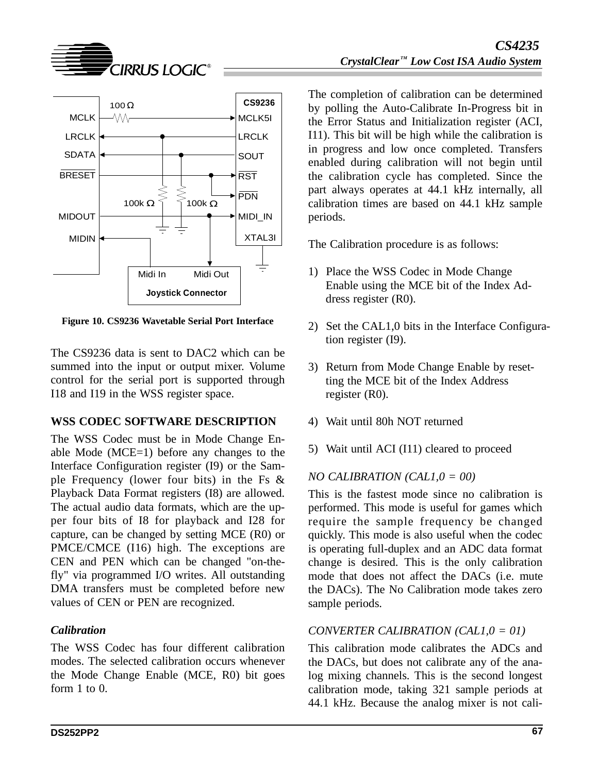



**Figure 10. CS9236 Wavetable Serial Port Interface**

The CS9236 data is sent to DAC2 which can be summed into the input or output mixer. Volume control for the serial port is supported through I18 and I19 in the WSS register space.

## **WSS CODEC SOFTWARE DESCRIPTION**

The WSS Codec must be in Mode Change Enable Mode (MCE=1) before any changes to the Interface Configuration register (I9) or the Sample Frequency (lower four bits) in the Fs & Playback Data Format registers (I8) are allowed. The actual audio data formats, which are the upper four bits of I8 for playback and I28 for capture, can be changed by setting MCE (R0) or PMCE/CMCE (I16) high. The exceptions are CEN and PEN which can be changed "on-thefly" via programmed I/O writes. All outstanding DMA transfers must be completed before new values of CEN or PEN are recognized.

# *Calibration*

The WSS Codec has four different calibration modes. The selected calibration occurs whenever the Mode Change Enable (MCE, R0) bit goes form 1 to 0.

The completion of calibration can be determined by polling the Auto-Calibrate In-Progress bit in the Error Status and Initialization register (ACI, I11). This bit will be high while the calibration is in progress and low once completed. Transfers enabled during calibration will not begin until the calibration cycle has completed. Since the part always operates at 44.1 kHz internally, all calibration times are based on 44.1 kHz sample periods.

The Calibration procedure is as follows:

- 1) Place the WSS Codec in Mode Change Enable using the MCE bit of the Index Address register (R0).
- 2) Set the CAL1,0 bits in the Interface Configuration register (I9).
- 3) Return from Mode Change Enable by resetting the MCE bit of the Index Address register (R0).
- 4) Wait until 80h NOT returned
- 5) Wait until ACI (I11) cleared to proceed

# *NO CALIBRATION (CAL1,0 = 00)*

This is the fastest mode since no calibration is performed. This mode is useful for games which require the sample frequency be changed quickly. This mode is also useful when the codec is operating full-duplex and an ADC data format change is desired. This is the only calibration mode that does not affect the DACs (i.e. mute the DACs). The No Calibration mode takes zero sample periods.

# *CONVERTER CALIBRATION (CAL1,0 = 01)*

This calibration mode calibrates the ADCs and the DACs, but does not calibrate any of the analog mixing channels. This is the second longest calibration mode, taking 321 sample periods at 44.1 kHz. Because the analog mixer is not cali-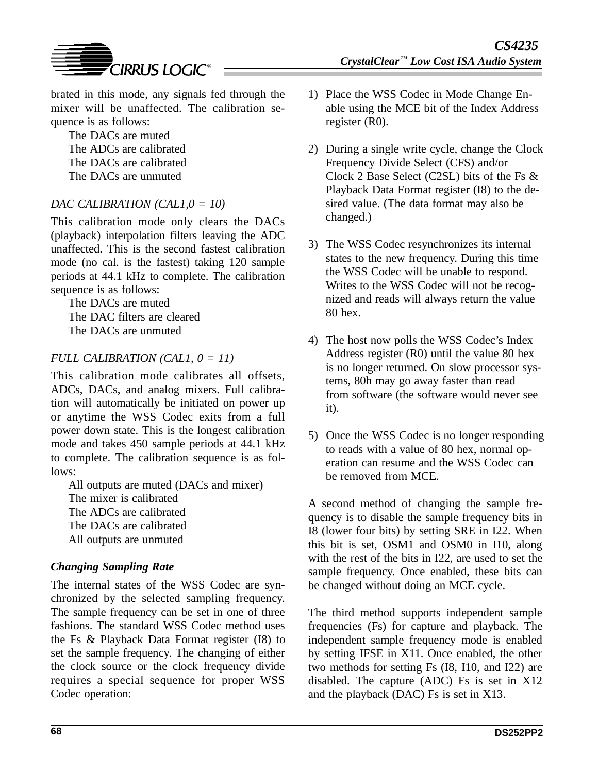

The DACs are muted The ADCs are calibrated The DACs are calibrated The DACs are unmuted

# *DAC CALIBRATION (CAL1,0 = 10)*

This calibration mode only clears the DACs (playback) interpolation filters leaving the ADC unaffected. This is the second fastest calibration mode (no cal. is the fastest) taking 120 sample periods at 44.1 kHz to complete. The calibration sequence is as follows:

The DACs are muted The DAC filters are cleared The DACs are unmuted

## *FULL CALIBRATION (CAL1, 0 = 11)*

This calibration mode calibrates all offsets, ADCs, DACs, and analog mixers. Full calibration will automatically be initiated on power up or anytime the WSS Codec exits from a full power down state. This is the longest calibration mode and takes 450 sample periods at 44.1 kHz to complete. The calibration sequence is as follows:

All outputs are muted (DACs and mixer) The mixer is calibrated The ADCs are calibrated The DACs are calibrated All outputs are unmuted

## *Changing Sampling Rate*

The internal states of the WSS Codec are synchronized by the selected sampling frequency. The sample frequency can be set in one of three fashions. The standard WSS Codec method uses the Fs & Playback Data Format register (I8) to set the sample frequency. The changing of either the clock source or the clock frequency divide requires a special sequence for proper WSS Codec operation:

- 1) Place the WSS Codec in Mode Change Enable using the MCE bit of the Index Address register (R0).
- 2) During a single write cycle, change the Clock Frequency Divide Select (CFS) and/or Clock 2 Base Select (C2SL) bits of the Fs & Playback Data Format register (I8) to the desired value. (The data format may also be changed.)
- 3) The WSS Codec resynchronizes its internal states to the new frequency. During this time the WSS Codec will be unable to respond. Writes to the WSS Codec will not be recognized and reads will always return the value 80 hex.
- 4) The host now polls the WSS Codec's Index Address register (R0) until the value 80 hex is no longer returned. On slow processor systems, 80h may go away faster than read from software (the software would never see it).
- 5) Once the WSS Codec is no longer responding to reads with a value of 80 hex, normal operation can resume and the WSS Codec can be removed from MCE.

A second method of changing the sample frequency is to disable the sample frequency bits in I8 (lower four bits) by setting SRE in I22. When this bit is set, OSM1 and OSM0 in I10, along with the rest of the bits in I22, are used to set the sample frequency. Once enabled, these bits can be changed without doing an MCE cycle.

The third method supports independent sample frequencies (Fs) for capture and playback. The independent sample frequency mode is enabled by setting IFSE in X11. Once enabled, the other two methods for setting Fs (I8, I10, and I22) are disabled. The capture (ADC) Fs is set in X12 and the playback (DAC) Fs is set in X13.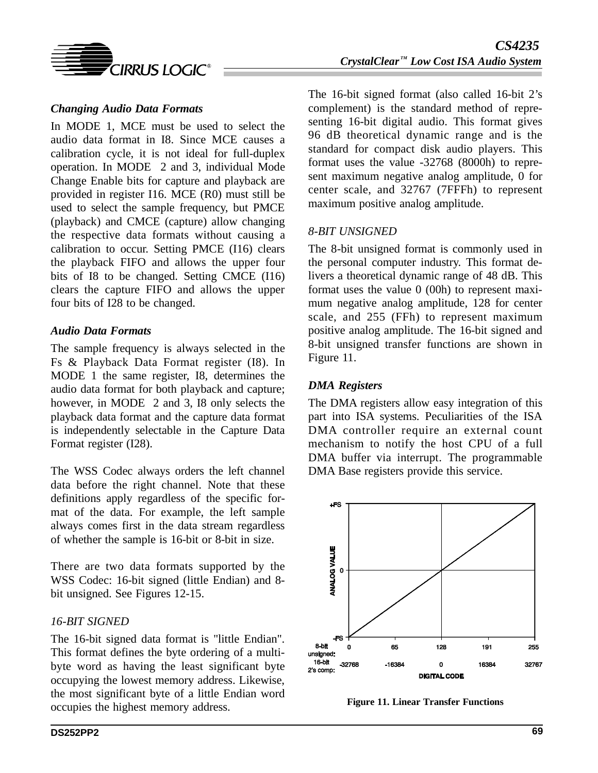

## *Changing Audio Data Formats*

In MODE 1, MCE must be used to select the audio data format in I8. Since MCE causes a calibration cycle, it is not ideal for full-duplex operation. In MODE 2 and 3, individual Mode Change Enable bits for capture and playback are provided in register I16. MCE (R0) must still be used to select the sample frequency, but PMCE (playback) and CMCE (capture) allow changing the respective data formats without causing a calibration to occur. Setting PMCE (I16) clears the playback FIFO and allows the upper four bits of I8 to be changed. Setting CMCE (I16) clears the capture FIFO and allows the upper four bits of I28 to be changed.

### *Audio Data Formats*

The sample frequency is always selected in the Fs & Playback Data Format register (I8). In MODE 1 the same register, I8, determines the audio data format for both playback and capture; however, in MODE 2 and 3, I8 only selects the playback data format and the capture data format is independently selectable in the Capture Data Format register (I28).

The WSS Codec always orders the left channel data before the right channel. Note that these definitions apply regardless of the specific format of the data. For example, the left sample always comes first in the data stream regardless of whether the sample is 16-bit or 8-bit in size.

There are two data formats supported by the WSS Codec: 16-bit signed (little Endian) and 8 bit unsigned. See Figures 12-15.

## *16-BIT SIGNED*

The 16-bit signed data format is "little Endian". This format defines the byte ordering of a multibyte word as having the least significant byte occupying the lowest memory address. Likewise, the most significant byte of a little Endian word occupies the highest memory address.

The 16-bit signed format (also called 16-bit 2's complement) is the standard method of representing 16-bit digital audio. This format gives 96 dB theoretical dynamic range and is the standard for compact disk audio players. This format uses the value -32768 (8000h) to represent maximum negative analog amplitude, 0 for center scale, and 32767 (7FFFh) to represent maximum positive analog amplitude.

### *8-BIT UNSIGNED*

The 8-bit unsigned format is commonly used in the personal computer industry. This format delivers a theoretical dynamic range of 48 dB. This format uses the value 0 (00h) to represent maximum negative analog amplitude, 128 for center scale, and 255 (FFh) to represent maximum positive analog amplitude. The 16-bit signed and 8-bit unsigned transfer functions are shown in Figure 11.

## *DMA Registers*

The DMA registers allow easy integration of this part into ISA systems. Peculiarities of the ISA DMA controller require an external count mechanism to notify the host CPU of a full DMA buffer via interrupt. The programmable DMA Base registers provide this service.



**Figure 11. Linear Transfer Functions**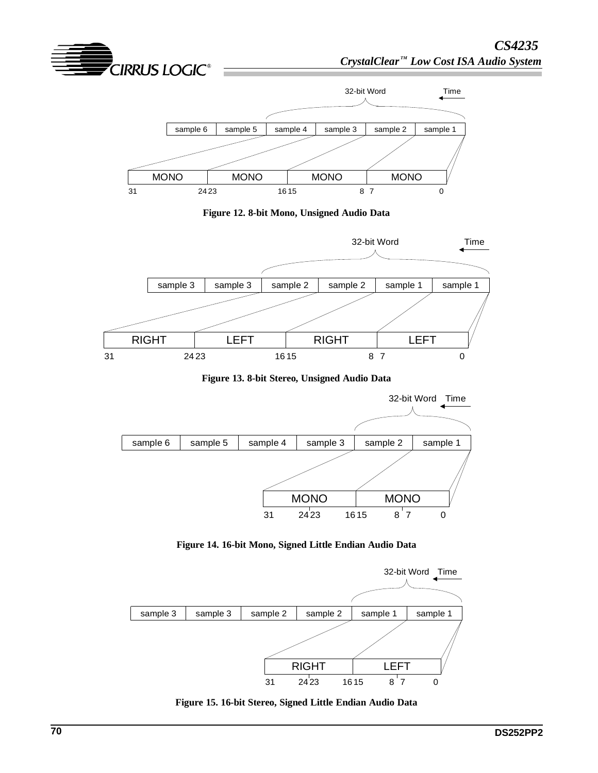



**Figure 13. 8-bit Stereo, Unsigned Audio Data**



**Figure 14. 16-bit Mono, Signed Little Endian Audio Data**



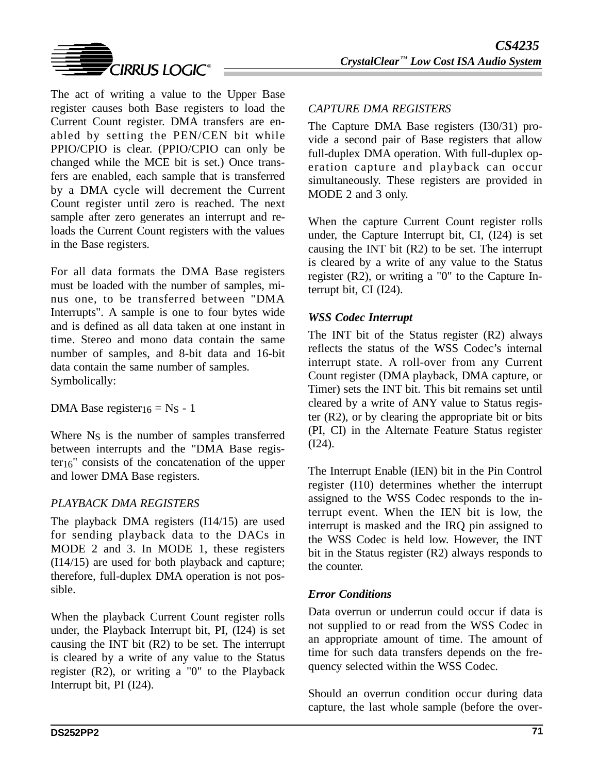

The act of writing a value to the Upper Base register causes both Base registers to load the Current Count register. DMA transfers are enabled by setting the PEN/CEN bit while PPIO/CPIO is clear. (PPIO/CPIO can only be changed while the MCE bit is set.) Once transfers are enabled, each sample that is transferred by a DMA cycle will decrement the Current Count register until zero is reached. The next sample after zero generates an interrupt and reloads the Current Count registers with the values in the Base registers.

For all data formats the DMA Base registers must be loaded with the number of samples, minus one, to be transferred between "DMA Interrupts". A sample is one to four bytes wide and is defined as all data taken at one instant in time. Stereo and mono data contain the same number of samples, and 8-bit data and 16-bit data contain the same number of samples. Symbolically:

DMA Base register<sub>16</sub> = N<sub>S</sub> - 1

Where N<sub>S</sub> is the number of samples transferred between interrupts and the "DMA Base register16" consists of the concatenation of the upper and lower DMA Base registers.

## *PLAYBACK DMA REGISTERS*

The playback DMA registers (I14/15) are used for sending playback data to the DACs in MODE 2 and 3. In MODE 1, these registers (I14/15) are used for both playback and capture; therefore, full-duplex DMA operation is not possible.

When the playback Current Count register rolls under, the Playback Interrupt bit, PI, (I24) is set causing the INT bit (R2) to be set. The interrupt is cleared by a write of any value to the Status register (R2), or writing a "0" to the Playback Interrupt bit, PI (I24).

## *CAPTURE DMA REGISTERS*

The Capture DMA Base registers (I30/31) provide a second pair of Base registers that allow full-duplex DMA operation. With full-duplex operation capture and playback can occur simultaneously. These registers are provided in MODE 2 and 3 only.

When the capture Current Count register rolls under, the Capture Interrupt bit, CI, (I24) is set causing the INT bit (R2) to be set. The interrupt is cleared by a write of any value to the Status register (R2), or writing a "0" to the Capture Interrupt bit, CI (I24).

## *WSS Codec Interrupt*

The INT bit of the Status register (R2) always reflects the status of the WSS Codec's internal interrupt state. A roll-over from any Current Count register (DMA playback, DMA capture, or Timer) sets the INT bit. This bit remains set until cleared by a write of ANY value to Status register (R2), or by clearing the appropriate bit or bits (PI, CI) in the Alternate Feature Status register (I24).

The Interrupt Enable (IEN) bit in the Pin Control register (I10) determines whether the interrupt assigned to the WSS Codec responds to the interrupt event. When the IEN bit is low, the interrupt is masked and the IRQ pin assigned to the WSS Codec is held low. However, the INT bit in the Status register (R2) always responds to the counter.

# *Error Conditions*

Data overrun or underrun could occur if data is not supplied to or read from the WSS Codec in an appropriate amount of time. The amount of time for such data transfers depends on the frequency selected within the WSS Codec.

Should an overrun condition occur during data capture, the last whole sample (before the over-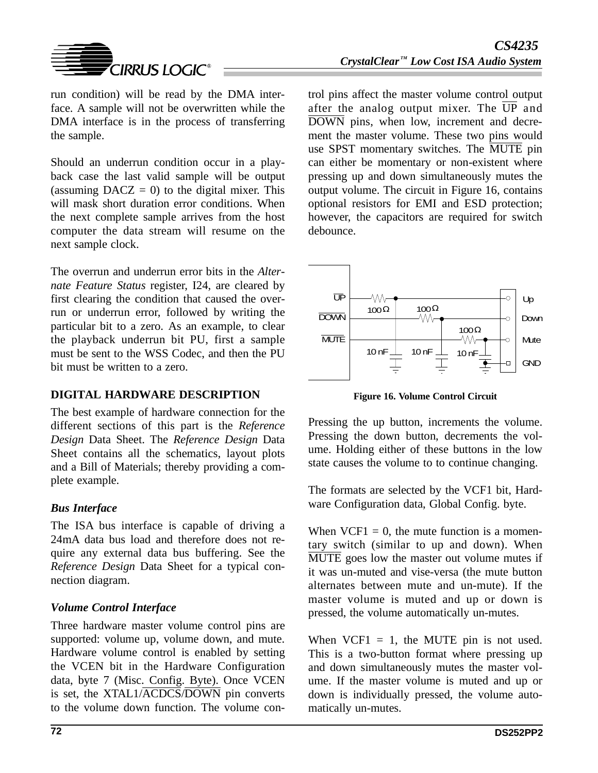

run condition) will be read by the DMA interface. A sample will not be overwritten while the DMA interface is in the process of transferring the sample.

Should an underrun condition occur in a playback case the last valid sample will be output (assuming  $DACZ = 0$ ) to the digital mixer. This will mask short duration error conditions. When the next complete sample arrives from the host computer the data stream will resume on the next sample clock.

The overrun and underrun error bits in the *Alternate Feature Status* register, I24, are cleared by first clearing the condition that caused the overrun or underrun error, followed by writing the particular bit to a zero. As an example, to clear the playback underrun bit PU, first a sample must be sent to the WSS Codec, and then the PU bit must be written to a zero.

## **DIGITAL HARDWARE DESCRIPTION**

The best example of hardware connection for the different sections of this part is the *Reference Design* Data Sheet. The *Reference Design* Data Sheet contains all the schematics, layout plots and a Bill of Materials; thereby providing a complete example.

## *Bus Interface*

The ISA bus interface is capable of driving a 24mA data bus load and therefore does not require any external data bus buffering. See the *Reference Design* Data Sheet for a typical connection diagram.

## *Volume Control Interface*

Three hardware master volume control pins are supported: volume up, volume down, and mute. Hardware volume control is enabled by setting the VCEN bit in the Hardware Configuration data, byte 7 (Misc. Config. Byte). Once VCEN is set, the XTAL1/ACDCS/DOWN pin converts to the volume down function. The volume con-

trol pins affect the master volume control output after the analog output mixer. The  $\overline{UP}$  and DOWN pins, when low, increment and decrement the master volume. These two pins would use SPST momentary switches. The MUTE pin can either be momentary or non-existent where pressing up and down simultaneously mutes the output volume. The circuit in Figure 16, contains optional resistors for EMI and ESD protection; however, the capacitors are required for switch debounce.



**Figure 16. Volume Control Circuit**

Pressing the up button, increments the volume. Pressing the down button, decrements the volume. Holding either of these buttons in the low state causes the volume to to continue changing.

The formats are selected by the VCF1 bit, Hardware Configuration data, Global Config. byte.

When  $VCF1 = 0$ , the mute function is a momentary switch (similar to up and down). When  $\overline{\text{MUTE}}$  goes low the master out volume mutes if it was un-muted and vise-versa (the mute button alternates between mute and un-mute). If the master volume is muted and up or down is pressed, the volume automatically un-mutes.

When  $VCF1 = 1$ , the MUTE pin is not used. This is a two-button format where pressing up and down simultaneously mutes the master volume. If the master volume is muted and up or down is individually pressed, the volume automatically un-mutes.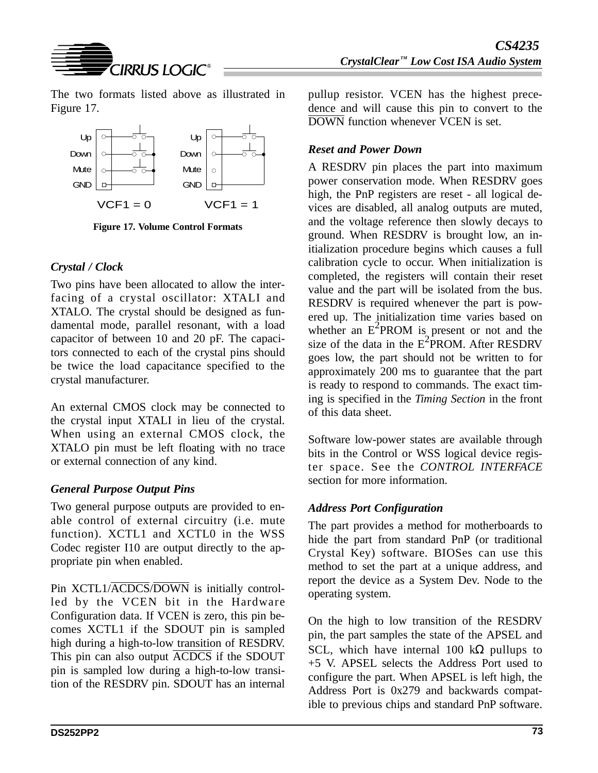

The two formats listed above as illustrated in Figure 17.



**Figure 17. Volume Control Formats**

### *Crystal / Clock*

Two pins have been allocated to allow the interfacing of a crystal oscillator: XTALI and XTALO. The crystal should be designed as fundamental mode, parallel resonant, with a load capacitor of between 10 and 20 pF. The capacitors connected to each of the crystal pins should be twice the load capacitance specified to the crystal manufacturer.

An external CMOS clock may be connected to the crystal input XTALI in lieu of the crystal. When using an external CMOS clock, the XTALO pin must be left floating with no trace or external connection of any kind.

## *General Purpose Output Pins*

Two general purpose outputs are provided to enable control of external circuitry (i.e. mute function). XCTL1 and XCTL0 in the WSS Codec register I10 are output directly to the appropriate pin when enabled.

Pin XCTL1/ACDCS/DOWN is initially controlled by the VCEN bit in the Hardware Configuration data. If VCEN is zero, this pin becomes XCTL1 if the SDOUT pin is sampled high during a high-to-low transition of RESDRV. This pin can also output ACDCS if the SDOUT pin is sampled low during a high-to-low transition of the RESDRV pin. SDOUT has an internal pullup resistor. VCEN has the highest precedence and will cause this pin to convert to the DOWN function whenever VCEN is set.

### *Reset and Power Down*

A RESDRV pin places the part into maximum power conservation mode. When RESDRV goes high, the PnP registers are reset - all logical devices are disabled, all analog outputs are muted, and the voltage reference then slowly decays to ground. When RESDRV is brought low, an initialization procedure begins which causes a full calibration cycle to occur. When initialization is completed, the registers will contain their reset value and the part will be isolated from the bus. RESDRV is required whenever the part is powered up. The initialization time varies based on whether an  $E^2$ PROM is present or not and the size of the data in the  $E^2$ PROM. After RESDRV goes low, the part should not be written to for approximately 200 ms to guarantee that the part is ready to respond to commands. The exact timing is specified in the *Timing Section* in the front of this data sheet.

Software low-power states are available through bits in the Control or WSS logical device register space. See the *CONTROL INTERFACE* section for more information.

## *Address Port Configuration*

The part provides a method for motherboards to hide the part from standard PnP (or traditional Crystal Key) software. BIOSes can use this method to set the part at a unique address, and report the device as a System Dev. Node to the operating system.

On the high to low transition of the RESDRV pin, the part samples the state of the APSEL and SCL, which have internal 100 k $\Omega$  pullups to +5 V. APSEL selects the Address Port used to configure the part. When APSEL is left high, the Address Port is 0x279 and backwards compatible to previous chips and standard PnP software.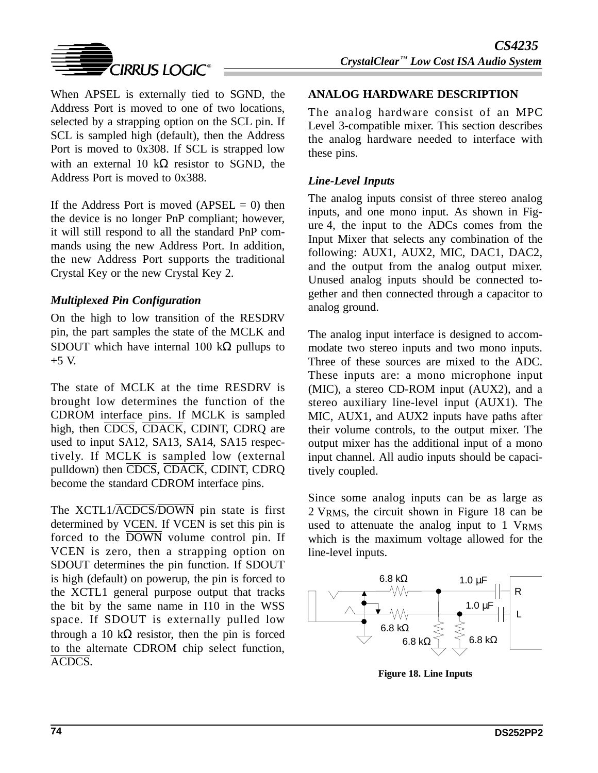

When APSEL is externally tied to SGND, the Address Port is moved to one of two locations, selected by a strapping option on the SCL pin. If SCL is sampled high (default), then the Address Port is moved to 0x308. If SCL is strapped low with an external 10 k $\Omega$  resistor to SGND, the Address Port is moved to 0x388.

If the Address Port is moved  $(APSEL = 0)$  then the device is no longer PnP compliant; however, it will still respond to all the standard PnP commands using the new Address Port. In addition, the new Address Port supports the traditional Crystal Key or the new Crystal Key 2.

### *Multiplexed Pin Configuration*

On the high to low transition of the RESDRV pin, the part samples the state of the MCLK and SDOUT which have internal 100 k $\Omega$  pullups to  $+5$  V.

The state of MCLK at the time RESDRV is brought low determines the function of the CDROM interface pins. If MCLK is sampled high, then CDCS, CDACK, CDINT, CDRQ are used to input SA12, SA13, SA14, SA15 respectively. If MCLK is sampled low (external pulldown) then CDCS, CDACK, CDINT, CDRQ become the standard CDROM interface pins.

The XCTL1/ACDCS/DOWN pin state is first determined by VCEN. If VCEN is set this pin is forced to the DOWN volume control pin. If VCEN is zero, then a strapping option on SDOUT determines the pin function. If SDOUT is high (default) on powerup, the pin is forced to the XCTL1 general purpose output that tracks the bit by the same name in I10 in the WSS space. If SDOUT is externally pulled low through a 10 k $\Omega$  resistor, then the pin is forced to the alternate CDROM chip select function, ACDCS.

### **ANALOG HARDWARE DESCRIPTION**

The analog hardware consist of an MPC Level 3-compatible mixer. This section describes the analog hardware needed to interface with these pins.

### *Line-Level Inputs*

The analog inputs consist of three stereo analog inputs, and one mono input. As shown in Figure 4, the input to the ADCs comes from the Input Mixer that selects any combination of the following: AUX1, AUX2, MIC, DAC1, DAC2, and the output from the analog output mixer. Unused analog inputs should be connected together and then connected through a capacitor to analog ground.

The analog input interface is designed to accommodate two stereo inputs and two mono inputs. Three of these sources are mixed to the ADC. These inputs are: a mono microphone input (MIC), a stereo CD-ROM input (AUX2), and a stereo auxiliary line-level input (AUX1). The MIC, AUX1, and AUX2 inputs have paths after their volume controls, to the output mixer. The output mixer has the additional input of a mono input channel. All audio inputs should be capacitively coupled.

Since some analog inputs can be as large as 2 VRMS, the circuit shown in Figure 18 can be used to attenuate the analog input to 1 VRMS which is the maximum voltage allowed for the line-level inputs.



**Figure 18. Line Inputs**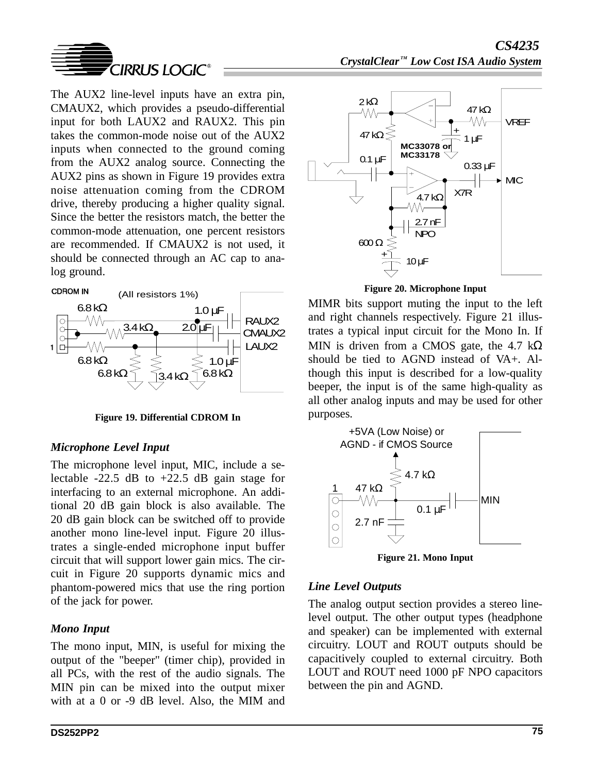

The AUX2 line-level inputs have an extra pin, CMAUX2, which provides a pseudo-differential input for both LAUX2 and RAUX2. This pin takes the common-mode noise out of the AUX2 inputs when connected to the ground coming from the AUX2 analog source. Connecting the AUX2 pins as shown in Figure 19 provides extra noise attenuation coming from the CDROM drive, thereby producing a higher quality signal. Since the better the resistors match, the better the common-mode attenuation, one percent resistors are recommended. If CMAUX2 is not used, it should be connected through an AC cap to analog ground.



**Figure 19. Differential CDROM In**

### *Microphone Level Input*

The microphone level input, MIC, include a selectable  $-22.5$  dB to  $+22.5$  dB gain stage for interfacing to an external microphone. An additional 20 dB gain block is also available. The 20 dB gain block can be switched off to provide another mono line-level input. Figure 20 illustrates a single-ended microphone input buffer circuit that will support lower gain mics. The circuit in Figure 20 supports dynamic mics and phantom-powered mics that use the ring portion of the jack for power.

### *Mono Input*

The mono input, MIN, is useful for mixing the output of the "beeper" (timer chip), provided in all PCs, with the rest of the audio signals. The MIN pin can be mixed into the output mixer with at a 0 or -9 dB level. Also, the MIM and



**Figure 20. Microphone Input**

MIMR bits support muting the input to the left and right channels respectively. Figure 21 illustrates a typical input circuit for the Mono In. If MIN is driven from a CMOS gate, the 4.7 kΩ should be tied to AGND instead of VA+. Although this input is described for a low-quality beeper, the input is of the same high-quality as all other analog inputs and may be used for other purposes.



**Figure 21. Mono Input**

### *Line Level Outputs*

The analog output section provides a stereo linelevel output. The other output types (headphone and speaker) can be implemented with external circuitry. LOUT and ROUT outputs should be capacitively coupled to external circuitry. Both LOUT and ROUT need 1000 pF NPO capacitors between the pin and AGND.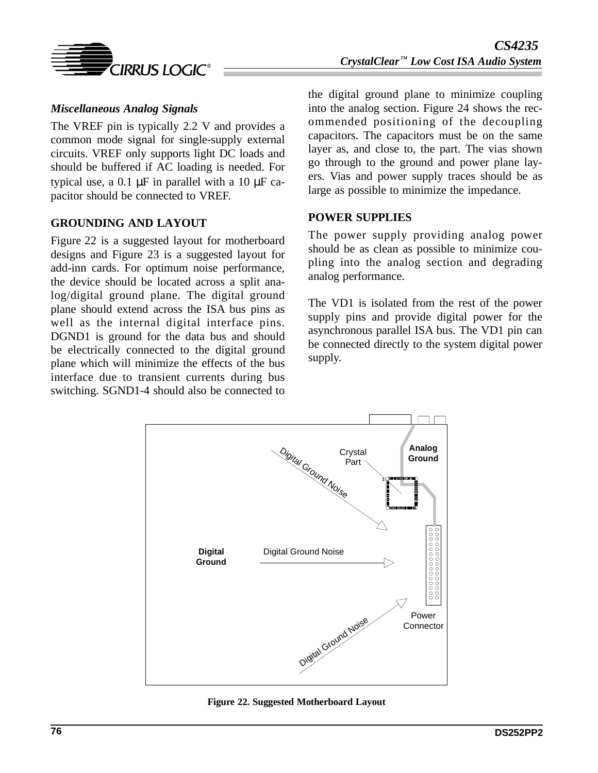

### *Miscellaneous Analog Signals*

The VREF pin is typically 2.2 V and provides a common mode signal for single-supply external circuits. VREF only supports light DC loads and should be buffered if AC loading is needed. For typical use, a 0.1  $\mu$ F in parallel with a 10  $\mu$ F capacitor should be connected to VREF.

### **GROUNDING AND LAYOUT**

Figure 22 is a suggested layout for motherboard designs and Figure 23 is a suggested layout for add-inn cards. For optimum noise performance, the device should be located across a split analog/digital ground plane. The digital ground plane should extend across the ISA bus pins as well as the internal digital interface pins. DGND1 is ground for the data bus and should be electrically connected to the digital ground plane which will minimize the effects of the bus interface due to transient currents during bus switching. SGND1-4 should also be connected to the digital ground plane to minimize coupling into the analog section. Figure 24 shows the recommended positioning of the decoupling capacitors. The capacitors must be on the same layer as, and close to, the part. The vias shown go through to the ground and power plane layers. Vias and power supply traces should be as large as possible to minimize the impedance.

#### **POWER SUPPLIES**

The power supply providing analog power should be as clean as possible to minimize coupling into the analog section and degrading analog performance.

The VD1 is isolated from the rest of the power supply pins and provide digital power for the asynchronous parallel ISA bus. The VD1 pin can be connected directly to the system digital power supply.



**Figure 22. Suggested Motherboard Layout**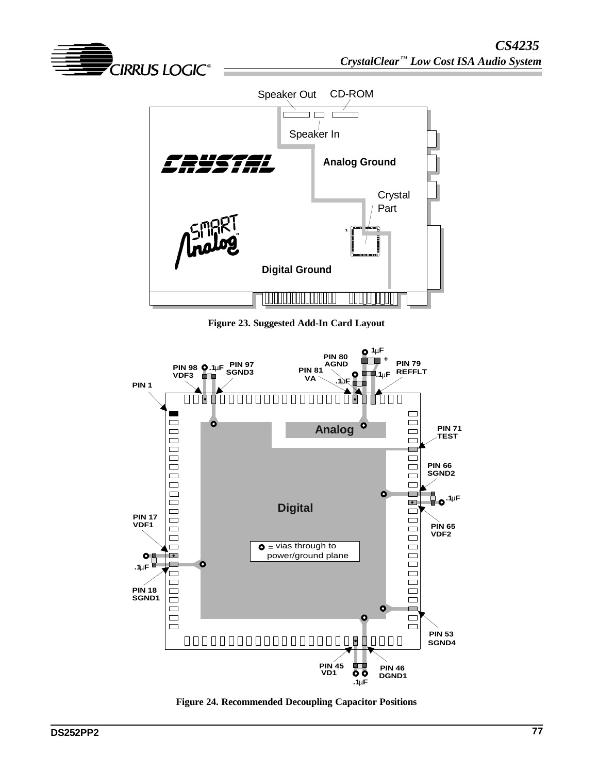



**Figure 23. Suggested Add-In Card Layout**



**Figure 24. Recommended Decoupling Capacitor Positions**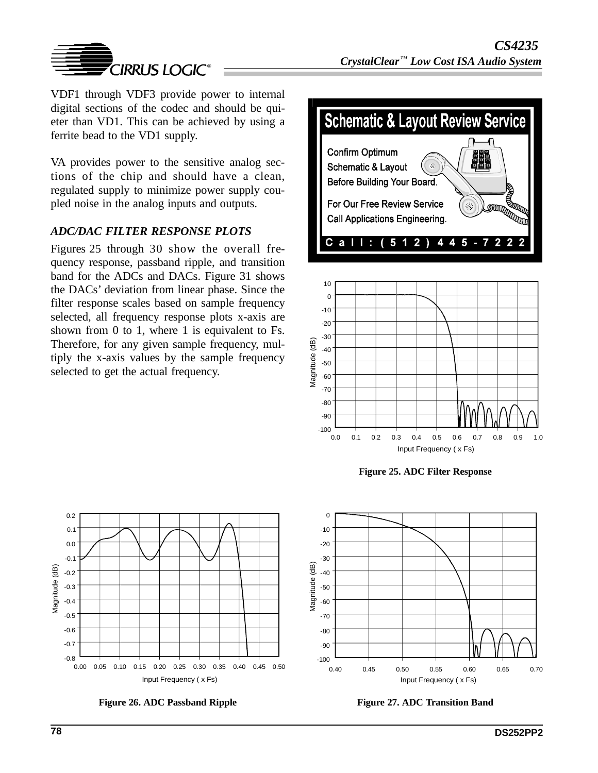

VDF1 through VDF3 provide power to internal digital sections of the codec and should be quieter than VD1. This can be achieved by using a ferrite bead to the VD1 supply.

VA provides power to the sensitive analog sections of the chip and should have a clean, regulated supply to minimize power supply coupled noise in the analog inputs and outputs.

### *ADC/DAC FILTER RESPONSE PLOTS*

Figures 25 through 30 show the overall frequency response, passband ripple, and transition band for the ADCs and DACs. Figure 31 shows the DACs' deviation from linear phase. Since the filter response scales based on sample frequency selected, all frequency response plots x-axis are shown from 0 to 1, where 1 is equivalent to Fs. Therefore, for any given sample frequency, multiply the x-axis values by the sample frequency selected to get the actual frequency.





**Figure 25. ADC Filter Response**





**Figure 26. ADC Passband Ripple**

**Figure 27. ADC Transition Band**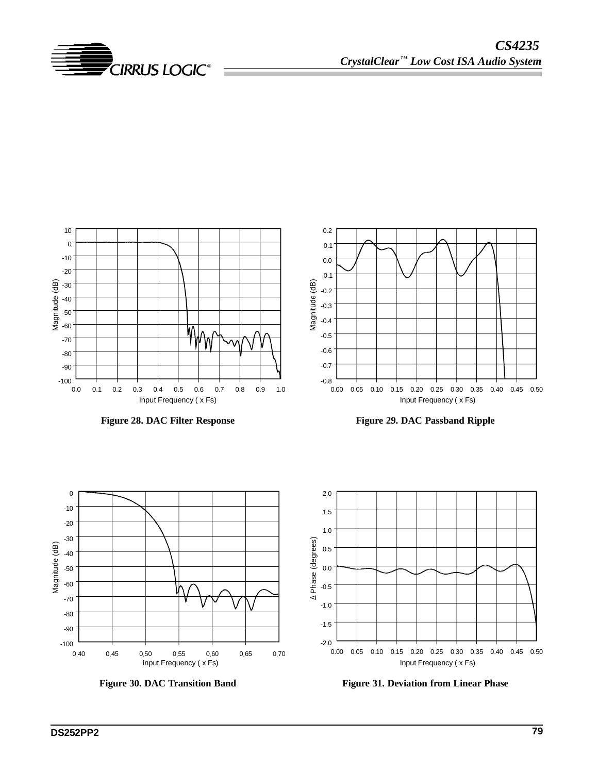



**Figure 28. DAC Filter Response**





**Figure 30. DAC Transition Band**



**Figure 31. Deviation from Linear Phase**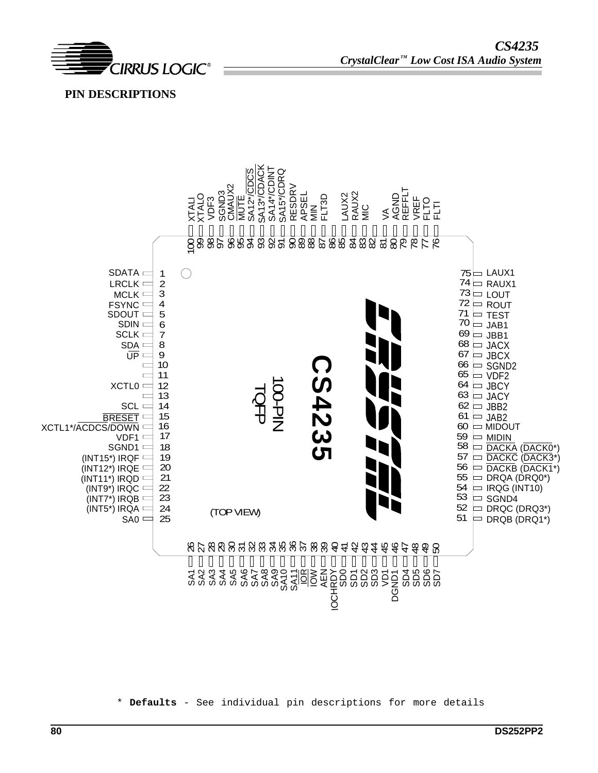

 **PIN DESCRIPTIONS** 



\* **Defaults** - See individual pin descriptions for more details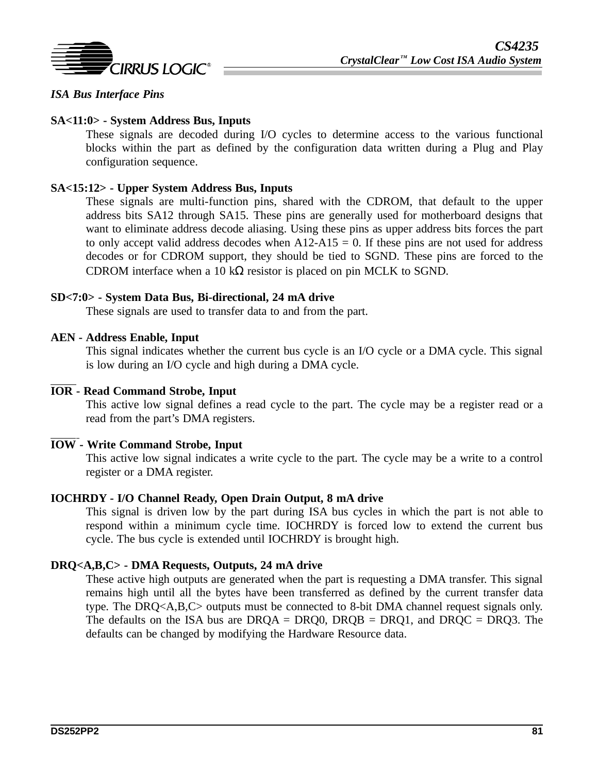

### *ISA Bus Interface Pins*

### **SA<11:0> - System Address Bus, Inputs**

These signals are decoded during I/O cycles to determine access to the various functional blocks within the part as defined by the configuration data written during a Plug and Play configuration sequence.

#### **SA<15:12> - Upper System Address Bus, Inputs**

These signals are multi-function pins, shared with the CDROM, that default to the upper address bits SA12 through SA15. These pins are generally used for motherboard designs that want to eliminate address decode aliasing. Using these pins as upper address bits forces the part to only accept valid address decodes when  $A12-A15 = 0$ . If these pins are not used for address decodes or for CDROM support, they should be tied to SGND. These pins are forced to the CDROM interface when a 10 k $\Omega$  resistor is placed on pin MCLK to SGND.

#### **SD<7:0> - System Data Bus, Bi-directional, 24 mA drive**

These signals are used to transfer data to and from the part.

#### **AEN - Address Enable, Input**

This signal indicates whether the current bus cycle is an I/O cycle or a DMA cycle. This signal is low during an I/O cycle and high during a DMA cycle.

#### **IOR - Read Command Strobe, Input**

This active low signal defines a read cycle to the part. The cycle may be a register read or a read from the part's DMA registers.

#### **IOW - Write Command Strobe, Input**

This active low signal indicates a write cycle to the part. The cycle may be a write to a control register or a DMA register.

#### **IOCHRDY - I/O Channel Ready, Open Drain Output, 8 mA drive**

This signal is driven low by the part during ISA bus cycles in which the part is not able to respond within a minimum cycle time. IOCHRDY is forced low to extend the current bus cycle. The bus cycle is extended until IOCHRDY is brought high.

#### **DRQ<A,B,C> - DMA Requests, Outputs, 24 mA drive**

These active high outputs are generated when the part is requesting a DMA transfer. This signal remains high until all the bytes have been transferred as defined by the current transfer data type. The DRQ<A,B,C> outputs must be connected to 8-bit DMA channel request signals only. The defaults on the ISA bus are DRQA = DRQ0, DRQB = DRQ1, and DRQC = DRQ3. The defaults can be changed by modifying the Hardware Resource data.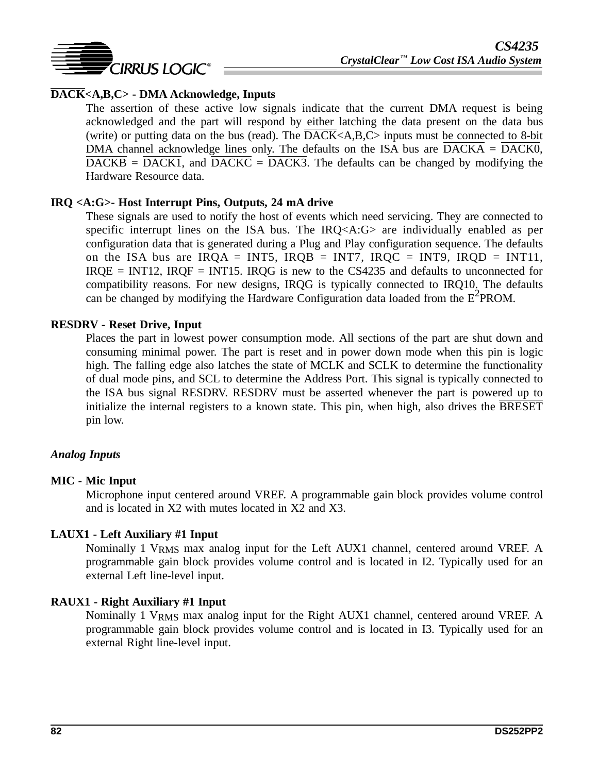

### **DACK<A,B,C> - DMA Acknowledge, Inputs**

The assertion of these active low signals indicate that the current DMA request is being acknowledged and the part will respond by either latching the data present on the data bus (write) or putting data on the bus (read). The  $\overline{DACK}\langle A,B,C\rangle$  inputs must be connected to 8-bit DMA channel acknowledge lines only. The defaults on the ISA bus are DACKA = DACK0,  $\overline{\text{DACKB}} = \overline{\text{DACK1}}$ , and  $\overline{\text{DACKC}} = \overline{\text{DACK3}}$ . The defaults can be changed by modifying the Hardware Resource data.

### **IRQ <A:G>- Host Interrupt Pins, Outputs, 24 mA drive**

These signals are used to notify the host of events which need servicing. They are connected to specific interrupt lines on the ISA bus. The IRQ<A:G> are individually enabled as per configuration data that is generated during a Plug and Play configuration sequence. The defaults on the ISA bus are IRQA = INT5, IRQB = INT7, IRQC = INT9, IRQD = INT11,  $IRQE = INT12$ ,  $IRQF = INT15$ .  $IRQG$  is new to the CS4235 and defaults to unconnected for compatibility reasons. For new designs, IRQG is typically connected to IRQ10. The defaults can be changed by modifying the Hardware Configuration data loaded from the  $E^2$ PROM.

### **RESDRV - Reset Drive, Input**

Places the part in lowest power consumption mode. All sections of the part are shut down and consuming minimal power. The part is reset and in power down mode when this pin is logic high. The falling edge also latches the state of MCLK and SCLK to determine the functionality of dual mode pins, and SCL to determine the Address Port. This signal is typically connected to the ISA bus signal RESDRV. RESDRV must be asserted whenever the part is powered up to initialize the internal registers to a known state. This pin, when high, also drives the BRESET pin low.

### *Analog Inputs*

### **MIC - Mic Input**

Microphone input centered around VREF. A programmable gain block provides volume control and is located in X2 with mutes located in X2 and X3.

#### **LAUX1 - Left Auxiliary #1 Input**

Nominally 1 V<sub>RMS</sub> max analog input for the Left AUX1 channel, centered around VREF. A programmable gain block provides volume control and is located in I2. Typically used for an external Left line-level input.

#### **RAUX1 - Right Auxiliary #1 Input**

Nominally 1 VRMS max analog input for the Right AUX1 channel, centered around VREF. A programmable gain block provides volume control and is located in I3. Typically used for an external Right line-level input.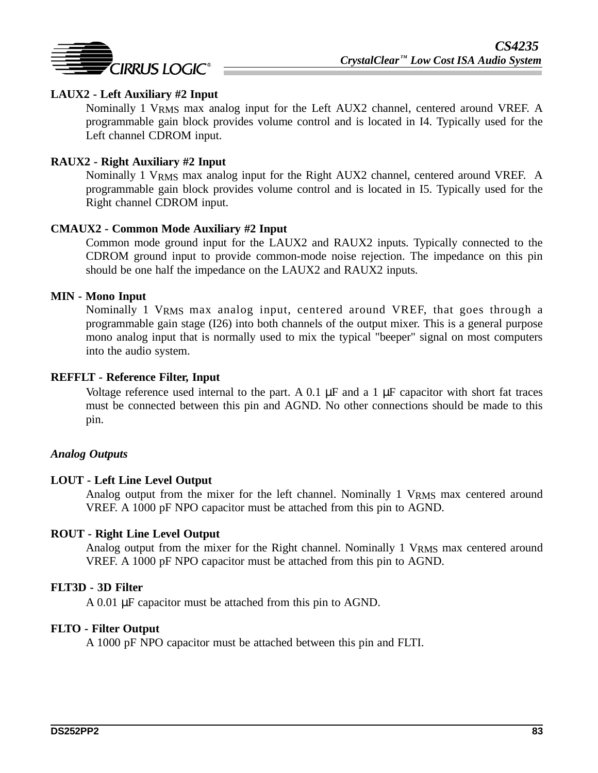

### **LAUX2 - Left Auxiliary #2 Input**

Nominally 1 VRMS max analog input for the Left AUX2 channel, centered around VREF. A programmable gain block provides volume control and is located in I4. Typically used for the Left channel CDROM input.

### **RAUX2 - Right Auxiliary #2 Input**

Nominally 1 VRMS max analog input for the Right AUX2 channel, centered around VREF. A programmable gain block provides volume control and is located in I5. Typically used for the Right channel CDROM input.

#### **CMAUX2 - Common Mode Auxiliary #2 Input**

Common mode ground input for the LAUX2 and RAUX2 inputs. Typically connected to the CDROM ground input to provide common-mode noise rejection. The impedance on this pin should be one half the impedance on the LAUX2 and RAUX2 inputs.

#### **MIN - Mono Input**

Nominally 1 VRMS max analog input, centered around VREF, that goes through a programmable gain stage (I26) into both channels of the output mixer. This is a general purpose mono analog input that is normally used to mix the typical "beeper" signal on most computers into the audio system.

#### **REFFLT - Reference Filter, Input**

Voltage reference used internal to the part. A  $0.1 \mu$ F and a 1  $\mu$ F capacitor with short fat traces must be connected between this pin and AGND. No other connections should be made to this pin.

#### *Analog Outputs*

#### **LOUT - Left Line Level Output**

Analog output from the mixer for the left channel. Nominally 1 VRMS max centered around VREF. A 1000 pF NPO capacitor must be attached from this pin to AGND.

#### **ROUT - Right Line Level Output**

Analog output from the mixer for the Right channel. Nominally 1 VRMS max centered around VREF. A 1000 pF NPO capacitor must be attached from this pin to AGND.

#### **FLT3D - 3D Filter**

A 0.01 µF capacitor must be attached from this pin to AGND.

#### **FLTO - Filter Output**

A 1000 pF NPO capacitor must be attached between this pin and FLTI.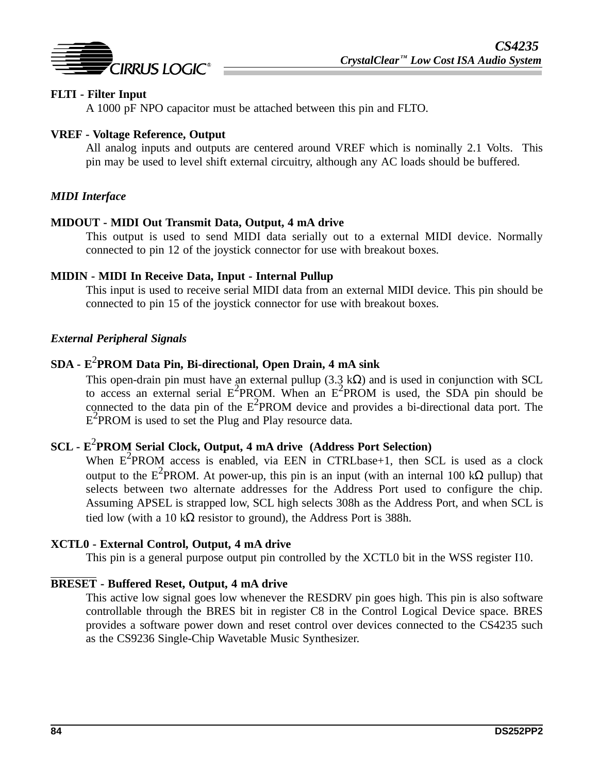

### **FLTI - Filter Input**

A 1000 pF NPO capacitor must be attached between this pin and FLTO.

#### **VREF - Voltage Reference, Output**

All analog inputs and outputs are centered around VREF which is nominally 2.1 Volts. This pin may be used to level shift external circuitry, although any AC loads should be buffered.

### *MIDI Interface*

#### **MIDOUT - MIDI Out Transmit Data, Output, 4 mA drive**

This output is used to send MIDI data serially out to a external MIDI device. Normally connected to pin 12 of the joystick connector for use with breakout boxes.

#### **MIDIN - MIDI In Receive Data, Input - Internal Pullup**

This input is used to receive serial MIDI data from an external MIDI device. This pin should be connected to pin 15 of the joystick connector for use with breakout boxes.

#### *External Peripheral Signals*

# **SDA - E**<sup>2</sup> **PROM Data Pin, Bi-directional, Open Drain, 4 mA sink**

This open-drain pin must have an external pullup (3.3 k $\Omega$ ) and is used in conjunction with SCL to access an external serial  $E^2$ PROM. When an  $E^2$ PROM is used, the SDA pin should be connected to the data pin of the  $E^2$ PROM device and provides a bi-directional data port. The  $E^2$ PROM is used to set the Plug and Play resource data.

# **SCL - E**<sup>2</sup> **PROM Serial Clock, Output, 4 mA drive (Address Port Selection)**

When  $E^2$ PROM access is enabled, via EEN in CTRLbase+1, then SCL is used as a clock output to the E<sup>2</sup>PROM. At power-up, this pin is an input (with an internal 100 kΩ pullup) that selects between two alternate addresses for the Address Port used to configure the chip. Assuming APSEL is strapped low, SCL high selects 308h as the Address Port, and when SCL is tied low (with a 10 k $\Omega$  resistor to ground), the Address Port is 388h.

#### **XCTL0 - External Control, Output, 4 mA drive**

This pin is a general purpose output pin controlled by the XCTL0 bit in the WSS register I10.

### **BRESET - Buffered Reset, Output, 4 mA drive**

This active low signal goes low whenever the RESDRV pin goes high. This pin is also software controllable through the BRES bit in register C8 in the Control Logical Device space. BRES provides a software power down and reset control over devices connected to the CS4235 such as the CS9236 Single-Chip Wavetable Music Synthesizer.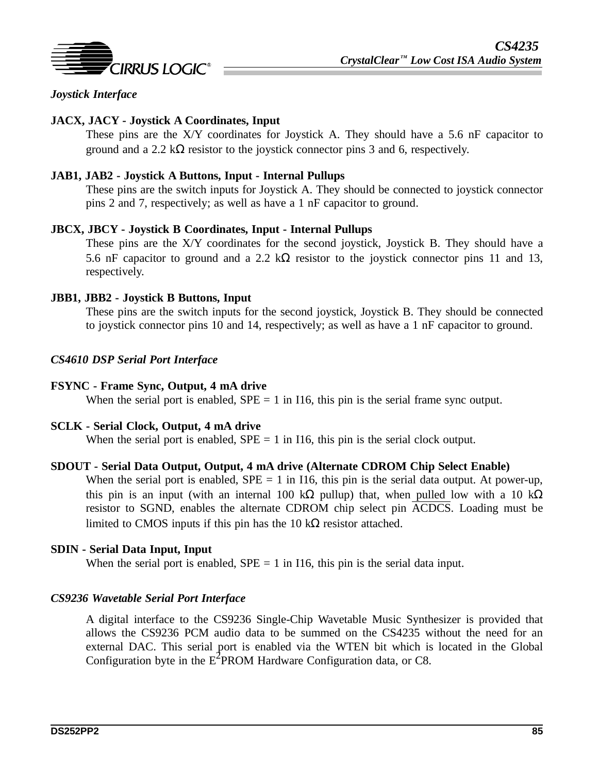

### *Joystick Interface*

### **JACX, JACY - Joystick A Coordinates, Input**

These pins are the X/Y coordinates for Joystick A. They should have a 5.6 nF capacitor to ground and a 2.2 k $\Omega$  resistor to the joystick connector pins 3 and 6, respectively.

#### **JAB1, JAB2 - Joystick A Buttons, Input - Internal Pullups**

These pins are the switch inputs for Joystick A. They should be connected to joystick connector pins 2 and 7, respectively; as well as have a 1 nF capacitor to ground.

#### **JBCX, JBCY - Joystick B Coordinates, Input - Internal Pullups**

These pins are the X/Y coordinates for the second joystick, Joystick B. They should have a 5.6 nF capacitor to ground and a 2.2 k $\Omega$  resistor to the joystick connector pins 11 and 13, respectively.

#### **JBB1, JBB2 - Joystick B Buttons, Input**

These pins are the switch inputs for the second joystick, Joystick B. They should be connected to joystick connector pins 10 and 14, respectively; as well as have a 1 nF capacitor to ground.

#### *CS4610 DSP Serial Port Interface*

#### **FSYNC - Frame Sync, Output, 4 mA drive**

When the serial port is enabled,  $SPE = 1$  in I16, this pin is the serial frame sync output.

#### **SCLK - Serial Clock, Output, 4 mA drive**

When the serial port is enabled,  $SPE = 1$  in I16, this pin is the serial clock output.

#### **SDOUT - Serial Data Output, Output, 4 mA drive (Alternate CDROM Chip Select Enable)**

When the serial port is enabled,  $SPE = 1$  in I16, this pin is the serial data output. At power-up, this pin is an input (with an internal 100 kΩ pullup) that, when pulled low with a 10 kΩ resistor to SGND, enables the alternate CDROM chip select pin ACDCS. Loading must be limited to CMOS inputs if this pin has the 10 kΩ resistor attached.

#### **SDIN - Serial Data Input, Input**

When the serial port is enabled,  $SPE = 1$  in I16, this pin is the serial data input.

#### *CS9236 Wavetable Serial Port Interface*

A digital interface to the CS9236 Single-Chip Wavetable Music Synthesizer is provided that allows the CS9236 PCM audio data to be summed on the CS4235 without the need for an external DAC. This serial port is enabled via the WTEN bit which is located in the Global Configuration byte in the  $E^2$ PROM Hardware Configuration data, or C8.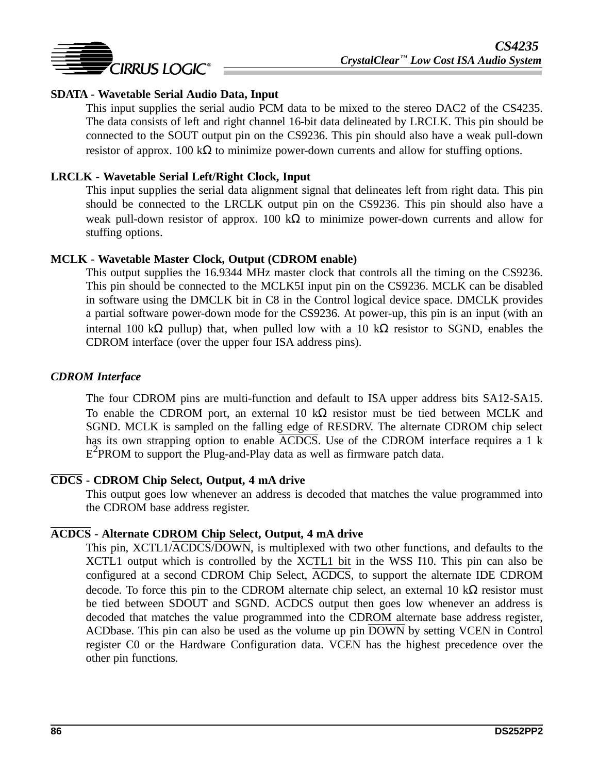

### **SDATA - Wavetable Serial Audio Data, Input**

This input supplies the serial audio PCM data to be mixed to the stereo DAC2 of the CS4235. The data consists of left and right channel 16-bit data delineated by LRCLK. This pin should be connected to the SOUT output pin on the CS9236. This pin should also have a weak pull-down resistor of approx. 100 kΩ to minimize power-down currents and allow for stuffing options.

### **LRCLK - Wavetable Serial Left/Right Clock, Input**

This input supplies the serial data alignment signal that delineates left from right data. This pin should be connected to the LRCLK output pin on the CS9236. This pin should also have a weak pull-down resistor of approx. 100 k $\Omega$  to minimize power-down currents and allow for stuffing options.

#### **MCLK - Wavetable Master Clock, Output (CDROM enable)**

This output supplies the 16.9344 MHz master clock that controls all the timing on the CS9236. This pin should be connected to the MCLK5I input pin on the CS9236. MCLK can be disabled in software using the DMCLK bit in C8 in the Control logical device space. DMCLK provides a partial software power-down mode for the CS9236. At power-up, this pin is an input (with an internal 100 kΩ pullup) that, when pulled low with a 10 kΩ resistor to SGND, enables the CDROM interface (over the upper four ISA address pins).

#### *CDROM Interface*

The four CDROM pins are multi-function and default to ISA upper address bits SA12-SA15. To enable the CDROM port, an external 10 kΩ resistor must be tied between MCLK and SGND. MCLK is sampled on the falling edge of RESDRV. The alternate CDROM chip select has its own strapping option to enable ACDCS. Use of the CDROM interface requires a 1 k  $E^2$ PROM to support the Plug-and-Play data as well as firmware patch data.

#### **CDCS - CDROM Chip Select, Output, 4 mA drive**

This output goes low whenever an address is decoded that matches the value programmed into the CDROM base address register.

#### **ACDCS - Alternate CDROM Chip Select, Output, 4 mA drive**

This pin, XCTL1/ACDCS/DOWN, is multiplexed with two other functions, and defaults to the XCTL1 output which is controlled by the XCTL1 bit in the WSS I10. This pin can also be configured at a second CDROM Chip Select, ACDCS, to support the alternate IDE CDROM decode. To force this pin to the CDROM alternate chip select, an external 10 kΩ resistor must be tied between SDOUT and SGND. ACDCS output then goes low whenever an address is decoded that matches the value programmed into the CDROM alternate base address register, ACDbase. This pin can also be used as the volume up pin DOWN by setting VCEN in Control register C0 or the Hardware Configuration data. VCEN has the highest precedence over the other pin functions.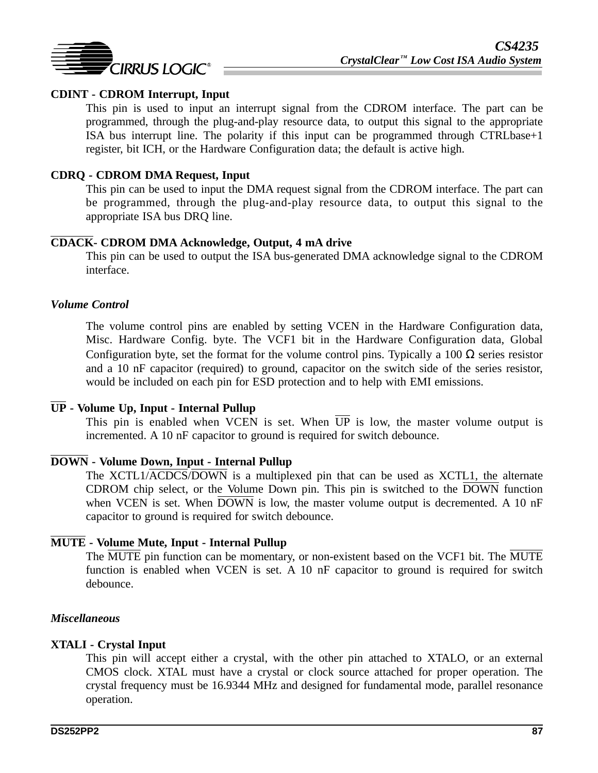

### **CDINT - CDROM Interrupt, Input**

This pin is used to input an interrupt signal from the CDROM interface. The part can be programmed, through the plug-and-play resource data, to output this signal to the appropriate ISA bus interrupt line. The polarity if this input can be programmed through CTRLbase+1 register, bit ICH, or the Hardware Configuration data; the default is active high.

### **CDRQ - CDROM DMA Request, Input**

This pin can be used to input the DMA request signal from the CDROM interface. The part can be programmed, through the plug-and-play resource data, to output this signal to the appropriate ISA bus DRQ line.

#### **CDACK- CDROM DMA Acknowledge, Output, 4 mA drive**

This pin can be used to output the ISA bus-generated DMA acknowledge signal to the CDROM interface.

#### *Volume Control*

The volume control pins are enabled by setting VCEN in the Hardware Configuration data, Misc. Hardware Config. byte. The VCF1 bit in the Hardware Configuration data, Global Configuration byte, set the format for the volume control pins. Typically a 100  $\Omega$  series resistor and a 10 nF capacitor (required) to ground, capacitor on the switch side of the series resistor, would be included on each pin for ESD protection and to help with EMI emissions.

### **UP - Volume Up, Input - Internal Pullup**

This pin is enabled when VCEN is set. When  $\overline{UP}$  is low, the master volume output is incremented. A 10 nF capacitor to ground is required for switch debounce.

### **DOWN - Volume Down, Input - Internal Pullup**

The XCTL1/ACDCS/DOWN is a multiplexed pin that can be used as XCTL1, the alternate CDROM chip select, or the Volume Down pin. This pin is switched to the  $\overline{DOWN}$  function when VCEN is set. When DOWN is low, the master volume output is decremented. A 10 nF capacitor to ground is required for switch debounce.

### **MUTE - Volume Mute, Input - Internal Pullup**

The MUTE pin function can be momentary, or non-existent based on the VCF1 bit. The MUTE function is enabled when VCEN is set. A 10 nF capacitor to ground is required for switch debounce.

#### *Miscellaneous*

#### **XTALI - Crystal Input**

This pin will accept either a crystal, with the other pin attached to XTALO, or an external CMOS clock. XTAL must have a crystal or clock source attached for proper operation. The crystal frequency must be 16.9344 MHz and designed for fundamental mode, parallel resonance operation.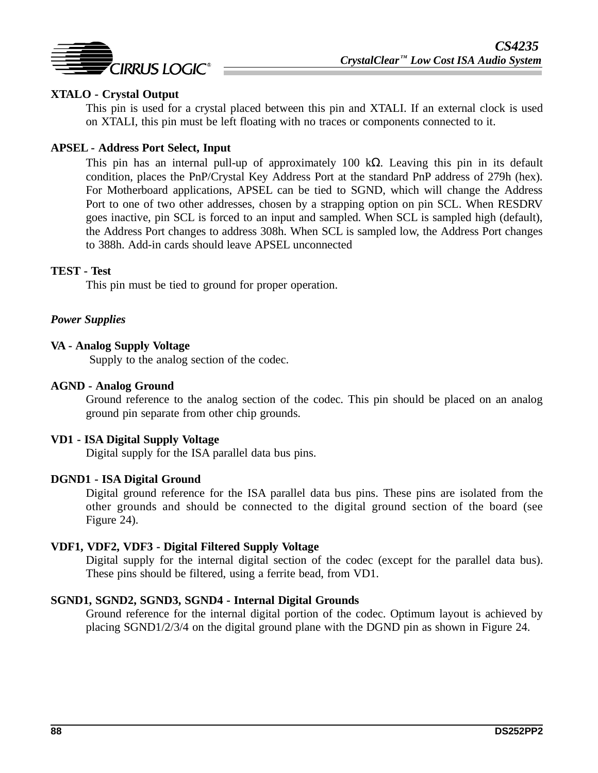

### **XTALO - Crystal Output**

This pin is used for a crystal placed between this pin and XTALI. If an external clock is used on XTALI, this pin must be left floating with no traces or components connected to it.

#### **APSEL - Address Port Select, Input**

This pin has an internal pull-up of approximately 100 k $\Omega$ . Leaving this pin in its default condition, places the PnP/Crystal Key Address Port at the standard PnP address of 279h (hex). For Motherboard applications, APSEL can be tied to SGND, which will change the Address Port to one of two other addresses, chosen by a strapping option on pin SCL. When RESDRV goes inactive, pin SCL is forced to an input and sampled. When SCL is sampled high (default), the Address Port changes to address 308h. When SCL is sampled low, the Address Port changes to 388h. Add-in cards should leave APSEL unconnected

#### **TEST - Test**

This pin must be tied to ground for proper operation.

### *Power Supplies*

### **VA - Analog Supply Voltage**

Supply to the analog section of the codec.

#### **AGND - Analog Ground**

Ground reference to the analog section of the codec. This pin should be placed on an analog ground pin separate from other chip grounds.

#### **VD1 - ISA Digital Supply Voltage**

Digital supply for the ISA parallel data bus pins.

#### **DGND1 - ISA Digital Ground**

Digital ground reference for the ISA parallel data bus pins. These pins are isolated from the other grounds and should be connected to the digital ground section of the board (see Figure 24).

#### **VDF1, VDF2, VDF3 - Digital Filtered Supply Voltage**

Digital supply for the internal digital section of the codec (except for the parallel data bus). These pins should be filtered, using a ferrite bead, from VD1.

#### **SGND1, SGND2, SGND3, SGND4 - Internal Digital Grounds**

Ground reference for the internal digital portion of the codec. Optimum layout is achieved by placing SGND1/2/3/4 on the digital ground plane with the DGND pin as shown in Figure 24.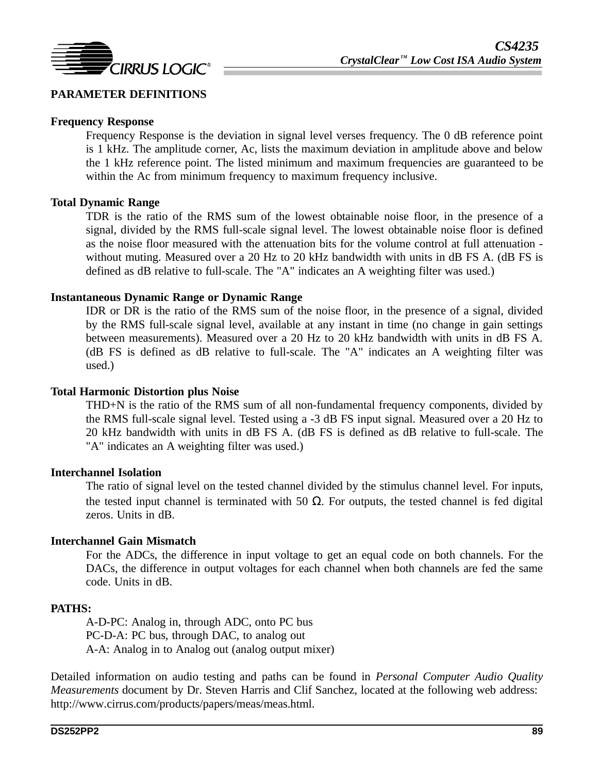

### **PARAMETER DEFINITIONS**

#### **Frequency Response**

Frequency Response is the deviation in signal level verses frequency. The 0 dB reference point is 1 kHz. The amplitude corner, Ac, lists the maximum deviation in amplitude above and below the 1 kHz reference point. The listed minimum and maximum frequencies are guaranteed to be within the Ac from minimum frequency to maximum frequency inclusive.

#### **Total Dynamic Range**

TDR is the ratio of the RMS sum of the lowest obtainable noise floor, in the presence of a signal, divided by the RMS full-scale signal level. The lowest obtainable noise floor is defined as the noise floor measured with the attenuation bits for the volume control at full attenuation without muting. Measured over a 20 Hz to 20 kHz bandwidth with units in dB FS A. (dB FS is defined as dB relative to full-scale. The "A" indicates an A weighting filter was used.)

#### **Instantaneous Dynamic Range or Dynamic Range**

IDR or DR is the ratio of the RMS sum of the noise floor, in the presence of a signal, divided by the RMS full-scale signal level, available at any instant in time (no change in gain settings between measurements). Measured over a 20 Hz to 20 kHz bandwidth with units in dB FS A. (dB FS is defined as dB relative to full-scale. The "A" indicates an A weighting filter was used.)

#### **Total Harmonic Distortion plus Noise**

THD+N is the ratio of the RMS sum of all non-fundamental frequency components, divided by the RMS full-scale signal level. Tested using a -3 dB FS input signal. Measured over a 20 Hz to 20 kHz bandwidth with units in dB FS A. (dB FS is defined as dB relative to full-scale. The "A" indicates an A weighting filter was used.)

#### **Interchannel Isolation**

The ratio of signal level on the tested channel divided by the stimulus channel level. For inputs, the tested input channel is terminated with 50  $\Omega$ . For outputs, the tested channel is fed digital zeros. Units in dB.

#### **Interchannel Gain Mismatch**

For the ADCs, the difference in input voltage to get an equal code on both channels. For the DACs, the difference in output voltages for each channel when both channels are fed the same code. Units in dB.

#### **PATHS:**

A-D-PC: Analog in, through ADC, onto PC bus PC-D-A: PC bus, through DAC, to analog out A-A: Analog in to Analog out (analog output mixer)

Detailed information on audio testing and paths can be found in *Personal Computer Audio Quality Measurements* document by Dr. Steven Harris and Clif Sanchez, located at the following web address: http://www.cirrus.com/products/papers/meas/meas.html.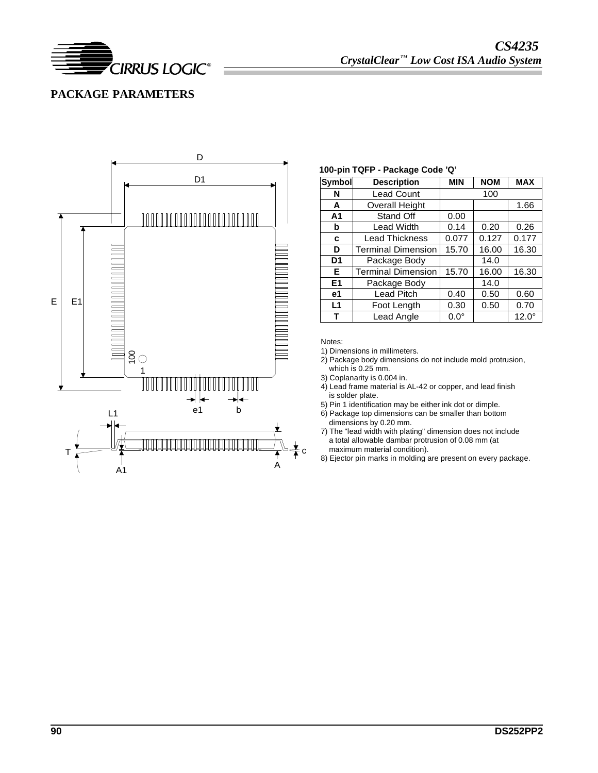

## **PACKAGE PARAMETERS**



#### **100-pin TQFP - Package Code 'Q'**

| <b>Symbol</b>     | <b>Description</b>        | <b>MIN</b>  | <b>NOM</b> | <b>MAX</b>   |  |
|-------------------|---------------------------|-------------|------------|--------------|--|
| N                 | <b>Lead Count</b>         |             | 100        |              |  |
| A                 | <b>Overall Height</b>     |             |            | 1.66         |  |
| A <sub>1</sub>    | Stand Off                 | 0.00        |            |              |  |
| b                 | <b>Lead Width</b>         | 0.14        | 0.20       | 0.26         |  |
| c                 | <b>Lead Thickness</b>     | 0.077       | 0.127      | 0.177        |  |
| D                 | <b>Terminal Dimension</b> | 15.70       | 16.00      | 16.30        |  |
| D <sub>1</sub>    | Package Body              |             | 14.0       |              |  |
| Е                 | <b>Terminal Dimension</b> | 15.70       | 16.00      | 16.30        |  |
| E1                | Package Body              |             | 14.0       |              |  |
| e1                | <b>Lead Pitch</b>         | 0.40        | 0.50       | 0.60         |  |
| L1<br>Foot Length |                           | 0.30        | 0.50       | 0.70         |  |
| Lead Angle<br>т   |                           | $0.0^\circ$ |            | $12.0^\circ$ |  |

Notes:

1) Dimensions in millimeters.

- 2) Package body dimensions do not include mold protrusion, which is 0.25 mm.
- 3) Coplanarity is 0.004 in.
- 4) Lead frame material is AL-42 or copper, and lead finish is solder plate.
- 5) Pin 1 identification may be either ink dot or dimple.
- 6) Package top dimensions can be smaller than bottom dimensions by 0.20 mm.
- 7) The "lead width with plating" dimension does not include a total allowable dambar protrusion of 0.08 mm (at maximum material condition).
- 8) Ejector pin marks in molding are present on every package.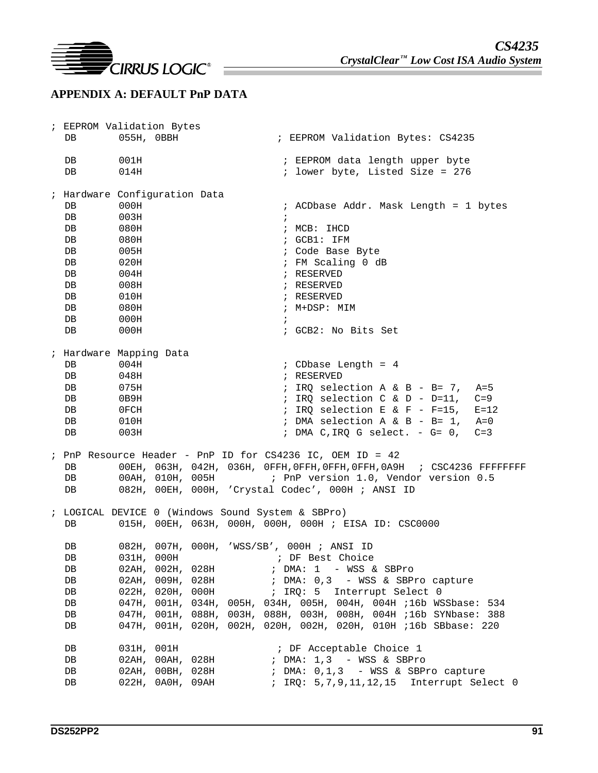

## **APPENDIX A: DEFAULT PnP DATA**

| ; EEPROM Validation Bytes<br>DB.                                      | 055H, 0BBH                                                                                   |                                                                                                               | ; EEPROM Validation Bytes: CS4235                                                                                                                                                                                                                                                                                                                                                                                                                                               |
|-----------------------------------------------------------------------|----------------------------------------------------------------------------------------------|---------------------------------------------------------------------------------------------------------------|---------------------------------------------------------------------------------------------------------------------------------------------------------------------------------------------------------------------------------------------------------------------------------------------------------------------------------------------------------------------------------------------------------------------------------------------------------------------------------|
| DB<br>DB                                                              | 001H<br>014H                                                                                 |                                                                                                               | ; EEPROM data length upper byte<br>; lower byte, Listed Size = 276                                                                                                                                                                                                                                                                                                                                                                                                              |
| DB.<br>DB<br>DB<br>DB<br>DB<br>DB<br>DB<br>DB<br>DB<br>DB<br>DB<br>DB | 000H<br>003H<br>080H<br>080H<br>005H<br>020H<br>004H<br>008H<br>010H<br>080H<br>000H<br>000H | ; Hardware Configuration Data                                                                                 | ; ACDbase Addr. Mask Length = 1 bytes<br>$\ddot{ }$<br>; MCB: IHCD<br>; GCB1: IFM<br>; Code Base Byte<br>; FM Scaling 0 dB<br>; RESERVED<br>; RESERVED<br>; RESERVED<br>; M+DSP: MIM<br>$\ddot{i}$<br>; GCB2: No Bits Set                                                                                                                                                                                                                                                       |
| ; Hardware Mapping Data<br>DB<br>DB<br>DB<br>DB<br>DB<br>DB<br>DB     | 004H<br>048H<br>075H<br>0B9H<br>0FCH<br>010H<br>003H                                         |                                                                                                               | $:$ CDbase Length = 4<br>; RESERVED<br>; IRQ selection A & B - B= 7, A=5<br>; IRQ selection $C \& D - D=11$ , $C=9$<br>; IRQ selection E & F - F=15, E=12<br>; DMA selection A & B - B= 1, A=0<br>; DMA C, IRQ G select. $-$ G= 0,<br>$C=3$                                                                                                                                                                                                                                     |
| DB<br>DB<br>DB                                                        |                                                                                              |                                                                                                               | ; PnP Resource Header - PnP ID for CS4236 IC, OEM ID = 42<br>00EH, 063H, 042H, 036H, 0FFH, 0FFH, 0FFH, 0FFH, 0A9H ; CSC4236 FFFFFFFFF<br>00AH, 010H, 005H : PnP version 1.0, Vendor version 0.5<br>082H, 00EH, 000H, 'Crystal Codec', 000H ; ANSI ID                                                                                                                                                                                                                            |
| DB<br>DB<br>DB<br>DB<br>DB<br>DB<br>DB<br>DB<br>DB<br>DB              | 031H, 000H<br>031H, 001H                                                                     | ; LOGICAL DEVICE 0 (Windows Sound System & SBPro)<br>02AH, 002H, 028H<br>02АН, 009Н, 028Н<br>022H, 020H, 000H | $015H$ , $00EH$ , $063H$ , $000H$ , $000H$ , $000H$ ; $EISA$ ID: $CSC0000$<br>082H, 007H, 000H, 'WSS/SB', 000H; ANSI ID<br>; DF Best Choice<br>; DMA: 1 - WSS & SBPro<br>; DMA: 0,3 - WSS & SBPro capture<br>; IRQ: 5 Interrupt Select 0<br>047H, 001H, 034H, 005H, 034H, 005H, 004H, 004H ;16b WSSbase: 534<br>047H, 001H, 088H, 003H, 088H, 003H, 008H, 004H ;16b SYNbase: 388<br>047H, 001H, 020H, 002H, 020H, 002H, 020H, 010H ;16b SBbase: 220<br>; DF Acceptable Choice 1 |
| DB<br>DB<br>DB                                                        |                                                                                              | 02AH, 00AH, 028H<br>02AH, 00BH, 028H<br>022H, 0A0H, 09AH                                                      | ; DMA: 1,3 - WSS & SBPro<br>; DMA: 0,1,3 - WSS & SBPro capture<br>; IRQ: 5,7,9,11,12,15 Interrupt Select 0                                                                                                                                                                                                                                                                                                                                                                      |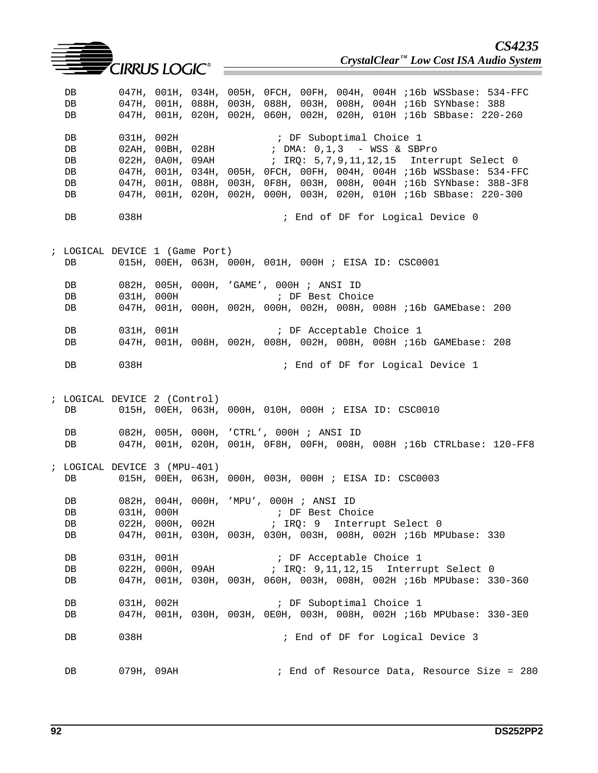|                                  |            | <b>Example 2</b> CIRRUS LOGIC <sup>®</sup> | CS4235<br>CrystalClear <sup>™</sup> Low Cost ISA Audio System                                                                                                                                                                                   |
|----------------------------------|------------|--------------------------------------------|-------------------------------------------------------------------------------------------------------------------------------------------------------------------------------------------------------------------------------------------------|
| DB<br>DB<br>DB                   |            |                                            | 047H, 001H, 034H, 005H, 0FCH, 00FH, 004H, 004H ;16b WSSbase: 534-FFC<br>047H, 001H, 088H, 003H, 088H, 003H, 008H, 004H ;16b SYNbase: 388<br>047H, 001H, 020H, 002H, 060H, 002H, 020H, 010H ;16b SBbase: 220-260                                 |
| DB<br>DB<br>DB<br>DB<br>DB<br>DB | 031H, 002H | 022Н, ОАОН, О9АН                           | ; DF Suboptimal Choice 1<br>047H, 001H, 034H, 005H, 0FCH, 00FH, 004H, 004H ;16b WSSbase: 534-FFC<br>047H, 001H, 088H, 003H, 0F8H, 003H, 008H, 004H ;16b SYNbase: 388-3F8<br>047H, 001H, 020H, 002H, 000H, 003H, 020H, 010H ;16b SBbase: 220-300 |
| DB                               | 038H       |                                            | ; End of DF for Logical Device 0                                                                                                                                                                                                                |
| DB                               |            | ; LOGICAL DEVICE 1 (Game Port)             | 015H, 00EH, 063H, 000H, 001H, 000H ; EISA ID: CSC0001                                                                                                                                                                                           |
| DB<br>DB<br>DB                   |            | 031H, 000H                                 | 082H, 005H, 000H, 'GAME', 000H ; ANSI ID<br>; DF Best Choice<br>047H, 001H, 000H, 002H, 000H, 002H, 008H, 008H ;16b GAMEbase: 200                                                                                                               |
| DB<br>DB                         |            | 031H, 001H                                 | ; DF Acceptable Choice 1<br>047H, 001H, 008H, 002H, 008H, 002H, 008H, 008H ;16b GAMEbase: 208                                                                                                                                                   |
| DB                               | 038H       |                                            | ; End of DF for Logical Device 1                                                                                                                                                                                                                |
| DB                               |            | ; LOGICAL DEVICE 2 (Control)               | 015H, 00EH, 063H, 000H, 010H, 000H ; EISA ID: CSC0010                                                                                                                                                                                           |
| DB<br>DB                         |            |                                            | 082H, 005H, 000H, 'CTRL', 000H; ANSI ID<br>047H, 001H, 020H, 001H, 0F8H, 00FH, 008H, 008H ;16b CTRLbase: 120-FF8                                                                                                                                |
| DB                               |            | ; LOGICAL DEVICE 3 (MPU-401)               | 015H, 00EH, 063H, 000H, 003H, 000H ; EISA ID: CSC0003                                                                                                                                                                                           |
| DB<br>DB<br>DB<br>DB             | 031H, 000H |                                            | 082H, 004H, 000H, 'MPU', 000H ; ANSI ID<br>; DF Best Choice<br>022H, 000H, 002H : IRQ: 9 Interrupt Select 0<br>047H, 001H, 030H, 003H, 030H, 003H, 008H, 002H ;16b MPUbase: 330                                                                 |
| DB<br>DB<br>DB                   | 031H, 001H |                                            | ; DF Acceptable Choice 1<br>022H, 000H, 09AH ; IRQ: 9,11,12,15 Interrupt Select 0<br>047H, 001H, 030H, 003H, 060H, 003H, 008H, 002H ;16b MPUbase: 330-360                                                                                       |
| DB<br>DB                         | 031H, 002H |                                            | ; DF Suboptimal Choice 1<br>047H, 001H, 030H, 003H, 0E0H, 003H, 008H, 002H ;16b MPUbase: 330-3E0                                                                                                                                                |
| DB                               | 038H       |                                            | ; End of DF for Logical Device 3                                                                                                                                                                                                                |
| DB                               | 079H, 09AH |                                            | ; End of Resource Data, Resource Size = 280                                                                                                                                                                                                     |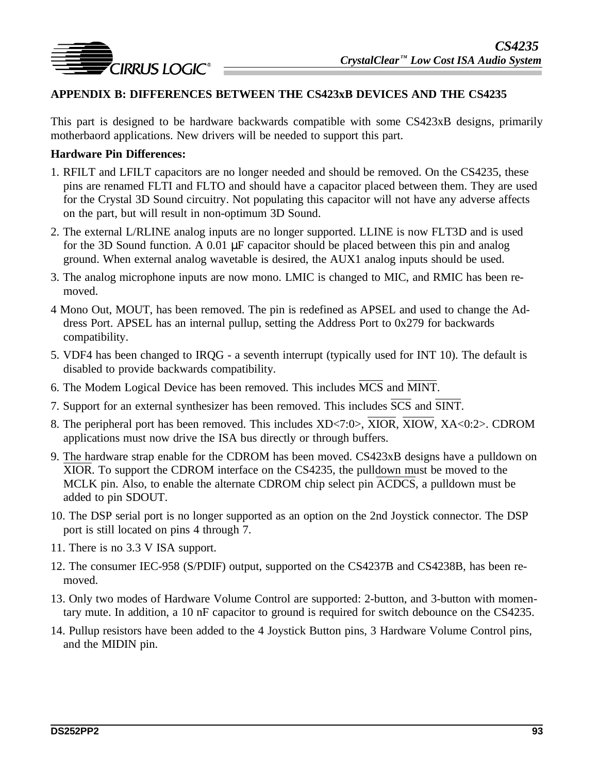

### **APPENDIX B: DIFFERENCES BETWEEN THE CS423xB DEVICES AND THE CS4235**

This part is designed to be hardware backwards compatible with some CS423xB designs, primarily motherbaord applications. New drivers will be needed to support this part.

#### **Hardware Pin Differences:**

- 1. RFILT and LFILT capacitors are no longer needed and should be removed. On the CS4235, these pins are renamed FLTI and FLTO and should have a capacitor placed between them. They are used for the Crystal 3D Sound circuitry. Not populating this capacitor will not have any adverse affects on the part, but will result in non-optimum 3D Sound.
- 2. The external L/RLINE analog inputs are no longer supported. LLINE is now FLT3D and is used for the 3D Sound function. A 0.01 µF capacitor should be placed between this pin and analog ground. When external analog wavetable is desired, the AUX1 analog inputs should be used.
- 3. The analog microphone inputs are now mono. LMIC is changed to MIC, and RMIC has been removed.
- 4 Mono Out, MOUT, has been removed. The pin is redefined as APSEL and used to change the Address Port. APSEL has an internal pullup, setting the Address Port to 0x279 for backwards compatibility.
- 5. VDF4 has been changed to IRQG a seventh interrupt (typically used for INT 10). The default is disabled to provide backwards compatibility.
- 6. The Modem Logical Device has been removed. This includes MCS and MINT.
- 7. Support for an external synthesizer has been removed. This includes SCS and SINT.
- 8. The peripheral port has been removed. This includes XD<7:0>, XIOR, XIOW, XA<0:2>. CDROM applications must now drive the ISA bus directly or through buffers.
- 9. The hardware strap enable for the CDROM has been moved. CS423xB designs have a pulldown on XIOR. To support the CDROM interface on the CS4235, the pulldown must be moved to the MCLK pin. Also, to enable the alternate CDROM chip select pin ACDCS, a pulldown must be added to pin SDOUT.
- 10. The DSP serial port is no longer supported as an option on the 2nd Joystick connector. The DSP port is still located on pins 4 through 7.
- 11. There is no 3.3 V ISA support.
- 12. The consumer IEC-958 (S/PDIF) output, supported on the CS4237B and CS4238B, has been removed.
- 13. Only two modes of Hardware Volume Control are supported: 2-button, and 3-button with momentary mute. In addition, a 10 nF capacitor to ground is required for switch debounce on the CS4235.
- 14. Pullup resistors have been added to the 4 Joystick Button pins, 3 Hardware Volume Control pins, and the MIDIN pin.